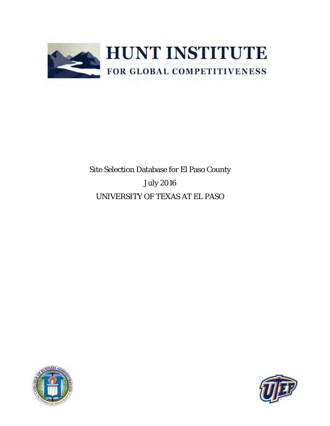

Site Selection Database for El Paso County July 2016 UNIVERSITY OF TEXAS AT EL PASO



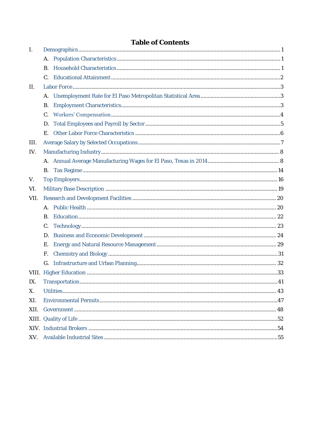| $\perp$         |                |  |
|-----------------|----------------|--|
|                 | А.             |  |
|                 | B <sub>1</sub> |  |
|                 |                |  |
| $\prod_{i=1}^n$ |                |  |
|                 |                |  |
|                 | Β.             |  |
|                 | $C_{1}$        |  |
|                 | D.             |  |
|                 | Е.             |  |
| III.            |                |  |
| IV.             |                |  |
|                 |                |  |
|                 | В.             |  |
| V.              |                |  |
| VI.             |                |  |
| VII.            |                |  |
|                 |                |  |
|                 | B.             |  |
|                 | $C_{1}$        |  |
|                 | D.             |  |
|                 | Ε.             |  |
|                 | $F_{\perp}$    |  |
|                 | G.             |  |
|                 |                |  |
| IX.             |                |  |
| Х.              |                |  |
| XI.             |                |  |
| XII.            |                |  |
|                 |                |  |
|                 |                |  |
|                 |                |  |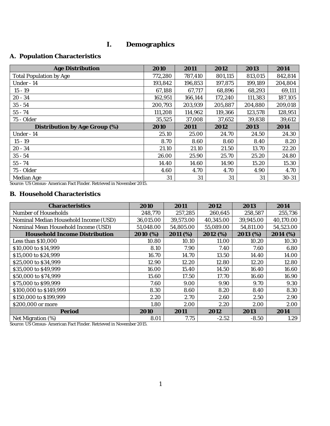# **I. Demographics**

## <span id="page-2-1"></span><span id="page-2-0"></span>**A. Population Characteristics**

| Age Distribution               | 2010    | 2011    | 2012    | 2013    | 2014      |
|--------------------------------|---------|---------|---------|---------|-----------|
| <b>Total Population by Age</b> | 772,280 | 787,410 | 801,115 | 813,015 | 842,814   |
| Under - 14                     | 193,842 | 196,853 | 197,875 | 199,189 | 204,804   |
| $15 - 19$                      | 67,188  | 67,717  | 68,896  | 68,293  | 69,111    |
| $20 - 34$                      | 162,951 | 166,144 | 172,240 | 111,383 | 187,105   |
| $35 - 54$                      | 200,793 | 203,939 | 205,887 | 204,880 | 209,018   |
| $55 - 74$                      | 111,208 | 114,962 | 119,366 | 123,578 | 128,951   |
| 75 - Older                     | 35,525  | 37,008  | 37,652  | 39,838  | 39,612    |
| Distribution by Age Group (%)  | 2010    | 2011    | 2012    | 2013    | 2014      |
| Under - 14                     | 25.10   | 25.00   | 24.70   | 24.50   | 24.30     |
| $15 - 19$                      | 8.70    | 8.60    | 8.60    | 8.40    | 8.20      |
| $20 - 34$                      | 21.10   | 21.10   | 21.50   | 13.70   | 22.20     |
| $35 - 54$                      | 26.00   | 25.90   | 25.70   | 25.20   | 24.80     |
| $55 - 74$                      | 14.40   | 14.60   | 14.90   | 15.20   | 15.30     |
| 75 - Older                     | 4.60    | 4.70    | 4.70    | 4.90    | 4.70      |
| Median Age                     | 31      | 31      | 31      | 31      | $30 - 31$ |

Source[: US Census-](http://factfinder.census.gov/faces/nav/jsf/pages/index.xhtml) American Fact Finder. Retrieved in November 2015.

### <span id="page-2-2"></span>**B. Household Characteristics**

| Characteristics                       | 2010      | 2011      | 2012      | 2013      | 2014      |
|---------------------------------------|-----------|-----------|-----------|-----------|-----------|
| Number of Households                  | 248,770   | 257,285   | 260,645   | 258,587   | 255,736   |
| Nominal Median Household Income (USD) | 36,015.00 | 39,573.00 | 40,345.00 | 39,945.00 | 40,170.00 |
| Nominal Mean Household Income (USD)   | 51,048.00 | 54,805.00 | 55,089.00 | 54,811.00 | 54,523.00 |
| Household Income Distribution         | 2010 (%)  | 2011 (%)  | 2012 (%)  | 2013 (%)  | 2014 (%)  |
| Less than \$10,000                    | 10.80     | 10.10     | 11.00     | 10.20     | 10.30     |
| \$10,000 to \$14,999                  | 8.10      | 7.90      | 7.40      | 7.60      | 6.80      |
| \$15,000 to \$24,999                  | 16.70     | 14.70     | 13.50     | 14.40     | 14.00     |
| \$25,000 to \$34,999                  | 12.90     | 12.20     | 12.80     | 12.20     | 12.80     |
| \$35,000 to \$49,999                  | 16.00     | 15.40     | 14.50     | 16.40     | 16.60     |
| \$50,000 to \$74,999                  | 15.60     | 17.50     | 17.70     | 16.60     | 16.90     |
| \$75,000 to \$99,999                  | 7.60      | 9.00      | 9.90      | 9.70      | 9.30      |
| \$100,000 to \$149,999                | 8.30      | 8.60      | 8.20      | 8.40      | 8.30      |
| \$150,000 to \$199,999                | 2.20      | 2.70      | 2.60      | 2.50      | 2.90      |
| \$200,000 or more                     | 1.80      | 2.00      | 2.20      | 2.00      | 2.00      |
| Period                                | 2010      | 2011      | 2012      | 2013      | 2014      |
| Net Migration (%)                     | 8.01      | 7.75      | $-2.52$   | $-8.50$   | .29       |

Source[: US Census-](http://factfinder.census.gov/faces/nav/jsf/pages/index.xhtml) American Fact Finder. Retrieved in November 2015.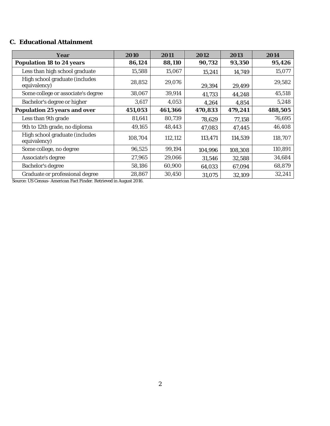## <span id="page-3-0"></span>**C. Educational Attainment**

| Year                                           | 2010    | 2011    | 2012    | 2013    | 2014    |
|------------------------------------------------|---------|---------|---------|---------|---------|
| Population 18 to 24 years                      | 86,124  | 88,110  | 90,732  | 93,350  | 95,426  |
| Less than high school graduate                 | 15,588  | 15,067  | 15,241  | 14,749  | 15,077  |
| High school graduate (includes<br>equivalency) | 28,852  | 29,076  | 29,394  | 29,499  | 29,582  |
| Some college or associate's degree             | 38,067  | 39,914  | 41,733  | 44,248  | 45,518  |
| Bachelor's degree or higher                    | 3,617   | 4,053   | 4,264   | 4,854   | 5,248   |
| Population 25 years and over                   | 451,053 | 461,366 | 470,833 | 479,241 | 488,505 |
| Less than 9th grade                            | 81,641  | 80,739  | 78,629  | 77,158  | 76,695  |
| 9th to 12th grade, no diploma                  | 49,165  | 48,443  | 47,083  | 47,445  | 46,408  |
| High school graduate (includes<br>equivalency) | 108,704 | 112,112 | 113,471 | 114,539 | 118,707 |
| Some college, no degree                        | 96,525  | 99,194  | 104,996 | 108,308 | 110,891 |
| Associate's degree                             | 27,965  | 29,066  | 31,546  | 32,588  | 34,684  |
| Bachelor's degree                              | 58,186  | 60,900  | 64,033  | 67,094  | 68,879  |
| Graduate or professional degree                | 28,867  | 30,450  | 31,075  | 32,109  | 32,241  |

Source: US Census- American Fact Finder. Retrieved in August 2016.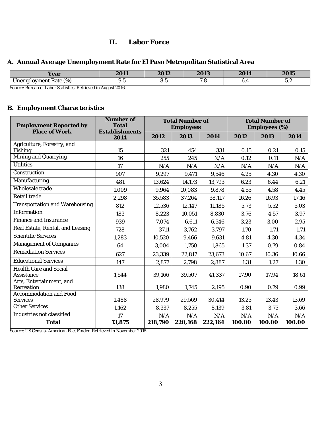## **II. Labor Force**

### <span id="page-4-1"></span><span id="page-4-0"></span>**A. Annual Average Unemployment Rate for El Paso Metropolitan Statistical Area**

| Year                                                                                                                         | $\bigcap$ 11 | $\bigcap$ 10    | 2012                     | 2011 | $\bigcap$ $\bigcap$ $\bigcap$ |
|------------------------------------------------------------------------------------------------------------------------------|--------------|-----------------|--------------------------|------|-------------------------------|
|                                                                                                                              | ∠∪⊥          | 2012            | 2 U I J                  | 2014 | ノリに                           |
| $\sqrt{2}$<br>$\overline{\phantom{0}}$<br>1201c<br>/ment<br>Inami<br>$' \cap V$<br>11<br>Rale<br>$\sim$<br>(70)<br>U I I U I | ں .          | $\cup$ . $\cup$ | $\overline{\phantom{a}}$ | U.   | $\sim$<br>$\cup$ . $\sim$     |

Source[: Bureau of Labor Statistics.](http://www.bls.gov/) Retrieved in August 2016.

## <span id="page-4-2"></span>**B. Employment Characteristics**

| <b>Employment Reported by</b><br>Place of Work | Number of<br>Total<br>Establishments |         | <b>Total Number of</b><br>Employees |         |        | <b>Total Number of</b><br>Employees (%) |        |  |
|------------------------------------------------|--------------------------------------|---------|-------------------------------------|---------|--------|-----------------------------------------|--------|--|
|                                                | 2014                                 | 2012    | 2013                                | 2014    | 2012   | 2013                                    | 2014   |  |
| Agriculture, Forestry, and                     |                                      |         |                                     |         |        |                                         |        |  |
| Fishing<br>Mining and Quarrying                | 15                                   | 321     | 454                                 | 331     | 0.15   | 0.21                                    | 0.15   |  |
|                                                | 16                                   | 255     | 245                                 | N/A     | 0.12   | 0.11                                    | N/A    |  |
| <b>Utilities</b>                               | 17                                   | N/A     | N/A                                 | N/A     | N/A    | N/A                                     | N/A    |  |
| Construction                                   | 907                                  | 9,297   | 9,471                               | 9,546   | 4.25   | 4.30                                    | 4.30   |  |
| Manufacturing                                  | 481                                  | 13,624  | 14,173                              | 13,793  | 6.23   | 6.44                                    | 6.21   |  |
| Wholesale trade                                | 1,009                                | 9,964   | 10,083                              | 9,878   | 4.55   | 4.58                                    | 4.45   |  |
| Retail trade                                   | 2,298                                | 35,583  | 37,264                              | 38,117  | 16.26  | 16.93                                   | 17.16  |  |
| Transportation and Warehousing                 | 812                                  | 12,536  | 12,147                              | 11,185  | 5.73   | 5.52                                    | 5.03   |  |
| Information                                    | 183                                  | 8,223   | 10,051                              | 8,830   | 3.76   | 4.57                                    | 3.97   |  |
| Finance and Insurance                          | 939                                  | 7,074   | 6,611                               | 6,546   | 3.23   | 3.00                                    | 2.95   |  |
| Real Estate, Rental, and Leasing               | 728                                  | 3711    | 3,762                               | 3,797   | 1.70   | 1.71                                    | 1.71   |  |
| Scientific Services                            | 1,283                                | 10,520  | 9,466                               | 9,631   | 4.81   | 4.30                                    | 4.34   |  |
| Management of Companies                        | 64                                   | 3,004   | 1,750                               | 1,865   | 1.37   | 0.79                                    | 0.84   |  |
| <b>Remediation Services</b>                    | 627                                  | 23,339  | 22,817                              | 23,673  | 10.67  | 10.36                                   | 10.66  |  |
| <b>Educational Services</b>                    | 147                                  | 2,877   | 2,798                               | 2,887   | 1.31   | 1.27                                    | 1.30   |  |
| <b>Health Care and Social</b><br>Assistance    | 1,544                                | 39,166  | 39,507                              | 41,337  | 17.90  | 17.94                                   | 18.61  |  |
| Arts, Entertainment, and<br>Recreation         | 138                                  | 1,980   | 1,745                               | 2,195   | 0.90   | 0.79                                    | 0.99   |  |
| Accommodation and Food<br>Services             | 1,488                                | 28,979  | 29,569                              | 30,414  | 13.25  | 13.43                                   | 13.69  |  |
| <b>Other Services</b>                          | 1,162                                | 8,337   | 8,255                               | 8,139   | 3.81   | 3.75                                    | 3.66   |  |
| Industries not classified                      | 17                                   | N/A     | N/A                                 | N/A     | N/A    | N/A                                     | N/A    |  |
| Total                                          | 13,875                               | 218,790 | 220,168                             | 222,164 | 100.00 | 100.00                                  | 100.00 |  |

Source: US Census- American Fact Finder. Retrieved in November 2015.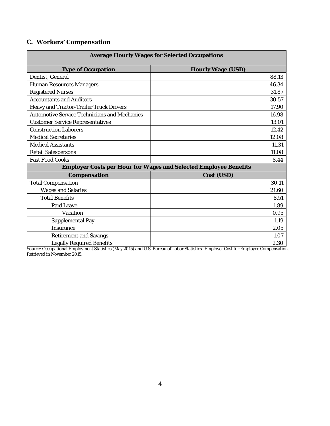# <span id="page-5-0"></span>**C. Workers' Compensation**

| Average Hourly Wages for Selected Occupations |                                                                  |  |  |  |
|-----------------------------------------------|------------------------------------------------------------------|--|--|--|
| Type of Occupation                            | Hourly Wage (USD)                                                |  |  |  |
| Dentist, General                              | 88.13                                                            |  |  |  |
| Human Resources Managers                      | 46.34                                                            |  |  |  |
| <b>Registered Nurses</b>                      | 31.87                                                            |  |  |  |
| <b>Accountants and Auditors</b>               | 30.57                                                            |  |  |  |
| Heavy and Tractor-Trailer Truck Drivers       | 17.90                                                            |  |  |  |
| Automotive Service Technicians and Mechanics  | 16.98                                                            |  |  |  |
| Customer Service Representatives              | 13.01                                                            |  |  |  |
| <b>Construction Laborers</b>                  | 12.42                                                            |  |  |  |
| Medical Secretaries                           | 12.08                                                            |  |  |  |
| <b>Medical Assistants</b>                     | 11.31                                                            |  |  |  |
| Retail Salespersons                           | 11.08                                                            |  |  |  |
| Fast Food Cooks                               | 8.44                                                             |  |  |  |
|                                               | Employer Costs per Hour for Wages and Selected Employee Benefits |  |  |  |
| Compensation                                  | Cost (USD)                                                       |  |  |  |
| <b>Total Compensation</b>                     | 30.11                                                            |  |  |  |
| Wages and Salaries                            | 21.60                                                            |  |  |  |
| <b>Total Benefits</b>                         | 8.51                                                             |  |  |  |
| Paid Leave                                    | 1.89                                                             |  |  |  |
| Vacation                                      | 0.95                                                             |  |  |  |
| Supplemental Pay                              | 1.19                                                             |  |  |  |
| Insurance                                     | 2.05                                                             |  |  |  |
| Retirement and Savings                        | 1.07                                                             |  |  |  |
| Legally Required Benefits                     | 2.30                                                             |  |  |  |

Source: Occupational Employment Statistics (May 2015) and U.S. Bureau of Labor Statistics- Employer Cost for Employee Compensation. Retrieved in November 2015.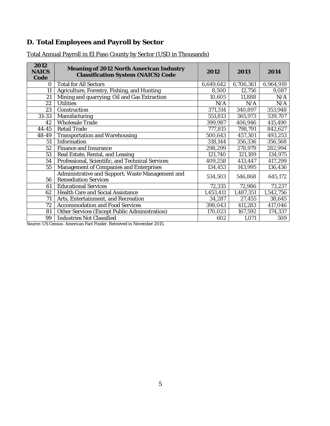# <span id="page-6-0"></span>**D. Total Employees and Payroll by Sector**

| 2012<br><b>NAICS</b><br>Code | Meaning of 2012 North American Industry<br>Classification System (NAICS) Code | 2012      | 2013      | 2014      |
|------------------------------|-------------------------------------------------------------------------------|-----------|-----------|-----------|
| 0                            | <b>Total for All Sectors</b>                                                  | 6,649,642 | 6,706,361 | 6,964,919 |
| 11                           | Agriculture, Forestry, Fishing, and Hunting                                   | 8,500     | 12,756    | 9,087     |
| 21                           | Mining and quarrying; Oil and Gas Extraction                                  | 10,605    | 11,888    | N/A       |
| 22                           | Utilities                                                                     | N/A       | N/A       | N/A       |
| 23                           | Construction                                                                  | 371,314   | 340,897   | 353,948   |
| $31 - 33$                    | Manufacturing                                                                 | 551,813   | 565,973   | 539,707   |
| 42                           | Wholesale Trade                                                               | 399,987   | 406,946   | 415,490   |
| $44 - 45$                    | Retail Trade                                                                  | 777,815   | 798,791   | 842,627   |
| 48-49                        | Transportation and Warehousing                                                | 500,643   | 457,301   | 493,253   |
| 51                           | Information                                                                   | 318,144   | 356,336   | 356,568   |
| 52                           | Finance and Insurance                                                         | 298,299   | 278,979   | 282,994   |
| 53                           | Real Estate, Rental, and Leasing                                              | 121,740   | 121,189   | 134,975   |
| 54                           | Professional, Scientific, and Technical Services                              | 409,258   | 413,447   | 417,299   |
| 55                           | Management of Companies and Enterprises                                       | 134,453   | 143,995   | 136,436   |
|                              | Administrative and Support; Waste Management and                              | 534,503   | 546,868   | 645,172   |
| 56                           | <b>Remediation Services</b>                                                   |           |           |           |
| 61                           | <b>Educational Services</b>                                                   | 72,335    | 72,986    | 73,237    |
| 62                           | Health Care and Social Assistance                                             | 1,453,411 | 1,487,351 | 1,542,756 |
| 71                           | Arts, Entertainment, and Recreation                                           | 34,287    | 27,455    | 38,645    |
| 72                           | Accommodation and Food Services                                               | 398,043   | 411,283   | 417,046   |
| 81                           | Other Services (Except Public Administration)                                 | 170,023   | 167,592   | 174,337   |
| 99                           | Industries Not Classified                                                     | 602       | 1,071     | 509       |

# Total Annual Payroll in El Paso County by Sector (USD in Thousands)

Source: US Census- American Fact Finder. Retrieved in November 2015.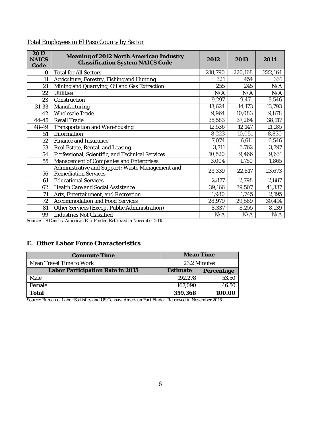## Total Employees in El Paso County by Sector

| 2012<br><b>NAICS</b><br>Code | Meaning of 2012 North American Industry<br><b>Classification System NAICS Code</b> | 2012    | 2013    | 2014    |
|------------------------------|------------------------------------------------------------------------------------|---------|---------|---------|
| $\circ$                      | <b>Total for All Sectors</b>                                                       | 218,790 | 220,168 | 222,164 |
| 11                           | Agriculture, Forestry, Fishing and Hunting                                         | 321     | 454     | 331     |
| 21                           | Mining and Quarrying; Oil and Gas Extraction                                       | 255     | 245     | N/A     |
| 22                           | <b>Utilities</b>                                                                   | N/A     | N/A     | N/A     |
| 23                           | Construction                                                                       | 9,297   | 9,471   | 9,546   |
| $31 - 33$                    | Manufacturing                                                                      | 13,624  | 14,173  | 13,793  |
| 42                           | Wholesale Trade                                                                    | 9,964   | 10,083  | 9,878   |
| $44 - 45$                    | Retail Trade                                                                       | 35,583  | 37,264  | 38,117  |
| 48-49                        | Transportation and Warehousing                                                     | 12,536  | 12,147  | 11,185  |
| 51                           | Information                                                                        | 8,223   | 10,051  | 8,830   |
| 52                           | Finance and Insurance                                                              | 7,074   | 6,611   | 6,546   |
| 53                           | Real Estate, Rental, and Leasing                                                   | 3,711   | 3,762   | 3,797   |
| 54                           | Professional, Scientific, and Technical Services                                   | 10,520  | 9,466   | 9,631   |
| 55                           | Management of Companies and Enterprises                                            | 3,004   | 1,750   | 1,865   |
| 56                           | Administrative and Support; Waste Management and<br><b>Remediation Services</b>    | 23,339  | 22,817  | 23,673  |
| 61                           | <b>Educational Services</b>                                                        | 2,877   | 2,798   | 2,887   |
| 62                           | Health Care and Social Assistance                                                  | 39,166  | 39,507  | 41,337  |
| 71                           | Arts, Entertainment, and Recreation                                                | 1,980   | 1,745   | 2,195   |
| 72                           | Accommodation and Food Services                                                    | 28,979  | 29,569  | 30,414  |
| 81                           | Other Services (Except Public Administration)                                      | 8,337   | 8,255   | 8,139   |
| 99                           | Industries Not Classified                                                          | N/A     | N/A     | N/A     |

Source: US Census- American Fact Finder. Retrieved in November 2015.

### <span id="page-7-0"></span>**E. Other Labor Force Characteristics**

| Commute Time                             | Mean Time |            |  |  |
|------------------------------------------|-----------|------------|--|--|
| Mean Travel Time to Work<br>23.2 Minutes |           |            |  |  |
| Labor Participation Rate in 2015         | Estimate  | Percentage |  |  |
| Male                                     | 192.278   | 53.50      |  |  |
| Female                                   | 167.090   | 46.50      |  |  |
| Гоtal                                    | 359,368   |            |  |  |

Source[: Bureau of Labor Statistics](http://www.bls.gov/) and US Census- American Fact Finder. Retrieved in November 2015.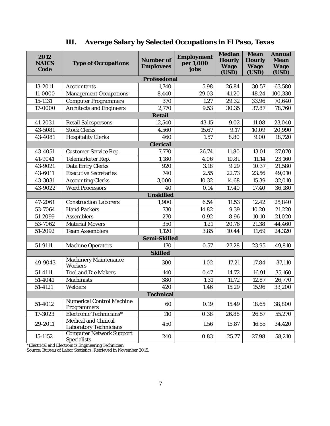<span id="page-8-0"></span>

| 2012<br><b>NAICS</b><br>Code | Type of Occupations                            | Number of<br>Employees | Employment<br>per 1,000<br>jobs | Median<br>Hourly<br>Wage<br>(USD) | Mean<br>Hourly<br>Wage<br>(USD) | Annual<br>Mean<br>Wage<br>(USD) |
|------------------------------|------------------------------------------------|------------------------|---------------------------------|-----------------------------------|---------------------------------|---------------------------------|
|                              |                                                | Professional           |                                 |                                   |                                 |                                 |
| 13-2011                      | Accountants                                    | 1,740                  | 5.98                            | 26.84                             | 30.57                           | 63,580                          |
| 11-0000                      | Management Occupations                         | 8,440                  | 29.03                           | 41.20                             | 48.24                           | 100,330                         |
| 15-1131                      | <b>Computer Programmers</b>                    | 370                    | 1.27                            | 29.32                             | 33.96                           | 70,640                          |
| $\overline{17} - 0000$       | Architects and Engineers                       | 2,770                  | 9.53                            | 30.35                             | 37.87                           | 78,760                          |
|                              |                                                | Retail                 |                                 |                                   |                                 |                                 |
| 41-2031                      | Retail Salespersons                            | 12,540                 | 43.15                           | 9.02                              | 11.08                           | 23,040                          |
| 43-5081                      | <b>Stock Clerks</b>                            | 4,560                  | 15.67                           | 9.17                              | 10.09                           | 20,990                          |
| 43-4081                      | <b>Hospitality Clerks</b>                      | 460                    | 1.57                            | 8.80                              | 9.00                            | 18,720                          |
|                              |                                                | Clerical               |                                 |                                   |                                 |                                 |
| 43-4051                      | Customer Service Rep.                          | 7,770                  | 26.74                           | 11.80                             | 13.01                           | 27,070                          |
| 41-9041                      | Telemarketer Rep.                              | 1,180                  | 4.06                            | 10.81                             | 11.14                           | 23,160                          |
| 43-9021                      | Data Entry Clerks                              | 920                    | 3.18                            | 9.29                              | 10.37                           | 21,580                          |
| 43-6011                      | <b>Executive Secretaries</b>                   | 740                    | 2.55                            | 22.73                             | 23.56                           | 49,010                          |
| 43-3031                      | <b>Accounting Clerks</b>                       | 3,000                  | 10.32                           | 14.68                             | 15.39                           | 32,010                          |
| 43-9022                      | <b>Word Processors</b>                         | 40                     | 0.14                            | 17.40                             | 17.40                           | 36,180                          |
|                              |                                                | Unskilled              |                                 |                                   |                                 |                                 |
| 47-2061                      | <b>Construction Laborers</b>                   | 1,900                  | 6.54                            | 11.53                             | 12.42                           | 25,840                          |
| 53-7064                      | <b>Hand Packers</b>                            | 730                    | 14.82                           | 9.39                              | 10.20                           | 21,220                          |
| 51-2099                      | Assemblers                                     | 270                    | 0.92                            | 8.96                              | 10.10                           | 21,020                          |
| 53-7062                      | Material Movers                                | 350                    | 1.21                            | 20.76                             | 21.38                           | 44,460                          |
| 51-2092                      | <b>Team Assemblers</b>                         | 1,120                  | 3.85                            | 10.44                             | 11.69                           | 24,320                          |
|                              |                                                | Semi-Skilled           |                                 |                                   |                                 |                                 |
| 51-9111                      | Machine Operators                              | 170                    | 0.57                            | 27.28                             | 23.95                           | 49,810                          |
|                              |                                                | Skilled                |                                 |                                   |                                 |                                 |
| 49-9043                      | Machinery Maintenance<br>Workers               | 300                    | 1.02                            | 17.21                             | 17.84                           | 37,110                          |
| 51-4111                      | <b>Tool and Die Makers</b>                     | 140                    | 0.47                            | 14.72                             | 16.91                           | 35,160                          |
| 51-4041                      | Machinists                                     | 380                    | 1.31                            | 11.72                             | 12.87                           | 26,770                          |
| 51-4121                      | Welders                                        | 420                    | 1.46                            | 15.29                             | 15.96                           | 33,200                          |
|                              |                                                | Technical              |                                 |                                   |                                 |                                 |
| 51-4012                      | Numerical Control Machine<br>Programmers       | 60                     | 0.19                            | 15.49                             | 18.65                           | 38,800                          |
| 17-3023                      | Electronic Technicians*                        | 110                    | 0.38                            | 26.88                             | 26.57                           | 55,270                          |
| 29-2011                      | Medical and Clinical<br>Laboratory Technicians | 450                    | 1.56                            | 15.87                             | 16.55                           | 34,420                          |
| 15-1152                      | Computer Network Support<br>Specialists        | 240                    | 0.83                            | 25.77                             | 27.98                           | 58,210                          |

# **III. Average Salary by Selected Occupations in El Paso, Texas**

\*Electrical and Electronics Engineering Technician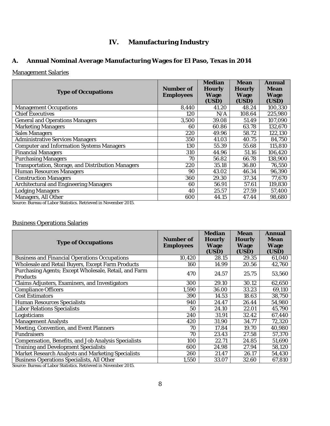## **IV. Manufacturing Industry**

## <span id="page-9-1"></span><span id="page-9-0"></span>**A. Annual Nominal Average Manufacturing Wages for El Paso, Texas in 2014**

### Management Salaries

| <b>Type of Occupations</b>                                                              | Number of<br>Employees | Median<br><b>Hourly</b><br>Wage<br>(USD) | Mean<br>Hourly<br>Wage<br>(USD) | Annual<br>Mean<br>Wage<br>(USD) |
|-----------------------------------------------------------------------------------------|------------------------|------------------------------------------|---------------------------------|---------------------------------|
| Management Occupations                                                                  | 8,440                  | 41.20                                    | 48.24                           | 100,330                         |
| <b>Chief Executives</b>                                                                 | 120                    | N/A                                      | 108.64                          | 225,980                         |
| General and Operations Managers                                                         | 3,500                  | 39.08                                    | 51.49                           | 107,090                         |
| <b>Marketing Managers</b>                                                               | 60                     | 60.86                                    | 63.78                           | 132,670                         |
| Sales Managers                                                                          | 220                    | 49.96                                    | 58.72                           | 122,130                         |
| Administrative Services Managers                                                        | 350                    | 41.03                                    | 40.75                           | 84,750                          |
| <b>Computer and Information Systems Managers</b>                                        | 130                    | 55.39                                    | 55.68                           | 115,810                         |
| <b>Financial Managers</b>                                                               | 310                    | 44.96                                    | 51.16                           | 106,420                         |
| <b>Purchasing Managers</b>                                                              | 70                     | 56.82                                    | 66.78                           | 138,900                         |
| Transportation, Storage, and Distribution Managers                                      | 220                    | 35.18                                    | 36.80                           | 76,550                          |
| Human Resources Managers                                                                | 90                     | 43.02                                    | 46.34                           | 96,390                          |
| Construction Managers                                                                   | 360                    | 29.30                                    | 37.34                           | 77,670                          |
| Architectural and Engineering Managers                                                  | 60                     | 56.91                                    | 57.61                           | 119,830                         |
| odging Managers                                                                         | 40                     | 25.57                                    | 27.59                           | 57,400                          |
| Managers, All Other<br>Course, Dussey of Labor Ctatlettes, Detricual in Nousanben 2015. | 600                    | 44.15                                    | 47.44                           | 98,680                          |

Source: Bureau of Labor Statistics. Retrieved in November 2015.

### Business Operations Salaries

| <b>Type of Occupations</b>                                        | Number of<br><b>Employees</b> | Median<br>Hourly<br>Wage<br>(USD) | Mean<br>Hourly<br>Wage<br>(USD) | Annual<br>Mean<br>Wage<br>(USD) |
|-------------------------------------------------------------------|-------------------------------|-----------------------------------|---------------------------------|---------------------------------|
| Business and Financial Operations Occupations                     | 10,420                        | 28.15                             | 29.35                           | 61,040                          |
| Wholesale and Retail Buyers, Except Farm Products                 | 160                           | 14.99                             | 20.56                           | 42,760                          |
| Purchasing Agents; Except Wholesale, Retail, and Farm<br>Products | 470                           | 24.57                             | 25.75                           | 53,560                          |
| Claims Adjusters, Examiners, and Investigators                    | 300                           | 29.10                             | 30.12                           | 62,650                          |
| <b>Compliance Officers</b>                                        | 1,590                         | 36.00                             | 33.23                           | 69,110                          |
| Cost Estimators                                                   | 390                           | 14.53                             | 18.63                           | 38,750                          |
| Human Resources Specialists                                       | 940                           | 24.47                             | 26.44                           | 54,980                          |
| abor Relations Specialists                                        | 50                            | 24.10                             | 22.01                           | 45,790                          |
| Logisticians                                                      | 240                           | 31.91                             | 32.42                           | 67,440                          |
| Management Analysts                                               | 420                           | 31.90                             | 34.77                           | 72,320                          |
| Meeting, Convention, and Event Planners                           | 70                            | 17.84                             | 19.70                           | 40,980                          |
| Fundraisers                                                       | 70                            | 23.43                             | 27.58                           | 57,370                          |
| Compensation, Benefits, and Job Analysis Specialists              | 100                           | 22.71                             | 24.85                           | 51,690                          |
| Training and Development Specialists                              | 600                           | 24.98                             | 27.94                           | 58,120                          |
| Market Research Analysts and Marketing Specialists                | 260                           | 21.47                             | 26.17                           | 54,430                          |
| Business Operations Specialists, All Other                        | 1,550                         | 33.07                             | 32.60                           | 67,810                          |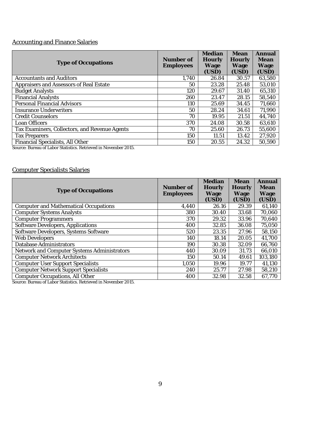# Accounting and Finance Salaries

| Type of Occupations                                                         | Number of<br><b>Employees</b> | Median<br>Hourly<br>Wage<br>(USD) | <b>Mean</b><br><b>Hourly</b><br>Wage<br>(USD) | Annual<br>Mean<br>Wage<br>(USD) |
|-----------------------------------------------------------------------------|-------------------------------|-----------------------------------|-----------------------------------------------|---------------------------------|
| <b>Accountants and Auditors</b>                                             | 1,740                         | 26.84                             | 30.57                                         | 63,580                          |
| Appraisers and Assessors of Real Estate                                     | 50                            | 23.28                             | 25.48                                         | 53,010                          |
| <b>Budget Analysts</b>                                                      | 120                           | 29.67                             | 31.40                                         | 65,310                          |
| <b>Financial Analysts</b>                                                   | 260                           | 23.47                             | 28.15                                         | 58,540                          |
| Personal Financial Advisors                                                 | 110                           | 25.69                             | 34.45                                         | 71,660                          |
| Insurance Underwriters                                                      | 50                            | 28.24                             | 34.61                                         | 71,990                          |
| <b>Credit Counselors</b>                                                    | 70                            | 19.95                             | 21.51                                         | 44,740                          |
| _oan Officers                                                               | 370                           | 24.08                             | 30.58                                         | 63,610                          |
| Tax Examiners, Collectors, and Revenue Agents                               | 70                            | 25.60                             | 26.73                                         | 55,600                          |
| <b>Tax Preparers</b>                                                        | 150                           | 11.51                             | 13.42                                         | 27,920                          |
| Financial Specialists, All Other<br>$\cdots$<br>$\sim$ $\sim$ $\sim$ $\sim$ | 150                           | 20.55                             | 24.32                                         | 50,590                          |

Source: Bureau of Labor Statistics. Retrieved in November 2015.

### Computer Specialists Salaries

| <b>Type of Occupations</b>                   | Number of<br><b>Employees</b> | Median<br>Hourly<br>Wage<br>(USD) | Mean<br><b>Hourly</b><br>Wage<br>(USD) | Annual<br>Mean<br>Wage<br>(USD) |
|----------------------------------------------|-------------------------------|-----------------------------------|----------------------------------------|---------------------------------|
| <b>Computer and Mathematical Occupations</b> | 4,440                         | 26.16                             | 29.39                                  | 61,140                          |
| <b>Computer Systems Analysts</b>             | 380                           | 30.40                             | 33.68                                  | 70,060                          |
| <b>Computer Programmers</b>                  | 370                           | 29.32                             | 33.96                                  | 70,640                          |
| Software Developers, Applications            | 400                           | 32.85                             | 36.08                                  | 75,050                          |
| Software Developers, Systems Software        | 520                           | 23.35                             | 27.96                                  | 58,150                          |
| Web Developers                               | 140                           | 18.14                             | 20.05                                  | 41,700                          |
| Database Administrators                      | 190                           | 30.38                             | 32.09                                  | 66,760                          |
| Network and Computer Systems Administrators  | 440                           | 30.09                             | 31.73                                  | 66,010                          |
| <b>Computer Network Architects</b>           | 150                           | 50.14                             | 49.61                                  | 103,180                         |
| <b>Computer User Support Specialists</b>     | 1,050                         | 19.96                             | 19.77                                  | 41,130                          |
| Computer Network Support Specialists         | 240                           | 25.77                             | 27.98                                  | 58,210                          |
| Computer Occupations, All Other              | 400                           | 32.98                             | 32.58                                  | 67,770                          |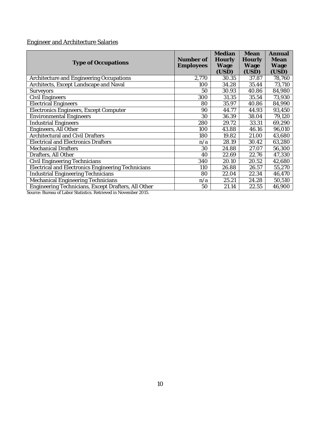# Engineer and Architecture Salaries

|                                                     |           | Median | Mean   | Annual |
|-----------------------------------------------------|-----------|--------|--------|--------|
| Type of Occupations                                 | Number of | Hourly | Hourly | Mean   |
|                                                     | Employees | Wage   | Wage   | Wage   |
|                                                     |           | (USD)  | (USD)  | (USD)  |
| Architecture and Engineering Occupations            | 2,770     | 30.35  | 37.87  | 78,760 |
| Architects, Except Landscape and Naval              | 100       | 34.28  | 35.44  | 73,710 |
| Surveyors                                           | 50        | 30.93  | 40.86  | 84,980 |
| Civil Engineers                                     | 300       | 31.35  | 35.54  | 73,930 |
| <b>Electrical Engineers</b>                         | 80        | 35.97  | 40.86  | 84,990 |
| Electronics Engineers, Except Computer              | 90        | 44.77  | 44.93  | 93,450 |
| <b>Environmental Engineers</b>                      | 30        | 36.39  | 38.04  | 79,120 |
| <b>Industrial Engineers</b>                         | 280       | 29.72  | 33.31  | 69,290 |
| Engineers, All Other                                | 100       | 43.88  | 46.16  | 96,010 |
| Architectural and Civil Drafters                    | 180       | 19.82  | 21.00  | 43,680 |
| <b>Electrical and Electronics Drafters</b>          | n/a       | 28.19  | 30.42  | 63,280 |
| <b>Mechanical Drafters</b>                          | 30        | 24.88  | 27.07  | 56,300 |
| Drafters, All Other                                 | 40        | 22.69  | 22.76  | 47,330 |
| Civil Engineering Technicians                       | 340       | 20.10  | 20.52  | 42,680 |
| Electrical and Electronics Engineering Technicians  | 110       | 26.88  | 26.57  | 55,270 |
| <b>Industrial Engineering Technicians</b>           | 80        | 22.04  | 22.34  | 46,470 |
| Mechanical Engineering Technicians                  | n/a       | 25.21  | 24.28  | 50,510 |
| Engineering Technicians, Except Drafters, All Other | 50        | 21.14  | 22.55  | 46,900 |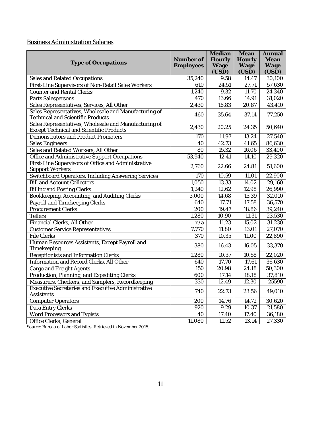### Business Administration Salaries

| <b>Type of Occupations</b>                                                                               | Number of<br>Employees | Median<br>Hourly<br>Wage<br>(USD) | Mean<br>Hourly<br>Wage<br>(USD) | Annual<br>Mean<br>Wage<br>(USD) |
|----------------------------------------------------------------------------------------------------------|------------------------|-----------------------------------|---------------------------------|---------------------------------|
| Sales and Related Occupations                                                                            | 35,240                 | 9.58                              | 14.47                           | 30,100                          |
| First-Line Supervisors of Non-Retail Sales Workers                                                       | 610                    | 24.51                             | 27.71                           | 57,630                          |
| <b>Counter and Rental Clerks</b>                                                                         | 1,240                  | 9.32                              | 11.70                           | 24,340                          |
| Parts Salespersons                                                                                       | 470                    | 13.66                             | 14.91                           | 31,020                          |
| Sales Representatives, Services, All Other                                                               | 2,430                  | 16.83                             | 20.87                           | 43,410                          |
| Sales Representatives, Wholesale and Manufacturing of<br>Technical and Scientific Products               | 460                    | 35.64                             | 37.14                           | 77,250                          |
| Sales Representatives, Wholesale and Manufacturing of<br><b>Except Technical and Scientific Products</b> | 2,430                  | 20.25                             | 24.35                           | 50,640                          |
| Demonstrators and Product Promoters                                                                      | 170                    | 11.97                             | 13.24                           | 27,540                          |
| Sales Engineers                                                                                          | 40                     | 42.73                             | $\overline{41.65}$              | 86,630                          |
| Sales and Related Workers, All Other                                                                     | 80                     | 15.32                             | 16.06                           | 33,400                          |
| Office and Administrative Support Occupations                                                            | 53,940                 | 12.41                             | 14.10                           | 29,320                          |
| First-Line Supervisors of Office and Administrative<br>Support Workers                                   | 2,760                  | 22.66                             | 24.81                           | 51,600                          |
| Switchboard Operators, Including Answering Services                                                      | 170                    | 10.59                             | 11.01                           | 22,900                          |
| <b>Bill and Account Collectors</b>                                                                       | 1,050                  | 13.33                             | 14.02                           | 29,160                          |
| <b>Billing and Posting Clerks</b>                                                                        | 1,240                  | 12.62                             | 12.98                           | 26,990                          |
| Bookkeeping, Accounting, and Auditing Clerks                                                             | 3,000                  | 14.68                             | 15.39                           | 32,010                          |
| Payroll and Timekeeping Clerks                                                                           | 640                    | 17.71                             | 17.58                           | 36,570                          |
| Procurement Clerks                                                                                       | 200                    | 19.47                             | 18.86                           | 39,240                          |
| Tellers                                                                                                  | 1,280                  | 10.90                             | 11.31                           | 23,530                          |
| Financial Clerks, All Other                                                                              | n/a                    | 11.23                             | 15.02                           | 31,230                          |
| <b>Customer Service Representatives</b>                                                                  | $\overline{7,770}$     | 11.80                             | 13.01                           | 27,070                          |
| <b>File Clerks</b>                                                                                       | 370                    | 10.35                             | 11.00                           | 22,890                          |
| Human Resources Assistants, Except Payroll and<br>Timekeeping                                            | 380                    | 16.43                             | 16.05                           | 33,370                          |
| Receptionists and Information Clerks                                                                     | 1,280                  | 10.37                             | 10.58                           | 22,020                          |
| Information and Record Clerks, All Other                                                                 | 640                    | 17.70                             | 17.61                           | 36,630                          |
| Cargo and Freight Agents                                                                                 | 150                    | 20.98                             | 24.18                           | 50,300                          |
| Production, Planning, and Expediting Clerks                                                              | 600                    | 17.14                             | 18.18                           | 37,810                          |
| Measurers, Checkers, and Samplers, Recordkeeping                                                         | 330                    | 12.49                             | 12.30                           | 25590                           |
| Executive Secretaries and Executive Administrative<br>Assistants                                         | 740                    | 22.73                             | 23.56                           | 49,010                          |
| <b>Computer Operators</b>                                                                                | 200                    | 14.76                             | 14.72                           | 30,620                          |
| Data Entry Clerks                                                                                        | 920                    | 9.29                              | 10.37                           | 21,580                          |
| Word Processors and Typists                                                                              | 40                     | 17.40                             | 17.40                           | 36,180                          |
| Office Clerks, General                                                                                   | 11,080                 | 11.52                             | 13.14                           | 27,330                          |
|                                                                                                          |                        |                                   |                                 |                                 |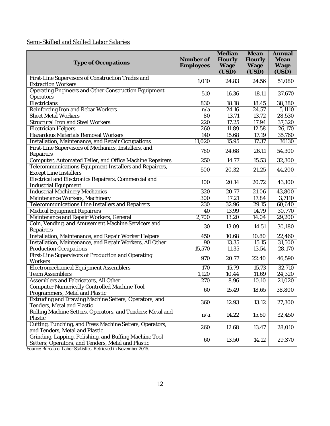### Semi-Skilled and Skilled Labor Salaries

| Type of Occupations                                                                                          | Number of<br>Employees | Median<br>Hourly<br>Wage<br>(USD) | Mean<br>Hourly<br>Wage<br>(USD) | Annual<br>Mean<br>Wage<br>(USD) |
|--------------------------------------------------------------------------------------------------------------|------------------------|-----------------------------------|---------------------------------|---------------------------------|
| First-Line Supervisors of Construction Trades and<br><b>Extraction Workers</b>                               | 1,010                  | 24.83                             | 24.56                           | 51,080                          |
| Operating Engineers and Other Construction Equipment<br>Operators                                            | 510                    | 16.36                             | 18.11                           | 37,670                          |
| Electricians                                                                                                 | 830                    | 18.18                             | 18.45                           | 38,380                          |
| Reinforcing Iron and Rebar Workers                                                                           | n/a                    | 24.16                             | 24.57                           | 5,1110                          |
| Sheet Metal Workers                                                                                          | 80                     | 13.71                             | 13.72                           | 28,530                          |
| Structural Iron and Steel Workers                                                                            | 220                    | 17.25                             | 17.94                           | 37,320                          |
| <b>Electrician Helpers</b>                                                                                   | 260                    | 11.89                             | 12.58                           | 26,170                          |
| Hazardous Materials Removal Workers                                                                          | 140                    | 15.68                             | 17.19                           | 35,760                          |
| Installation, Maintenance, and Repair Occupations                                                            | 11,020                 | 15.95                             | 17.37                           | 36130                           |
| First-Line Supervisors of Mechanics, Installers, and<br>Repairers                                            | 780                    | 24.68                             | 26.11                           | 54,300                          |
| Computer, Automated Teller, and Office Machine Repairers                                                     | 250                    | 14.77                             | 15.53                           | 32,300                          |
| Telecommunications Equipment Installers and Repairers,<br><b>Except Line Installers</b>                      | 500                    | 20.32                             | 21.25                           | 44,200                          |
| Electrical and Electronics Repairers, Commercial and<br>Industrial Equipment                                 | 100                    | 20.14                             | 20.72                           | 43,100                          |
| <b>Industrial Machinery Mechanics</b>                                                                        | 320                    | 20.77                             | 21.06                           | 43,800                          |
| Maintenance Workers, Machinery                                                                               | 300                    | 17.21                             | 17.84                           | 3,7110                          |
| Telecommunications Line Installers and Repairers                                                             | 230                    | 32.96                             | 29.15                           | 60,640                          |
| Medical Equipment Repairers                                                                                  | 40                     | 13.99                             | 14.79                           | 30,770                          |
| Maintenance and Repair Workers, General                                                                      | 2,700                  | 13.20                             | 14.04                           | 29,200                          |
| Coin, Vending, and Amusement Machine Servicers and<br>Repairers                                              | 30                     | 13.09                             | 14.51                           | 30,180                          |
| Installation, Maintenance, and Repair Worker Helpers                                                         | 450                    | 10.68                             | 10.80                           | 22,460                          |
| Installation, Maintenance, and Repair Workers, All Other                                                     | 90                     | 13.35                             | 15.15                           | 31,500                          |
| <b>Production Occupations</b>                                                                                | 15,570                 | 11.35                             | 13.54                           | 28,170                          |
| First-Line Supervisors of Production and Operating<br>Workers                                                | 970                    | 20.77                             | 22.40                           | 46,590                          |
| Electromechanical Equipment Assemblers                                                                       | 170                    | 15.79                             | 15.73                           | 32,710                          |
| <b>Team Assemblers</b>                                                                                       | 1,120                  | 10.44                             | 11.69                           | 24,320                          |
| Assemblers and Fabricators, All Other                                                                        | 270                    | 8.96                              | 10.10                           | 21,020                          |
| Computer Numerically Controlled Machine Tool<br>Programmers, Metal and Plastic                               | 60                     | 15.49                             | 18.65                           | 38,800                          |
| Extruding and Drawing Machine Setters; Operators; and<br>Tenders, Metal and Plastic                          | 360                    | 12.93                             | 13.12                           | 27,300                          |
| Rolling Machine Setters, Operators, and Tenders; Metal and<br>Plastic                                        | n/a                    | 14.22                             | 15.60                           | 32,450                          |
| Cutting, Punching, and Press Machine Setters, Operators,<br>and Tenders, Metal and Plastic                   | 260                    | 12.68                             | 13.47                           | 28,010                          |
| Grinding, Lapping, Polishing, and Buffing Machine Tool<br>Setters; Operators, and Tenders, Metal and Plastic | 60                     | 13.50                             | 14.12                           | 29,370                          |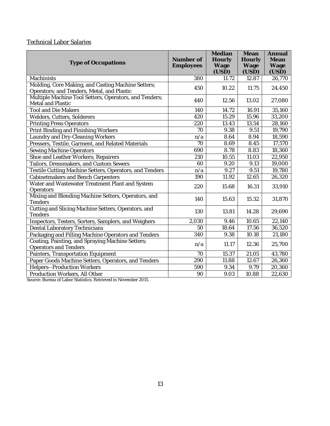### Technical Labor Salaries

| <b>Type of Occupations</b>                                                                       | Number of<br>Employees | Median<br>Hourly<br>Wage<br>(USD) | Mean<br>Hourly<br>Wage<br>(USD) | Annual<br>Mean<br>Wage<br>(USD) |
|--------------------------------------------------------------------------------------------------|------------------------|-----------------------------------|---------------------------------|---------------------------------|
| Machinists                                                                                       | 380                    | 11.72                             | 12.87                           | 26,770                          |
| Molding, Core Making, and Casting Machine Setters;<br>Operators; and Tenders, Metal, and Plastic | 450                    | 10.22                             | 11.75                           | 24,450                          |
| Multiple Machine Tool Setters, Operators, and Tenders;<br>Metal and Plastic                      | 440                    | 12.56                             | 13.02                           | 27,080                          |
| Tool and Die Makers                                                                              | 140                    | 14.72                             | 16.91                           | 35,160                          |
| Welders, Cutters, Solderers                                                                      | 420                    | 15.29                             | 15.96                           | 33,200                          |
| <b>Printing Press Operators</b>                                                                  | 220                    | 13.43                             | 13.54                           | 28,160                          |
| Print Binding and Finishing Workers                                                              | 70                     | $\overline{9.38}$                 | 9.51                            | 19,790                          |
| Laundry and Dry-Cleaning Workers                                                                 | n/a                    | 8.64                              | 8.94                            | 18,590                          |
| Pressers, Textile, Garment, and Related Materials                                                | 70                     | 8.69                              | 8.45                            | 17,570                          |
| Sewing Machine Operators                                                                         | 690                    | 8.78                              | 8.83                            | 18,360                          |
| Shoe and Leather Workers; Repairers                                                              | 210                    | 10.55                             | 11.03                           | 22,950                          |
| Tailors, Dressmakers, and Custom Sewers                                                          | 60                     | 9.20                              | 9.13                            | 19,000                          |
| Textile Cutting Machine Setters, Operators, and Tenders                                          | n/a                    | 9.27                              | 9.51                            | 19,780                          |
| Cabinetmakers and Bench Carpenters                                                               | 190                    | 11.92                             | 12.65                           | 26,320                          |
| Water and Wastewater Treatment Plant and System<br>Operators                                     | 220                    | 15.68                             | 16.31                           | 33,910                          |
| Mixing and Blending Machine Setters, Operators, and<br>Tenders                                   | 140                    | 15.63                             | 15.32                           | 31,870                          |
| Cutting and Slicing Machine Setters, Operators, and<br>Tenders                                   | 130                    | 13.81                             | 14.28                           | 29,690                          |
| Inspectors, Testers, Sorters, Samplers, and Weighers                                             | 2,030                  | 9.46                              | 10.65                           | 22,140                          |
| Dental Laboratory Technicians                                                                    | 50                     | 18.64                             | 17.56                           | 36,520                          |
| Packaging and Filling Machine Operators and Tenders                                              | 340                    | 9.38                              | 10.18                           | 21,180                          |
| Coating, Painting, and Spraying Machine Setters;<br>Operators and Tenders                        | n/a                    | 11.17                             | 12.36                           | 25,700                          |
| Painters, Transportation Equipment                                                               | 70                     | 15.37                             | 21.05                           | 43,780                          |
| Paper Goods Machine Setters, Operators, and Tenders                                              | 290                    | 11.88                             | 12.67                           | 26,360                          |
| Helpers--Production Workers                                                                      | 590                    | 9.34                              | 9.79                            | 20,360                          |
| Production Workers, All Other                                                                    | 90                     | 9.03                              | 10.88                           | 22,630                          |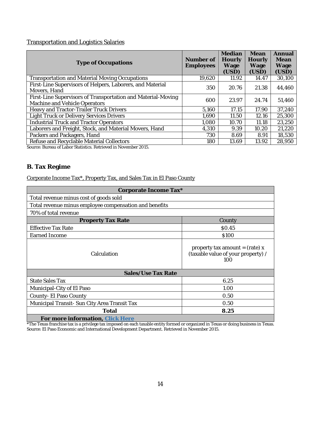### Transportation and Logistics Salaries

| <b>Type of Occupations</b>                                                                    | Number of<br><b>Employees</b> | Median<br>Hourly<br>Wage<br>(USD) | Mean<br>Hourly<br>Wage<br>(USD) | Annual<br>Mean<br>Wage<br>(USD) |
|-----------------------------------------------------------------------------------------------|-------------------------------|-----------------------------------|---------------------------------|---------------------------------|
| Transportation and Material Moving Occupations                                                | 19,620                        | 11.92                             | 14.47                           | 30,100                          |
| First-Line Supervisors of Helpers, Laborers, and Material<br>Movers, Hand                     | 350                           | 20.76                             | 21.38                           | 44,460                          |
| First-Line Supervisors of Transportation and Material-Moving<br>Machine and Vehicle Operators | 600                           | 23.97                             | 24.74                           | 51,460                          |
| Heavy and Tractor-Trailer Truck Drivers                                                       | 5.160                         | 17.15                             | 17.90                           | 37,240                          |
| Light Truck or Delivery Services Drivers                                                      | 1,690                         | 11.50                             | 12.16                           | 25,300                          |
| <b>Industrial Truck and Tractor Operators</b>                                                 | 1,080                         | 10.70                             | 11.18                           | 23,250                          |
| Laborers and Freight, Stock, and Material Movers, Hand                                        | 4,310                         | 9.39                              | 10.20                           | 21,220                          |
| Packers and Packagers, Hand                                                                   | 730                           | 8.69                              | 8.91                            | 18,530                          |
| Refuse and Recyclable Material Collectors                                                     | 180                           | 13.69                             | 13.92                           | 28,950                          |

Source: Bureau of Labor Statistics. Retrieved in November 2015.

### <span id="page-15-0"></span>**B. Tax Regime**

## Corporate Income Tax\*, Property Tax, and Sales Tax in El Paso County

| Corporate Income Tax*                                  |                                                                                      |  |  |  |
|--------------------------------------------------------|--------------------------------------------------------------------------------------|--|--|--|
| Total revenue minus cost of goods sold                 |                                                                                      |  |  |  |
| Total revenue minus employee compensation and benefits |                                                                                      |  |  |  |
| 70% of total revenue                                   |                                                                                      |  |  |  |
| Property Tax Rate                                      | County                                                                               |  |  |  |
| <b>Effective Tax Rate</b>                              | \$0.45                                                                               |  |  |  |
| Earned Income                                          | \$100                                                                                |  |  |  |
| Calculation                                            | property tax amount = $(\text{rate})$ x<br>(taxable value of your property) /<br>100 |  |  |  |
| Sales/Use Tax Rate                                     |                                                                                      |  |  |  |
| State Sales Tax                                        | 6.25                                                                                 |  |  |  |
| Municipal-City of El Paso                              | 1.00                                                                                 |  |  |  |
| County- El Paso County                                 | 0.50                                                                                 |  |  |  |
| Municipal Transit- Sun City Area Transit Tax           | 0.50                                                                                 |  |  |  |
| Total                                                  | 8.25                                                                                 |  |  |  |
| For more information, Click Here                       |                                                                                      |  |  |  |

\*The Texas franchise tax is a privilege tax imposed on each taxable entity formed or organized in Texas or doing business in Texas. Source: El Paso Economic and International Development Department. Retrieved in November 2015.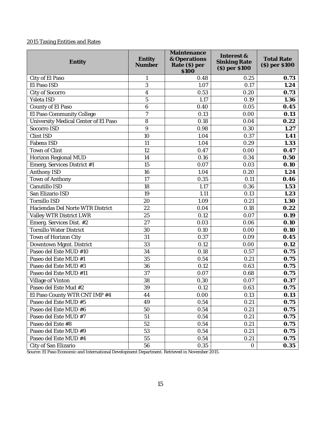### 2015 Taxing Entities and Rates

| Entity                               | Entity<br>Number | Maintenance<br>& Operations<br>Rate (\$) per<br>\$100 | Interest &<br>Sinking Rate<br>(\$) per \$100 | <b>Total Rate</b><br>\$) per \$100 |
|--------------------------------------|------------------|-------------------------------------------------------|----------------------------------------------|------------------------------------|
| City of El Paso                      | 1                | 0.48                                                  | 0.25                                         | 0.73                               |
| El Paso ISD                          | 3                | 1.07                                                  | 0.17                                         | 1.24                               |
| City of Socorro                      | $\overline{4}$   | 0.53                                                  | 0.20                                         | 0.73                               |
| Ysleta ISD                           | 5                | 1.17                                                  | 0.19                                         | 1.36                               |
| County of El Paso                    | 6                | 0.40                                                  | 0.05                                         | 0.45                               |
| El Paso Community College            | $\overline{7}$   | 0.13                                                  | 0.00                                         | O.13                               |
| University Medical Center of El Paso | 8                | 0.18                                                  | 0.04                                         | 0.22                               |
| Socorro ISD                          | 9                | 0.98                                                  | 0.30                                         | 1.27                               |
| Clint ISD                            | 10               | 1.04                                                  | 0.37                                         | 1.41                               |
| Fabens ISD                           | 11               | 1.04                                                  | 0.29                                         | 1.33                               |
| Town of Clint                        | 12               | 0.47                                                  | 0.00                                         | O.47                               |
| Horizon Regional MUD                 | 14               | 0.16                                                  | 0.34                                         | 0.50                               |
| Emerg. Services District #1          | 15               | 0.07                                                  | 0.03                                         | 0.10                               |
| Anthony ISD                          | 16               | 1.04                                                  | 0.20                                         | 1.24                               |
| Town of Anthony                      | 17               | 0.35                                                  | 0.11                                         | 0.46                               |
| Canutillo ISD                        | 18               | 1.17                                                  | 0.36                                         | 1.53                               |
| San Elizario ISD                     | 19               | 1.11                                                  | 0.13                                         | 1.23                               |
| Tornillo ISD                         | 20               | 1.09                                                  | 0.21                                         | 1.30                               |
| Haciendas Del Norte WTR District     | 22               | 0.04                                                  | 0.18                                         | 0.22                               |
| Valley WTR District LWR              | 25               | 0.12                                                  | 0.07                                         | 0.19                               |
| Emerg. Services Dist. #2             | 27               | 0.03                                                  | 0.06                                         | <b>0.10</b>                        |
| Tornillo Water District              | 30               | 0.10                                                  | 0.00                                         | 0.10                               |
| Town of Horizon City                 | 31               | 0.37                                                  | 0.09                                         | 0.45                               |
| Downtown Mgmt. District              | 33               | 0.12                                                  | 0.00                                         | 0.12                               |
| Paseo del Este MUD #10               | 34               | 0.18                                                  | 0.57                                         | O.75                               |
| Paseo del Este MUD #1                | 35               | 0.54                                                  | 0.21                                         | O.75                               |
| Paseo del Este MUD #3                | 36               | 0.12                                                  | 0.63                                         | 0.75                               |
| Paseo del Este MUD #11               | 37               | 0.07                                                  | 0.68                                         | 0.75                               |
| Village of Vinton                    | 38               | 0.30                                                  | 0.07                                         | O.37                               |
| Paseo del Este Mud #2                | 39               | 0.12                                                  | 0.63                                         | 0.75                               |
| El Paso County WTR CNT IMP #4        | 44               | 0.00                                                  | 0.13                                         | 0.13                               |
| Paseo del Este MUD #5                | 49               | 0.54                                                  | 0.21                                         | 0.75                               |
| Paseo del Este MUD #6                | 50               | 0.54                                                  | 0.21                                         | 0.75                               |
| Paseo del Este MUD #7                | 51               | 0.54                                                  | 0.21                                         | O.75                               |
| Paseo del Este #8                    | 52               | 0.54                                                  | 0.21                                         | 0.75                               |
| Paseo del Este MUD #9                | 53               | 0.54                                                  | 0.21                                         | 0.75                               |
| Paseo del Este MUD #4                | 55               | 0.54                                                  | 0.21                                         | 0.75                               |
| City of San Elizario                 | 56               | 0.35                                                  | $\bigcirc$                                   | 0.35                               |

Source[: El Paso Economic and International Development Department.](https://www.elpasotexas.gov/economic-development) Retrieved in November 2015.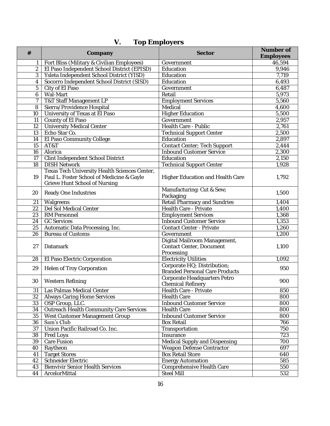<span id="page-17-0"></span>

| #               | Company                                                                                                                     | Sector                                                                 | Number of<br>Employees |
|-----------------|-----------------------------------------------------------------------------------------------------------------------------|------------------------------------------------------------------------|------------------------|
|                 | Fort Bliss (Military & Civilian Employees)                                                                                  | Government                                                             | 46,594                 |
| $\overline{2}$  | El Paso Independent School District (EPISD)                                                                                 | Education                                                              | 9,946                  |
| 3               | Ysleta Independent School District (YISD)                                                                                   | Education                                                              | 7,719                  |
| $\overline{4}$  | Socorro Independent School District (SISD)                                                                                  | Education                                                              | 6,493                  |
| 5               | City of El Paso                                                                                                             | Government                                                             | 6,487                  |
| 6               | Wal-Mart                                                                                                                    | Retail                                                                 | 5,973                  |
| 7               | <b>T&amp;T Staff Management LP</b>                                                                                          | <b>Employment Services</b>                                             | 5,560                  |
| $\overline{8}$  | Sierra/Providence Hospital                                                                                                  | Medical                                                                | 4,600                  |
| 10              | University of Texas at El Paso                                                                                              | <b>Higher Education</b>                                                | 5,500                  |
| 11              | County of El Paso                                                                                                           | Government                                                             | 2,957                  |
| $\overline{12}$ | <b>University Medical Center</b>                                                                                            | Health Care - Public                                                   | 2,761                  |
| 13              | Echo Star Co.                                                                                                               | <b>Technical Support Center</b>                                        | 2,500                  |
| 14              | El Paso Community College                                                                                                   | Education                                                              | 2,897                  |
| 15              | AT&T                                                                                                                        | Contact Center; Tech Support                                           | 2,444                  |
| 16              | Alorica                                                                                                                     | <b>Inbound Customer Service</b>                                        | 2,300                  |
| 17              | Clint Independent School District                                                                                           | Education                                                              | 2,150                  |
| 18              | <b>DISH Network</b>                                                                                                         | <b>Technical Support Center</b>                                        | 1,928                  |
| 19              | Texas Tech University Health Sciences Center,<br>Paul L. Foster School of Medicine & Gayle<br>Grieve Hunt School of Nursing | Higher Education and Health Care                                       | 1,792                  |
| 20              | Ready One Industries                                                                                                        | Manufacturing: Cut & Sew;<br>Packaging                                 | 1,500                  |
| 21              | Walgreens                                                                                                                   | Retail Pharmacy and Sundries                                           | 1,404                  |
| 22              | Del Sol Medical Center                                                                                                      | Health Care - Private                                                  | 1,400                  |
| 23              | RM Personnel                                                                                                                | <b>Employment Services</b>                                             | 1,368                  |
| $\overline{24}$ | <b>GC Services</b>                                                                                                          | <b>Inbound Customer Service</b>                                        | 1,353                  |
| $\overline{25}$ | Automatic Data Processing, Inc.                                                                                             | Contact Center - Private                                               | 1,260                  |
| 26              | <b>Bureau of Customs</b>                                                                                                    | Government                                                             | 1,200                  |
| 27              | Datamark                                                                                                                    | Digital Mailroom Management,<br>Contact Center, Document<br>Processing | 1,100                  |
| 28              | El Paso Electric Corporation                                                                                                | <b>Electricity Utilities</b>                                           | 1,092                  |
| 29              | Helen of Troy Corporation                                                                                                   | Corporate HQ; Distribution;<br><b>Branded Personal Care Products</b>   | 950                    |
| 30              | Western Refining                                                                                                            | Corporate Headquarters Petro<br>Chemical Refinery                      | 900                    |
| 31              | Las Palmas Medical Center                                                                                                   | Health Care - Private                                                  | 850                    |
| 32              | Always Caring Home Services                                                                                                 | <b>Health Care</b>                                                     | 800                    |
| $\overline{3}3$ | OSP Group, LLC.                                                                                                             | <b>Inbound Customer Service</b>                                        | 800                    |
| 34              | Outreach Health Community Care Services                                                                                     | <b>Health Care</b>                                                     | 800                    |
| 35              | West Customer Management Group                                                                                              | <b>Inbound Customer Service</b>                                        | 800                    |
| 36              | Sam's Club                                                                                                                  | <b>Box Retail</b>                                                      | 766                    |
| 37              | Union Pacific Railroad Co. Inc.                                                                                             | Transportation                                                         | 750                    |
| 38              | Fred Loya                                                                                                                   | Insurance                                                              | 723                    |
| 39              | Care Fusion                                                                                                                 | Medical Supply and Dispensing                                          | 700                    |
| 40              | Raytheon                                                                                                                    | Weapon Defense Contractor                                              | 697                    |
| 41              | <b>Target Stores</b>                                                                                                        | <b>Box Retail Store</b>                                                | 640                    |
| 42              | Schneider Electric                                                                                                          | <b>Energy Automation</b>                                               | 585                    |
| 43              | <b>Bienvivir Senior Health Services</b>                                                                                     | Comprehensive Health Care                                              | 550                    |
| 44              | ArcelorMittal                                                                                                               | Steel Mill                                                             | 532                    |

# **V. Top Employers**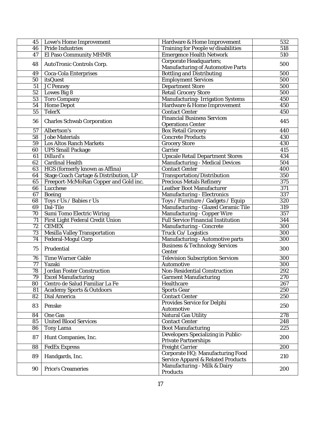| 45              | Lowe's Home Improvement                | Hardware & Home Improvement                                            | 532        |
|-----------------|----------------------------------------|------------------------------------------------------------------------|------------|
| 46              | Pride Industries                       | Training for People w/disabilities                                     | 518        |
| 47              | El Paso Community MHMR                 | <b>Emergence Health Network</b>                                        | 510        |
|                 |                                        | Corporate Headquarters;                                                |            |
| 48              | AutoTronic Controls Corp.              | Manufacturing of Automotive Parts                                      | 500        |
| 49              | Coca-Cola Enterprises                  | <b>Bottling and Distributing</b>                                       | 500        |
| 50              | <i>itsQuest</i>                        | <b>Employment Services</b>                                             | 500        |
| 51              | JC Penney                              | Department Store                                                       | 500        |
| 52              | Lowes Big 8                            | <b>Retail Grocery Store</b>                                            | 500        |
| 53              | Toro Company                           | Manufacturing- Irrigation Systems                                      | 450        |
| 54              | Home Depot                             | Hardware & Home Improvement                                            | 450        |
| 55              | TelerX                                 | Contact Center                                                         | 450        |
|                 |                                        | <b>Financial Business Services</b>                                     |            |
| 56              | Charles Schwab Corporation             | <b>Operations Center</b>                                               | 445        |
| 57              | Albertson's                            | <b>Box Retail Grocery</b>                                              | 440        |
| 58              | Jobe Materials                         | Concrete Products                                                      | 430        |
| 59              | Los Altos Ranch Markets                | <b>Grocery Store</b>                                                   | 430        |
| 60              | <b>UPS Small Package</b>               | Carrier                                                                | 415        |
| 61              | Dillard's                              | Upscale Retail Department Stores                                       | 434        |
| 62              | Cardinal Health                        | Manufacturing - Medical Devices                                        | 504        |
| 63              | HGS (formerly known as Affina)         | Contact Center                                                         | 400        |
| 64              | Stage Coach Cartage & Distribution, LP | Transportation/Distribution                                            | 350        |
| 65              | Freeport-McMoRan Copper and Gold inc.  | Precious Metals Refinery                                               | 375        |
| 66              | Lucchese                               | Leather Boot Manufacturer                                              | 371        |
|                 | Boeing                                 |                                                                        | 337        |
| 67              |                                        | Manufacturing - Electronics                                            |            |
| 68              | Toys r Us / Babies r Us                | Toys / Furniture / Gadgets / Equip                                     | 320        |
| 69              | Dal-Tile                               | Manufacturing - Glazed Ceramic Tile                                    | 319        |
| 70              | Sumi Tomo Electric Wiring              | Manufacturing - Copper Wire                                            | 357        |
| 71              | First Light Federal Credit Union       | Full Service Financial Institution                                     | 344        |
| $\overline{72}$ | CEMEX                                  | Manufacturing - Concrete                                               | 300        |
| 73              | Mesilla Valley Transportation          | Truck Co/ Logistics                                                    | 300        |
| 74              | Federal-Mogul Corp                     | Manufacturing - Automotive parts                                       | 300        |
| 75              | Prudential                             | <b>Business &amp; Technology Services</b>                              | 300        |
|                 |                                        | Center                                                                 |            |
| 76              | Time Warner Cable                      | <b>Television Subscription Services</b>                                | 300        |
| 77              | Yazaki<br>Jordan Foster Construction   | Automotive                                                             | 300        |
| 78<br>79        |                                        | Non-Residential Construction                                           | 292        |
|                 | <b>Excel Manufacturing</b>             | Garment Manufacturing                                                  | 270        |
| 80              | Centro de Salud Familiar La Fe         | Healthcare                                                             | 267        |
| 81              | Academy Sports & Outdoors              | Sports Gear                                                            | 250        |
| 82              | Dial America                           | Contact Center                                                         | 250        |
| 83              | Penske                                 | Provides Service for Delphi                                            | 250        |
|                 |                                        | Automotive                                                             | 278        |
| 84              | One Gas                                | Natural Gas Utility                                                    |            |
| 85<br>86        | <b>United Blood Services</b>           | Contact Center<br><b>Boot Manufacturing</b>                            | 248<br>225 |
|                 | Tony Lama                              |                                                                        |            |
| 87              | Hunt Companies, Inc.                   | Developers Specializing in Public-                                     | 200        |
|                 | <b>FedEx Express</b>                   | Private Partnerships                                                   | 200        |
| 88              |                                        | Freight Carrier                                                        |            |
| 89              | Handgards, Inc.                        | Corporate HQ; Manufacturing Food<br>Service Apparel & Related Products | 210        |
| 90              | Price's Creameries                     | Manufacturing - Milk & Dairy                                           | 200        |
|                 |                                        | Products                                                               |            |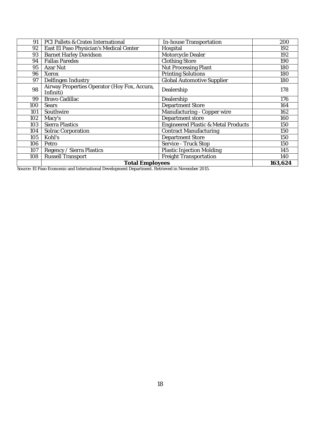| 91  | PCI Pallets & Crates International                        | In-house Transportation             | 200     |
|-----|-----------------------------------------------------------|-------------------------------------|---------|
| 92  | East El Paso Physician's Medical Center                   | Hospital                            | 192     |
| 93  | <b>Barnet Harley Davidson</b>                             | Motorcycle Dealer                   | 192     |
| 94  | <b>Fallas Paredes</b>                                     | Clothing Store                      | 190     |
| 95  | Azar Nut                                                  | Nut Processing Plant                | 180     |
| 96  | Xerox                                                     | <b>Printing Solutions</b>           | 180     |
| 97  | Delfingen Industry                                        | Global Automotive Supplier          | 180     |
| 98  | Airway Properties Operator (Hoy Fox, Accura,<br>Infiniti) | Dealership                          | 178     |
| 99  | Bravo Cadillac                                            | Dealership                          | 176     |
| 100 | Sears                                                     | Department Store                    | 164     |
| 101 | Southwire                                                 | Manufacturing - Copper wire         | 162     |
| 102 | Macy's                                                    | Department store                    | 160     |
| 103 | Sierra Plastics                                           | Engineered Plastic & Metal Products | 150     |
| 104 | Solrac Corporation                                        | <b>Contract Manufacturing</b>       | 150     |
| 105 | Kohl's                                                    | Department Store                    | 150     |
| 106 | Petro                                                     | Service - Truck Stop                | 150     |
| 107 | Regency / Sierra Plastics                                 | Plastic Injection Molding           | 145     |
| 108 | <b>Russell Transport</b>                                  | Freight Transportation              | 140     |
|     | <b>Total Employees</b>                                    |                                     | 163,624 |

Source[: El Paso Economic and International Development Department.](https://www.elpasotexas.gov/economic-development) Retrieved in November 2015.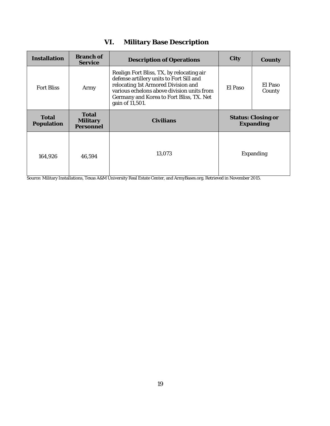<span id="page-20-0"></span>

| Installation        | Branch of<br>Service           | Description of Operations                                                                                                                                                                                                                 | City    | County                          |
|---------------------|--------------------------------|-------------------------------------------------------------------------------------------------------------------------------------------------------------------------------------------------------------------------------------------|---------|---------------------------------|
| <b>Fort Bliss</b>   | Army                           | Realign Fort Bliss, TX, by relocating air<br>defense artillery units to Fort Sill and<br>relocating 1st Armored Division and<br>various echelons above division units from<br>Germany and Korea to Fort Bliss, TX. Net<br>gain of 11,501. | El Paso | El Paso<br>County               |
| Total<br>Population | Total<br>Military<br>Personnel | Civilians                                                                                                                                                                                                                                 |         | Status: Closing or<br>Expanding |
| 164,926             | 46,594                         | 13,073                                                                                                                                                                                                                                    |         | Expanding                       |

# **VI. Military Base Description**

Source[: Military Installations,](http://www.militaryinstallations.dod.mil/pls/psgprod/f?p=132:CONTENT:0::NO::P4_INST_ID,P4_INST_TYPE:4375%2CINSTALLATION) [Texas A&M University Real Estate Center,](https://www.recenter.tamu.edu/) and ArmyBases.org. Retrieved in November 2015.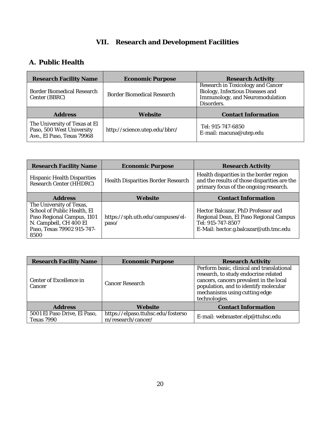# **VII. Research and Development Facilities**

## <span id="page-21-1"></span><span id="page-21-0"></span>**A. Public Health**

| Research Facility Name                                                                   | Economic Purpose              | <b>Research Activity</b>                                                                                               |
|------------------------------------------------------------------------------------------|-------------------------------|------------------------------------------------------------------------------------------------------------------------|
| Border Biomedical Research<br>Center (BBRC)                                              | Border Biomedical Research    | Research in Toxicology and Cancer<br>Biology, Infectious Diseases and<br>Immunology, and Neuromodulation<br>Disorders. |
| <b>Address</b>                                                                           | Website                       | Contact Information                                                                                                    |
| The University of Texas at El<br>Paso, 500 West University<br>Ave., El Paso, Texas 79968 | http://science.utep.edu/bbrc/ | Tel: 915-747-6850<br>E-mail: macuna@utep.edu                                                                           |

| <b>Research Facility Name</b>                                                                                                                         | Economic Purpose                          | <b>Research Activity</b>                                                                                                                   |
|-------------------------------------------------------------------------------------------------------------------------------------------------------|-------------------------------------------|--------------------------------------------------------------------------------------------------------------------------------------------|
| <b>Hispanic Health Disparities</b><br>Research Center (HHDRC)                                                                                         | Health Disparities Border Research        | Health disparities in the border region<br>and the results of those disparities are the<br>primary focus of the ongoing research.          |
| Address                                                                                                                                               | Website                                   | Contact Information                                                                                                                        |
| The University of Texas,<br>School of Public Health, El<br>Paso Regional Campus, 1101<br>N. Campbell, CH 400 EI<br>Paso, Texas 79902 915-747-<br>8500 | https://sph.uth.edu/campuses/el-<br>paso/ | Hector Balcazar, PhD Professor and<br>Regional Dean, El Paso Regional Campus<br>Tel: 915-747-8507<br>E-Mail: hector.g.balcazar@uth.tmc.edu |

| Research Facility Name                     | <b>Economic Purpose</b>                                  | <b>Research Activity</b>                                                                                                                                                                                                |
|--------------------------------------------|----------------------------------------------------------|-------------------------------------------------------------------------------------------------------------------------------------------------------------------------------------------------------------------------|
| Center of Excellence in<br>Cancer          | Cancer Research                                          | Perform basic, clinical and translational<br>research, to study endocrine related<br>cancers, cancers prevalent in the local<br>population, and to identify molecular<br>mechanisms using cutting edge<br>technologies. |
| Address                                    | Website                                                  | Contact Information                                                                                                                                                                                                     |
| 5001 El Paso Drive, El Paso,<br>Texas 7990 | https://elpaso.ttuhsc.edu/fosterso<br>m/research/cancer/ | E-mail: webmaster.elp@ttuhsc.edu                                                                                                                                                                                        |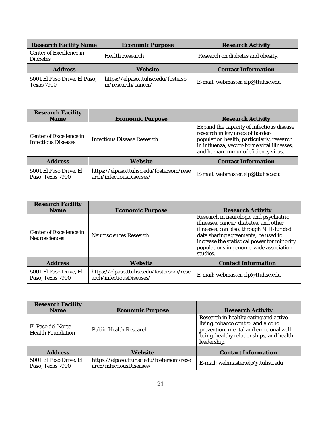| Research Facility Name                     | <b>Economic Purpose</b>                                  | Research Activity                 |
|--------------------------------------------|----------------------------------------------------------|-----------------------------------|
| Center of Excellence in<br><b>Diabetes</b> | <b>Health Research</b>                                   | Research on diabetes and obesity. |
| Address                                    | Website                                                  | Contact Information               |
| 5001 El Paso Drive, El Paso,<br>Texas 7990 | https://elpaso.ttuhsc.edu/fosterso<br>m/research/cancer/ | E-mail: webmaster.elp@ttuhsc.edu  |

| Research Facility<br><b>Name</b>                      | Economic Purpose                                                     | <b>Research Activity</b>                                                                                                                                                                                       |
|-------------------------------------------------------|----------------------------------------------------------------------|----------------------------------------------------------------------------------------------------------------------------------------------------------------------------------------------------------------|
| Center of Excellence in<br><b>Infectious Diseases</b> | Infectious Disease Research                                          | Expand the capacity of infectious disease<br>research in key areas of border-<br>population health, particularly, research<br>in influenza, vector-borne viral illnesses,<br>and human immunodeficiency virus. |
| <b>Address</b>                                        | Website                                                              | Contact Information                                                                                                                                                                                            |
| 5001 El Paso Drive, El<br>Paso, Texas 7990            | https://elpaso.ttuhsc.edu/fostersom/rese<br>arch/infectiousDiseases/ | E-mail: webmaster.elp@ttuhsc.edu                                                                                                                                                                               |

| Research Facility<br>Name                  | Economic Purpose                                                     | Research Activity                                                                                                                                                                                                                                                       |
|--------------------------------------------|----------------------------------------------------------------------|-------------------------------------------------------------------------------------------------------------------------------------------------------------------------------------------------------------------------------------------------------------------------|
| Center of Excellence in<br>Neurosciences   | Neurosciences Research                                               | Research in neurologic and psychiatric<br>illnesses, cancer, diabetes, and other<br>illnesses, can also, through NIH-funded<br>data sharing agreements, be used to<br>increase the statistical power for minority<br>populations in genome-wide association<br>studies. |
| Address                                    | Website                                                              | Contact Information                                                                                                                                                                                                                                                     |
| 5001 El Paso Drive, El<br>Paso, Texas 7990 | https://elpaso.ttuhsc.edu/fostersom/rese<br>arch/infectiousDiseases/ | E-mail: webmaster.elp@ttuhsc.edu                                                                                                                                                                                                                                        |

| Research Facility<br><b>Name</b>              | Economic Purpose                                                     | Research Activity                                                                                                                                                                 |
|-----------------------------------------------|----------------------------------------------------------------------|-----------------------------------------------------------------------------------------------------------------------------------------------------------------------------------|
| El Paso del Norte<br><b>Health Foundation</b> | Public Health Research                                               | Research in healthy eating and active<br>living, tobacco control and alcohol<br>prevention, mental and emotional well-<br>being, healthy relationships, and health<br>leadership. |
| Address                                       | Website                                                              | Contact Information                                                                                                                                                               |
| 5001 El Paso Drive, El<br>Paso, Texas 7990    | https://elpaso.ttuhsc.edu/fostersom/rese<br>arch/infectiousDiseases/ | E-mail: webmaster.elp@ttuhsc.edu                                                                                                                                                  |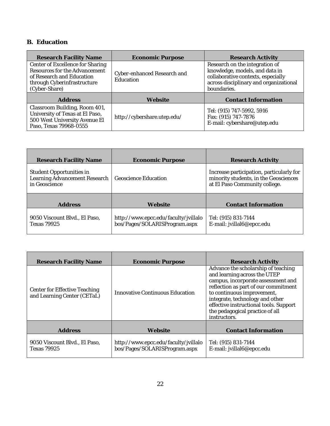## <span id="page-23-0"></span>**B. Education**

| Research Facility Name                                                                                                                         | <b>Economic Purpose</b>                  | <b>Research Activity</b>                                                                                                                                        |
|------------------------------------------------------------------------------------------------------------------------------------------------|------------------------------------------|-----------------------------------------------------------------------------------------------------------------------------------------------------------------|
| Center of Excellence for Sharing<br>Resources for the Advancement<br>of Research and Education<br>through Cyberinfrastructure<br>(Cyber-Share) | Cyber-enhanced Research and<br>Education | Research on the integration of<br>knowledge, models, and data in<br>collaborative contexts, especially<br>across disciplinary and organizational<br>boundaries. |
| <b>Address</b>                                                                                                                                 | Website                                  | <b>Contact Information</b>                                                                                                                                      |
| Classroom Building, Room 401,<br>University of Texas at El Paso,<br>500 West University Avenue El<br>Paso, Texas 79968-0555                    | http://cybershare.utep.edu/              | Tel: (915) 747-5992, 5916<br>Fax: (915) 747-7876<br>E-mail: cybershare@utep.edu                                                                                 |

| Research Facility Name                                                     | Economic Purpose                                                      | Research Activity                                                                                                  |
|----------------------------------------------------------------------------|-----------------------------------------------------------------------|--------------------------------------------------------------------------------------------------------------------|
| Student Opportunities in<br>Learning Advancement Research<br>in Geoscience | <b>Geoscience Education</b>                                           | Increase participation, particularly for<br>minority students, in the Geosciences<br>at El Paso Community college. |
| Address                                                                    | Website                                                               | Contact Information                                                                                                |
| 9050 Viscount Blvd., El Paso,<br>Texas 79925                               | http://www.epcc.edu/faculty/jvillalo<br>bos/Pages/SOLARISProgram.aspx | Tel: (915) 831-7144<br>E-mail: jvillal6@epcc.edu                                                                   |

| <b>Research Facility Name</b>                                | Economic Purpose                                                      | Research Activity                                                                                                                                                                                                                                                                                               |
|--------------------------------------------------------------|-----------------------------------------------------------------------|-----------------------------------------------------------------------------------------------------------------------------------------------------------------------------------------------------------------------------------------------------------------------------------------------------------------|
| Center for Effective Teaching<br>and Learning Center (CETaL) | Innovative Continuous Education                                       | Advance the scholarship of teaching<br>and learning across the UTEP<br>campus, incorporate assessment and<br>reflection as part of our commitment<br>to continuous improvement,<br>integrate, technology and other<br>effective instructional tools. Support<br>the pedagogical practice of all<br>instructors. |
| Address                                                      | Website                                                               | Contact Information                                                                                                                                                                                                                                                                                             |
| 9050 Viscount Blvd., El Paso,<br><b>Texas 79925</b>          | http://www.epcc.edu/faculty/jvillalo<br>bos/Pages/SOLARISProgram.aspx | Tel: (915) 831-7144<br>E-mail: jvillal6@epcc.edu                                                                                                                                                                                                                                                                |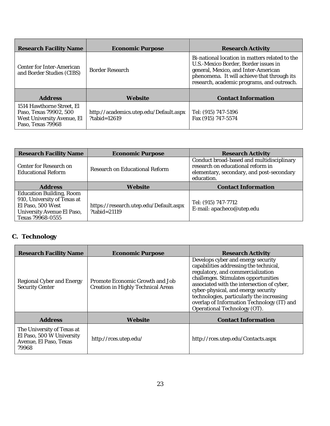| <b>Research Facility Name</b>                                                                          | Economic Purpose                                         | Research Activity                                                                                                                                                                                                          |
|--------------------------------------------------------------------------------------------------------|----------------------------------------------------------|----------------------------------------------------------------------------------------------------------------------------------------------------------------------------------------------------------------------------|
| Center for Inter-American<br>and Border Studies (CIBS)                                                 | Border Research                                          | Bi-national location in matters related to the<br>U.S.-Mexico Border, Border issues in<br>general, Mexico, and Inter-American<br>phenomena. It will achieve that through its<br>research, academic programs, and outreach. |
| Address                                                                                                | Website                                                  | Contact Information                                                                                                                                                                                                        |
| 1514 Hawthorne Street, El<br>Paso, Texas 79902, 500<br>West University Avenue, El<br>Paso, Texas 79968 | http://academics.utep.edu/Default.aspx<br>$?tabid=12619$ | Tel: (915) 747-5196<br>Fax (915) 747-5574                                                                                                                                                                                  |

| Research Facility Name                                                                                                         | <b>Economic Purpose</b>                                    | <b>Research Activity</b>                                                                                                                  |
|--------------------------------------------------------------------------------------------------------------------------------|------------------------------------------------------------|-------------------------------------------------------------------------------------------------------------------------------------------|
| Center for Research on<br><b>Educational Reform</b>                                                                            | Research on Educational Reform                             | Conduct broad-based and multidisciplinary<br>research on educational reform in<br>elementary, secondary, and post-secondary<br>education. |
| <b>Address</b>                                                                                                                 | Website                                                    | Contact Information                                                                                                                       |
| Education Building, Room<br>910, University of Texas at<br>El Paso, 500 West<br>University Avenue El Paso,<br>Texas 79968-0555 | https://research.utep.edu/Default.aspx<br>$?tabid = 21119$ | Tel: (915) 747-7712<br>E-mail: apacheco@utep.edu                                                                                          |

# <span id="page-24-0"></span>**C. Technology**

| <b>Research Facility Name</b>                                                              | Economic Purpose                                                      | Research Activity                                                                                                                                                                                                                                                                                                                                                         |
|--------------------------------------------------------------------------------------------|-----------------------------------------------------------------------|---------------------------------------------------------------------------------------------------------------------------------------------------------------------------------------------------------------------------------------------------------------------------------------------------------------------------------------------------------------------------|
| Regional Cyber and Energy<br>Security Center                                               | Promote Economic Growth and Job<br>Creation in Highly Technical Areas | Develops cyber and energy security<br>capabilities addressing the technical,<br>regulatory, and commercialization<br>challenges. Stimulates opportunities<br>associated with the intersection of cyber,<br>cyber-physical, and energy security<br>technologies, particularly the increasing<br>overlap of Information Technology (IT) and<br>Operational Technology (OT). |
| Address                                                                                    | Website                                                               | Contact Information                                                                                                                                                                                                                                                                                                                                                       |
| The University of Texas at<br>El Paso, 500 W University<br>Avenue, El Paso, Texas<br>79968 | http://rces.utep.edu/                                                 | http://rces.utep.edu/Contacts.aspx                                                                                                                                                                                                                                                                                                                                        |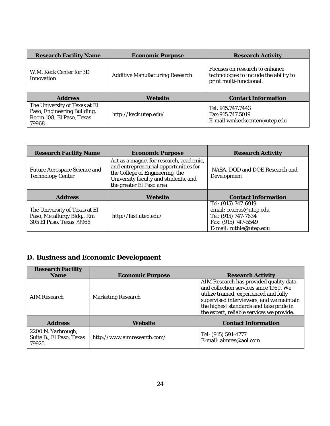| <b>Research Facility Name</b>                                                                     | Economic Purpose                | Research Activity                                                                                   |
|---------------------------------------------------------------------------------------------------|---------------------------------|-----------------------------------------------------------------------------------------------------|
| W.M. Keck Center for 3D<br>Innovation                                                             | Additive Manufacturing Research | Focuses on research to enhance<br>technologies to include the ability to<br>print multi-functional. |
| Address                                                                                           | Website                         | Contact Information                                                                                 |
| The University of Texas at El<br>Paso, Engineering Building,<br>Room 108, El Paso, Texas<br>79968 | http://keck.utep.edu/           | Tel: 915.747.7443<br>Fax: 915.747.5019<br>E-mail wmkeckcenter@utep.edu                              |

| <b>Research Facility Name</b>                                                           | Economic Purpose                                                                                                                                                                        | Research Activity                                                                                                       |
|-----------------------------------------------------------------------------------------|-----------------------------------------------------------------------------------------------------------------------------------------------------------------------------------------|-------------------------------------------------------------------------------------------------------------------------|
| Future Aerospace Science and<br><b>Technology Center</b>                                | Act as a magnet for research, academic,<br>and entrepreneurial opportunities for<br>the College of Engineering, the<br>University faculty and students, and<br>the greater El Paso area | NASA, DOD and DOE Research and<br>Development                                                                           |
| Address                                                                                 | Website                                                                                                                                                                                 | <b>Contact Information</b>                                                                                              |
| The University of Texas at El<br>Paso, Metallurgy Bldg., Rm<br>305 El Paso, Texas 79968 | http://fast.utep.edu/                                                                                                                                                                   | Tel: (915) 747-6919<br>email: ccarras@utep.edu<br>Tel: (915) 747-7634<br>Fax: (915) 747-5549<br>E-mail: ruthie@utep.edu |

# <span id="page-25-0"></span>**D. Business and Economic Development**

| Research Facility                                       |                             |                                                                                                                                                                                                                                                                |
|---------------------------------------------------------|-----------------------------|----------------------------------------------------------------------------------------------------------------------------------------------------------------------------------------------------------------------------------------------------------------|
| Name                                                    | Economic Purpose            | Research Activity                                                                                                                                                                                                                                              |
| AIM Research                                            | Marketing Research          | AIM Research has provided quality data<br>and collection services since 1969. We<br>utilize trained, experienced and fully<br>supervised interviewers, and we maintain<br>the highest standards and take pride in<br>the expert, reliable services we provide. |
| Address                                                 | Website                     | Contact Information                                                                                                                                                                                                                                            |
| 2200 N. Yarbrough,<br>Suite B., El Paso, Texas<br>79925 | http://www.aimresearch.com/ | Tel: (915) 591-4777<br>E-mail: aimres@aol.com                                                                                                                                                                                                                  |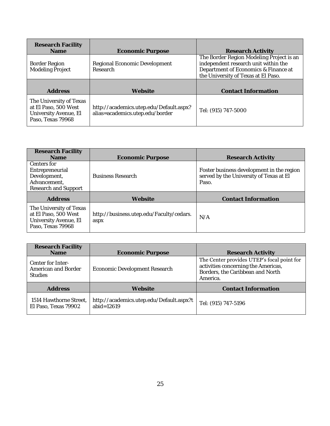| Research Facility<br><b>Name</b>                                                              | <b>Economic Purpose</b>                                                    | Research Activity                                                                                                                                               |
|-----------------------------------------------------------------------------------------------|----------------------------------------------------------------------------|-----------------------------------------------------------------------------------------------------------------------------------------------------------------|
| Border Region<br>Modeling Project                                                             | Regional Economic Development<br>Research                                  | The Border Region Modeling Project is an<br>independent research unit within the<br>Department of Economics & Finance at<br>the University of Texas at El Paso. |
| Address                                                                                       | Website                                                                    | Contact Information                                                                                                                                             |
| The University of Texas<br>at El Paso, 500 West<br>University Avenue, El<br>Paso, Texas 79968 | http://academics.utep.edu/Default.aspx?<br>alias=academics.utep.edu/border | Tel: (915) 747-5000                                                                                                                                             |

| Research Facility<br>Name                                                                     | Economic Purpose                                 | Research Activity                                                                             |
|-----------------------------------------------------------------------------------------------|--------------------------------------------------|-----------------------------------------------------------------------------------------------|
| Centers for<br>Entrepreneurial<br>Development,<br>Advancement,<br>Research and Support        | <b>Business Research</b>                         | Foster business development in the region<br>served by the University of Texas at EI<br>Paso. |
| Address                                                                                       | Website                                          | Contact Information                                                                           |
| The University of Texas<br>at El Paso, 500 West<br>University Avenue, El<br>Paso, Texas 79968 | http://business.utep.edu/Faculty/cedars.<br>aspx | N/A                                                                                           |

| Research Facility<br>Name                                  | <b>Economic Purpose</b>                                   | Research Activity                                                                                                                 |
|------------------------------------------------------------|-----------------------------------------------------------|-----------------------------------------------------------------------------------------------------------------------------------|
| Center for Inter-<br>American and Border<br><b>Studies</b> | Economic Development Research                             | The Center provides UTEP's focal point for<br>activities concerning the Americas,<br>Borders, the Caribbean and North<br>America. |
| <b>Address</b>                                             | Website                                                   | Contact Information                                                                                                               |
| 1514 Hawthorne Street,<br>El Paso, Texas 79902             | http://academics.utep.edu/Default.aspx?t<br>abid= $12619$ | Tel: (915) 747-5196                                                                                                               |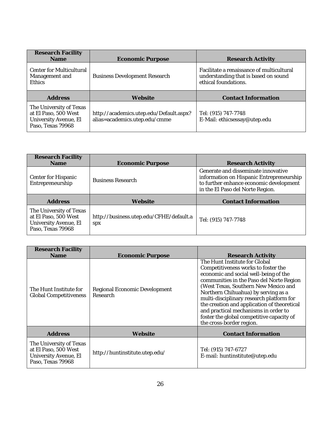| Research Facility<br><b>Name</b>                                                              | Economic Purpose                                                         | Research Activity                                                                                         |
|-----------------------------------------------------------------------------------------------|--------------------------------------------------------------------------|-----------------------------------------------------------------------------------------------------------|
| Center for Multicultural<br>Management and<br><b>Ethics</b>                                   | <b>Business Development Research</b>                                     | Facilitate a renaissance of multicultural<br>understanding that is based on sound<br>ethical foundations. |
| Address                                                                                       | Website                                                                  | Contact Information                                                                                       |
| The University of Texas<br>at El Paso, 500 West<br>University Avenue, El<br>Paso, Texas 79968 | http://academics.utep.edu/Default.aspx?<br>alias=academics.utep.edu/cmme | Tel: (915) 747-7748<br>E-Mail: ethicsessay@utep.edu                                                       |

| Research Facility<br><b>Name</b>                                                              | <b>Economic Purpose</b>                               | <b>Research Activity</b>                                                                                                                                       |
|-----------------------------------------------------------------------------------------------|-------------------------------------------------------|----------------------------------------------------------------------------------------------------------------------------------------------------------------|
| Center for Hispanic<br>Entrepreneurship                                                       | <b>Business Research</b>                              | Generate and disseminate innovative<br>information on Hispanic Entrepreneurship<br>to further enhance economic development<br>in the El Paso del Norte Region. |
| Address                                                                                       | Website                                               | Contact Information                                                                                                                                            |
| The University of Texas<br>at El Paso, 500 West<br>University Avenue, El<br>Paso, Texas 79968 | http://business.utep.edu/CFHE/default.a<br><b>SDX</b> | Tel: (915) 747-7748                                                                                                                                            |

| <b>Research Facility</b><br><b>Name</b>                                                       | Economic Purpose                          | Research Activity                                                                                                                                                                                                                                                                                                                                                                                                                                    |
|-----------------------------------------------------------------------------------------------|-------------------------------------------|------------------------------------------------------------------------------------------------------------------------------------------------------------------------------------------------------------------------------------------------------------------------------------------------------------------------------------------------------------------------------------------------------------------------------------------------------|
| The Hunt Institute for<br><b>Global Competitiveness</b>                                       | Regional Economic Development<br>Research | The Hunt Institute for Global<br>Competitiveness works to foster the<br>economic and social well-being of the<br>communities in the Paso del Norte Region<br>(West Texas, Southern New Mexico and<br>Northern Chihuahua) by serving as a<br>multi-disciplinary research platform for<br>the creation and application of theoretical<br>and practical mechanisms in order to<br>foster the global competitive capacity of<br>the cross-border region. |
| Address                                                                                       | Website                                   | Contact Information                                                                                                                                                                                                                                                                                                                                                                                                                                  |
| The University of Texas<br>at El Paso, 500 West<br>University Avenue, El<br>Paso, Texas 79968 | http://huntinstitute.utep.edu/            | Tel: (915) 747-6727<br>E-mail: huntinstitute@utep.edu                                                                                                                                                                                                                                                                                                                                                                                                |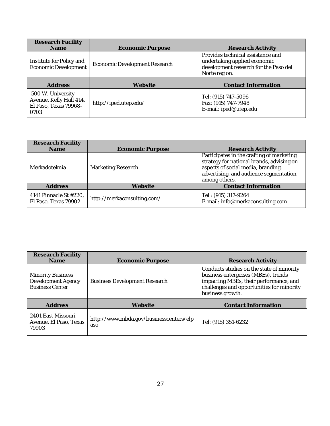| Research Facility<br>Name                                                     | <b>Economic Purpose</b>       | Research Activity                                                                                                           |
|-------------------------------------------------------------------------------|-------------------------------|-----------------------------------------------------------------------------------------------------------------------------|
| Institute for Policy and<br>Economic Development                              | Economic Development Research | Provides technical assistance and<br>undertaking applied economic<br>development research for the Paso del<br>Norte region. |
| Address                                                                       | Website                       | Contact Information                                                                                                         |
| 500 W. University<br>Avenue, Kelly Hall 414,<br>El Paso, Texas 79968-<br>0703 | http://iped.utep.edu/         | Tel: (915) 747-5096<br>Fax: (915) 747-7948<br>E-mail: iped@utep.edu                                                         |

| Research Facility<br>Name                      | <b>Economic Purpose</b>     | <b>Research Activity</b>                                                                                                                                                                 |
|------------------------------------------------|-----------------------------|------------------------------------------------------------------------------------------------------------------------------------------------------------------------------------------|
| Merkadoteknia                                  | Marketing Research          | Participates in the crafting of marketing<br>strategy for national brands, advising on<br>aspects of social media, branding,<br>advertising, and audience segmentation,<br>among others. |
| Address                                        | Website                     | Contact Information                                                                                                                                                                      |
| 4141 Pinnacle St #220,<br>El Paso, Texas 79902 | http://merkaconsulting.com/ | Tel: (915) 317-9264<br>E-mail: info@merkaconsulting.com                                                                                                                                  |

| Research Facility<br>Name                                                | Economic Purpose                               | Research Activity                                                                                                                                                                           |
|--------------------------------------------------------------------------|------------------------------------------------|---------------------------------------------------------------------------------------------------------------------------------------------------------------------------------------------|
| <b>Minority Business</b><br>Development Agency<br><b>Business Center</b> | <b>Business Development Research</b>           | Conducts studies on the state of minority<br>business enterprises (MBEs), trends<br>impacting MBEs, their performance, and<br>challenges and opportunities for minority<br>business growth. |
| <b>Address</b>                                                           | Website                                        | Contact Information                                                                                                                                                                         |
| 2401 East Missouri<br>Avenue, El Paso, Texas<br>79903                    | http://www.mbda.gov/businesscenters/elp<br>aso | Tel: (915) 351-6232                                                                                                                                                                         |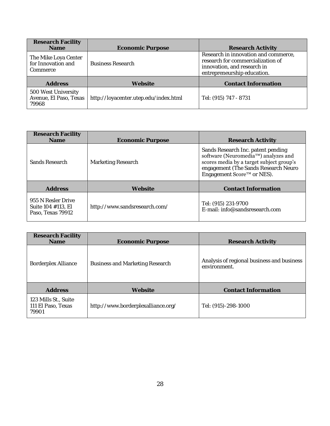| Research Facility<br>Name                              | <b>Economic Purpose</b>               | <b>Research Activity</b>                                                                                                                |
|--------------------------------------------------------|---------------------------------------|-----------------------------------------------------------------------------------------------------------------------------------------|
| The Mike Loya Center<br>for Innovation and<br>Commerce | <b>Business Research</b>              | Research in innovation and commerce,<br>research for commercialization of<br>innovation, and research in<br>entrepreneurship education. |
| <b>Address</b>                                         | Website                               | <b>Contact Information</b>                                                                                                              |
| 500 West University<br>Avenue, El Paso, Texas<br>79968 | http://loyacenter.utep.edu/index.html | Tel: (915) 747 - 8731                                                                                                                   |

| Research Facility<br>Name                                     | Economic Purpose              | Research Activity                                                                                                                                                                           |
|---------------------------------------------------------------|-------------------------------|---------------------------------------------------------------------------------------------------------------------------------------------------------------------------------------------|
| Sands Research                                                | Marketing Research            | Sands Research Inc. patent pending<br>software (Neuromedia™) analyzes and<br>scores media by a target subject group's<br>engagement (The Sands Research Neuro<br>Engagement Score™ or NES). |
| <b>Address</b>                                                | Website                       | Contact Information                                                                                                                                                                         |
| 955 N Resler Drive<br>Suite 104 #113, El<br>Paso, Texas 79912 | http://www.sandsresearch.com/ | Tel: (915) 231-9700<br>E-mail: info@sandsresearch.com                                                                                                                                       |

| Research Facility<br><b>Name</b>                    | Economic Purpose                   | Research Activity                                          |
|-----------------------------------------------------|------------------------------------|------------------------------------------------------------|
| Borderplex Alliance                                 | Business and Marketing Research    | Analysis of regional business and business<br>environment. |
| Address                                             | Website                            | Contact Information                                        |
| 123 Mills St., Suite<br>111 El Paso, Texas<br>79901 | http://www.borderplexalliance.org/ | Tel: (915)-298-1000                                        |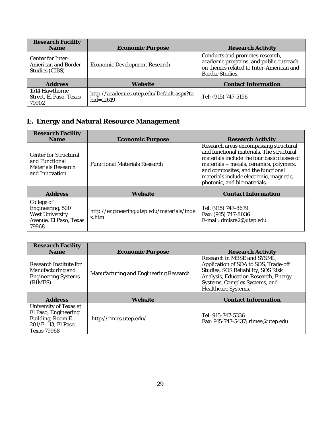| Research Facility<br>Name                                  | <b>Economic Purpose</b>                                    | <b>Research Activity</b>                                                                                                                |
|------------------------------------------------------------|------------------------------------------------------------|-----------------------------------------------------------------------------------------------------------------------------------------|
| Center for Inter-<br>American and Border<br>Studies (CIBS) | Economic Development Research                              | Conducts and promotes research,<br>academic programs, and public outreach<br>on themes related to Inter-American and<br>Border Studies. |
| <b>Address</b>                                             | Website                                                    | Contact Information                                                                                                                     |
| 1514 Hawthorne<br>Street, El Paso, Texas<br>79902          | http://academics.utep.edu/Default.aspx?ta<br>$bid = 12619$ | Tel: (915) 747-5196                                                                                                                     |

# <span id="page-30-0"></span>**E. Energy and Natural Resource Management**

| Research Facility<br><b>Name</b>                                                     | Economic Purpose                                    | Research Activity                                                                                                                                                                                                                                                                            |
|--------------------------------------------------------------------------------------|-----------------------------------------------------|----------------------------------------------------------------------------------------------------------------------------------------------------------------------------------------------------------------------------------------------------------------------------------------------|
| Center for Structural<br>and Functional<br>Materials Research<br>and Innovation      | <b>Functional Materials Research</b>                | Research areas encompassing structural<br>and functional materials. The structural<br>materials include the four basic classes of<br>materials – metals, ceramics, polymers,<br>and composites, and the functional<br>materials include electronic, magnetic,<br>photonic, and biomaterials. |
| Address                                                                              | Website                                             | Contact Information                                                                                                                                                                                                                                                                          |
| College of<br>Engineering, 500<br>West University<br>Avenue, El Paso, Texas<br>79968 | http://engineering.utep.edu/materials/inde<br>x.htm | Tel: (915) 747-8679<br>Fax: (915) 747-8036<br>E-mail: dmisra2@utep.edu                                                                                                                                                                                                                       |

| Research Facility<br>Name                                                                                        | <b>Economic Purpose</b>                | Research Activity                                                                                                                                                                                         |
|------------------------------------------------------------------------------------------------------------------|----------------------------------------|-----------------------------------------------------------------------------------------------------------------------------------------------------------------------------------------------------------|
| Research Institute for<br>Manufacturing and<br><b>Engineering Systems</b><br>(RIMES)                             | Manufacturing and Engineering Research | Research in MBSE and SYSML,<br>Application of SOA to SOS, Trade-off<br>Studies, SOS Reliability, SOS Risk<br>Analysis, Education Research, Energy<br>Systems, Complex Systems, and<br>Healthcare Systems. |
| Address                                                                                                          | Website                                | Contact Information                                                                                                                                                                                       |
| University of Texas at<br>El Paso, Engineering<br>Building, Room E-<br>201/E-113, El Paso,<br><b>Texas 79968</b> | http://rimes.utep.edu/                 | Tel: 915-747-5336<br>Fax: 915-747-5437; rimes@utep.edu                                                                                                                                                    |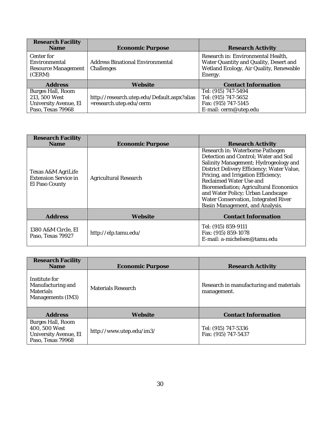| Research Facility<br><b>Name</b>                                                 | Economic Purpose                                                       | Research Activity                                                                                                                  |
|----------------------------------------------------------------------------------|------------------------------------------------------------------------|------------------------------------------------------------------------------------------------------------------------------------|
| Center for<br>Environmental<br>Resource Management<br>(CERM)                     | Address Binational Environmental<br>Challenges                         | Research in: Environmental Health,<br>Water Quantity and Quality, Desert and<br>Wetland Ecology, Air Quality, Renewable<br>Energy. |
| <b>Address</b>                                                                   | Website                                                                | <b>Contact Information</b>                                                                                                         |
| Burges Hall, Room<br>213, 500 West<br>University Avenue, El<br>Paso, Texas 79968 | http://research.utep.edu/Default.aspx?alias<br>=research.utep.edu/cerm | Tel: (915) 747-5494<br>Tel: (915) 747-5652<br>Fax: (915) 747-5145<br>E-mail: cerm@utep.edu                                         |

| Research Facility<br>Name                                           | <b>Economic Purpose</b> | Research Activity                                                                                                                                                                                                                                                                                                                                                                            |
|---------------------------------------------------------------------|-------------------------|----------------------------------------------------------------------------------------------------------------------------------------------------------------------------------------------------------------------------------------------------------------------------------------------------------------------------------------------------------------------------------------------|
| Texas A&M AgriLife<br><b>Extension Service in</b><br>El Paso County | Agricultural Research   | Research in: Waterborne Pathogen<br>Detection and Control; Water and Soil<br>Salinity Management; Hydrogeology and<br>District Delivery Efficiency; Water Value,<br>Pricing, and Irrigation Efficiency;<br>Reclaimed Water Use and<br>Bioremediation; Agricultural Economics<br>and Water Policy; Urban Landscape<br>Water Conservation, Integrated River<br>Basin Management, and Analysis. |
| Address                                                             | Website                 | Contact Information                                                                                                                                                                                                                                                                                                                                                                          |
| 1380 A&M Circle, El<br>Paso, Texas 79927                            | http://elp.tamu.edu/    | Tel: (915) 859-9111<br>Fax: (915) 859-1078<br>E-mail: a-michelsen@tamu.edu                                                                                                                                                                                                                                                                                                                   |

| Research Facility<br><b>Name</b>                                                 | Economic Purpose         | Research Activity                                      |
|----------------------------------------------------------------------------------|--------------------------|--------------------------------------------------------|
| Institute for<br>Manufacturing and<br><b>Materials</b><br>Managements (IM3)      | Materials Research       | Research in manufacturing and materials<br>management. |
| Address                                                                          | Website                  | Contact Information                                    |
| Burges Hall, Room<br>400, 500 West<br>University Avenue, El<br>Paso, Texas 79968 | http://www.utep.edu/im3/ | Tel: (915) 747-5336<br>Fax: (915) 747-5437             |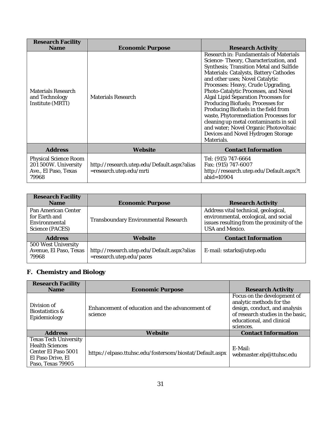| Research Facility<br>Name                                                      | Economic Purpose                                                       | Research Activity                                                                                                                                                                                                                                                                                                                                                                                                                                                                                                                                                                          |
|--------------------------------------------------------------------------------|------------------------------------------------------------------------|--------------------------------------------------------------------------------------------------------------------------------------------------------------------------------------------------------------------------------------------------------------------------------------------------------------------------------------------------------------------------------------------------------------------------------------------------------------------------------------------------------------------------------------------------------------------------------------------|
| Materials Research<br>and Technology<br>Institute (MRTI)                       | Materials Research                                                     | Research in: Fundamentals of Materials<br>Science-Theory, Characterization, and<br>Synthesis; Transition Metal and Sulfide<br>Materials: Catalysts, Battery Cathodes<br>and other uses; Novel Catalytic<br>Processes: Heavy, Crude Upgrading,<br>Photo-Catalytic Processes, and Novel<br>Algal Lipid Separation Processes for<br>Producing Biofuels; Processes for<br>Producing Biofuels in the field from<br>waste, Phytoremediation Processes for<br>cleaning up metal contaminants in soil<br>and water; Novel Organic Photovoltaic<br>Devices and Novel Hydrogen Storage<br>Materials. |
| Address                                                                        | Website                                                                | Contact Information                                                                                                                                                                                                                                                                                                                                                                                                                                                                                                                                                                        |
| Physical Science Room<br>201 500W. University<br>Ave., El Paso, Texas<br>79968 | http://research.utep.edu/Default.aspx?alias<br>=research.utep.edu/mrti | Tel: (915) 747-6664<br>Fax: (915) 747-6007<br>http://research.utep.edu/Default.aspx?t<br>abid= $10904$                                                                                                                                                                                                                                                                                                                                                                                                                                                                                     |

| Research Facility<br>Name                                                | <b>Economic Purpose</b>                                                 | <b>Research Activity</b>                                                                                                                       |  |
|--------------------------------------------------------------------------|-------------------------------------------------------------------------|------------------------------------------------------------------------------------------------------------------------------------------------|--|
| Pan American Center<br>for Farth and<br>Environmental<br>Science (PACES) | Transboundary Environmental Research                                    | Address vital technical, geological,<br>environmental, ecological, and social<br>issues resulting from the proximity of the<br>USA and Mexico. |  |
| Address                                                                  | Website                                                                 | Contact Information                                                                                                                            |  |
| 500 West University<br>Avenue, El Paso, Texas<br>79968                   | http://research.utep.edu/Default.aspx?alias<br>=research.utep.edu/paces | E-mail: sstarks@utep.edu                                                                                                                       |  |

# <span id="page-32-0"></span>**F. Chemistry and Biology**

| Research Facility<br><b>Name</b>                                                                                        | Economic Purpose                                           | Research Activity                                                                                                                                                       |
|-------------------------------------------------------------------------------------------------------------------------|------------------------------------------------------------|-------------------------------------------------------------------------------------------------------------------------------------------------------------------------|
| Division of<br>Biostatistics &<br>Epidemiology                                                                          | Enhancement of education and the advancement of<br>science | Focus on the development of<br>analytic methods for the<br>design, conduct, and analysis<br>of research studies in the basic,<br>educational, and clinical<br>sciences. |
| <b>Address</b>                                                                                                          | Website                                                    | Contact Information                                                                                                                                                     |
| <b>Texas Tech University</b><br><b>Health Sciences</b><br>Center El Paso 5001<br>El Paso Drive, El<br>Paso, Texas 79905 | https://elpaso.ttuhsc.edu/fostersom/biostat/Default.aspx   | $F-Mail:$<br>webmaster.elp@ttuhsc.edu                                                                                                                                   |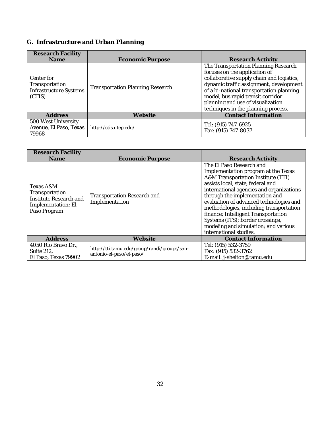# <span id="page-33-0"></span>**G. Infrastructure and Urban Planning**

| Research Facility<br><b>Name</b>                                 | <b>Economic Purpose</b>                 | <b>Research Activity</b>                                                                                                                                                                                                                                                                                                   |
|------------------------------------------------------------------|-----------------------------------------|----------------------------------------------------------------------------------------------------------------------------------------------------------------------------------------------------------------------------------------------------------------------------------------------------------------------------|
| Center for<br>Transportation<br>Infrastructure Systems<br>(CTIS) | <b>Transportation Planning Research</b> | The Transportation Planning Research<br>focuses on the application of<br>collaborative supply chain and logistics,<br>dynamic traffic assignment, development<br>of a bi-national transportation planning<br>model, bus rapid transit corridor<br>planning and use of visualization<br>techniques in the planning process. |
| Address                                                          | Website                                 | Contact Information                                                                                                                                                                                                                                                                                                        |
| 500 West University<br>Avenue, El Paso, Texas<br>79968           | http://ctis.utep.edu/                   | Tel: (915) 747-6925<br>Fax: (915) 747-8037                                                                                                                                                                                                                                                                                 |

| <b>Research Facility</b><br>Name                                                            | <b>Economic Purpose</b>                                                 | Research Activity                                                                                                                                                                                                                                                                                                                                                                                                                                           |
|---------------------------------------------------------------------------------------------|-------------------------------------------------------------------------|-------------------------------------------------------------------------------------------------------------------------------------------------------------------------------------------------------------------------------------------------------------------------------------------------------------------------------------------------------------------------------------------------------------------------------------------------------------|
| Texas A&M<br>Transportation<br>Institute Research and<br>Implementation: El<br>Paso Program | Transportation Research and<br>Implementation                           | The EI Paso Research and<br>Implementation program at the Texas<br>A&M Transportation Institute (TTI)<br>assists local, state, federal and<br>international agencies and organizations<br>through the implementation and<br>evaluation of advanced technologies and<br>methodologies, including transportation<br>finance; Intelligent Transportation<br>Systems (ITS); border crossings,<br>modeling and simulation; and various<br>international studies. |
| <b>Address</b>                                                                              | Website                                                                 | Contact Information                                                                                                                                                                                                                                                                                                                                                                                                                                         |
| 4050 Rio Bravo Dr.,<br>Suite 212,<br>El Paso, Texas 79902                                   | http://tti.tamu.edu/group/randi/groups/san-<br>antonio-el-paso/el-paso/ | Tel: (915) 532-3759<br>Fax: (915) 532-3762<br>E-mail: j-shelton@tamu.edu                                                                                                                                                                                                                                                                                                                                                                                    |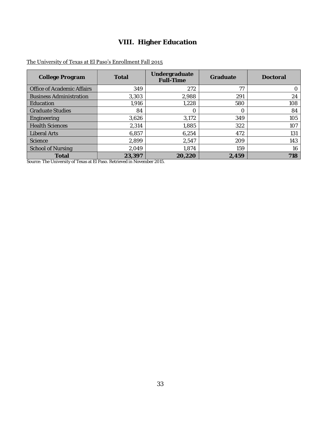# **VIII. Higher Education**

### <span id="page-34-0"></span>The University of Texas at El Paso's Enrollment Fall 2015

| College Program                | Total  | Undergraduate<br>Full-Time | Graduate | Doctoral |
|--------------------------------|--------|----------------------------|----------|----------|
| Office of Academic Affairs     | 349    | 272                        | 77       | 0.       |
| <b>Business Administration</b> | 3,303  | 2,988                      | 291      | 24       |
| <b>Education</b>               | 1,916  | 1,228                      | 580      | 108      |
| <b>Graduate Studies</b>        | 84     |                            |          | 84       |
| Engineering                    | 3,626  | 3,172                      | 349      | 105      |
| <b>Health Sciences</b>         | 2,314  | 1,885                      | 322      | 107      |
| <b>Liberal Arts</b>            | 6,857  | 6,254                      | 472      | 131      |
| Science                        | 2,899  | 2,547                      | 209      | 143      |
| School of Nursing              | 2,049  | 1,874                      | 159      | 16       |
| Total                          | 23,397 | 20,220                     | 2,459    | 718      |

Source[: The University of Texas at El Paso.](http://utep.edu/) Retrieved in November 2015.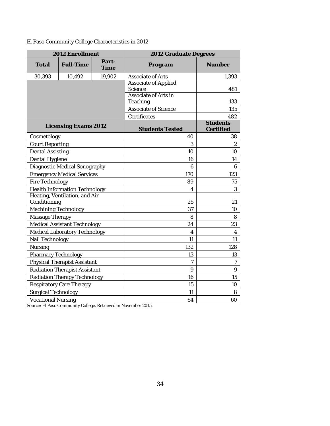El Paso Community College Characteristics in 2012

| 2012 Enrollment                               |                                   | 2012 Graduate Degrees |                                  |                              |
|-----------------------------------------------|-----------------------------------|-----------------------|----------------------------------|------------------------------|
| Total                                         | Full-Time                         | Part-<br>Time         | Program                          | Number                       |
| 30,393                                        | 10,492                            | 19,902                | Associate of Arts                | 1,393                        |
|                                               |                                   |                       | Associate of Applied<br>Science  | 481                          |
|                                               |                                   |                       | Associate of Arts in<br>Teaching | 133                          |
|                                               |                                   |                       | Associate of Science             | 135                          |
|                                               |                                   |                       | Certificates                     | 482                          |
|                                               | Licensing Exams 2012              |                       | <b>Students Tested</b>           | <b>Students</b><br>Certified |
| Cosmetology                                   |                                   |                       | 40                               | 38                           |
| Court Reporting                               |                                   |                       | 3                                | $\overline{2}$               |
| Dental Assisting                              |                                   |                       | 10                               | 10                           |
| Dental Hygiene                                |                                   |                       | 16                               | 14                           |
|                                               | Diagnostic Medical Sonography     |                       | 6                                | 6                            |
|                                               | <b>Emergency Medical Services</b> |                       | 170                              | 123                          |
| Fire Technology                               |                                   |                       | 89                               | 75                           |
| <b>Health Information Technology</b>          |                                   | 4                     | 3                                |                              |
| Heating, Ventilation, and Air<br>Conditioning |                                   |                       | 25                               | 21                           |
| Machining Technology                          |                                   |                       | 37                               | 10                           |
| Massage Therapy                               |                                   |                       | 8                                | 8                            |
|                                               | Medical Assistant Technology      |                       | 24                               | 23                           |
|                                               | Medical Laboratory Technology     |                       | $\overline{4}$                   | $\overline{4}$               |
| Nail Technology                               |                                   |                       | 11                               | 11                           |
| Nursing                                       |                                   | 132                   | 128                              |                              |
| Pharmacy Technology                           |                                   | 13                    | 13                               |                              |
| Physical Therapist Assistant                  |                                   | $\overline{7}$        | $\overline{7}$                   |                              |
| Radiation Therapist Assistant                 |                                   | 9                     | $\overline{Q}$                   |                              |
| Radiation Therapy Technology                  |                                   | 16                    | 15                               |                              |
| Respiratory Care Therapy                      |                                   | 15                    | 10                               |                              |
| Surgical Technology                           |                                   | 11                    | 8                                |                              |
| Vocational Nursing                            |                                   | 64                    | 60                               |                              |

Source[: El Paso Community College.](http://www.epcc.edu/institutionalresearch/pages/factbooks.aspx) Retrieved in November 2015.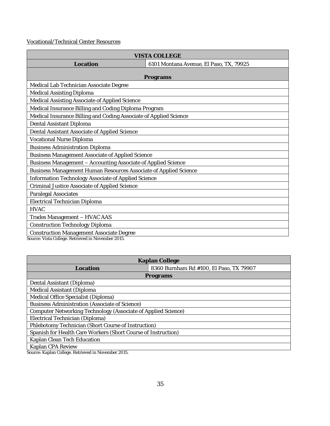Vocational/Technical Center Resources

|                                                                   | <b>VISTA COLLEGE</b>                    |  |
|-------------------------------------------------------------------|-----------------------------------------|--|
| Location                                                          | 6101 Montana Avenue, El Paso, TX, 79925 |  |
|                                                                   |                                         |  |
|                                                                   | Programs                                |  |
| Medical Lab Technician Associate Degree                           |                                         |  |
| Medical Assisting Diploma                                         |                                         |  |
| Medical Assisting Associate of Applied Science                    |                                         |  |
| Medical Insurance Billing and Coding Diploma Program              |                                         |  |
| Medical Insurance Billing and Coding Associate of Applied Science |                                         |  |
| Dental Assistant Diploma                                          |                                         |  |
| Dental Assistant Associate of Applied Science                     |                                         |  |
| Vocational Nurse Diploma                                          |                                         |  |
| <b>Business Administration Diploma</b>                            |                                         |  |
| Business Management Associate of Applied Science                  |                                         |  |
| Business Management - Accounting Associate of Applied Science     |                                         |  |
| Business Management Human Resources Associate of Applied Science  |                                         |  |
| Information Technology Associate of Applied Science               |                                         |  |
| Criminal Justice Associate of Applied Science                     |                                         |  |
| Paralegal Associates                                              |                                         |  |
| Electrical Technician Diploma                                     |                                         |  |
| <b>HVAC</b>                                                       |                                         |  |
| Trades Management - HVAC AAS                                      |                                         |  |
| Construction Technology Diploma                                   |                                         |  |
| <b>Construction Management Associate Degree</b>                   |                                         |  |

Source[: Vista College.](http://www.vistacollege.edu/) Retrieved in November 2015.

| Kaplan College                                                |                                         |  |
|---------------------------------------------------------------|-----------------------------------------|--|
| Location                                                      | 8360 Burnham Rd #100, El Paso, TX 79907 |  |
|                                                               | Programs                                |  |
| Dental Assistant (Diploma)                                    |                                         |  |
| Medical Assistant (Diploma                                    |                                         |  |
| Medical Office Specialist (Diploma)                           |                                         |  |
| Business Administration (Associate of Science)                |                                         |  |
| Computer Networking Technology (Associate of Applied Science) |                                         |  |
| Electrical Technician (Diploma)                               |                                         |  |
| Phlebotomy Technician (Short Course of Instruction)           |                                         |  |
| Spanish for Health Care Workers (Short Course of Instruction) |                                         |  |
| Kaplan Clean Tech Education                                   |                                         |  |
| Kaplan CPA Review                                             |                                         |  |

Source[: Kaplan College.](https://www.brightwood.edu/) Retrieved in November 2015.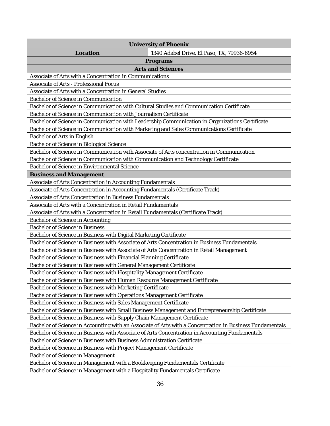| University of Phoenix                                                                                     |
|-----------------------------------------------------------------------------------------------------------|
| Location<br>1340 Adabel Drive, El Paso, TX, 79936-6954                                                    |
| Programs                                                                                                  |
| Arts and Sciences                                                                                         |
| Associate of Arts with a Concentration in Communications                                                  |
| Associate of Arts - Professional Focus                                                                    |
| Associate of Arts with a Concentration in General Studies                                                 |
| Bachelor of Science in Communication                                                                      |
| Bachelor of Science in Communication with Cultural Studies and Communication Certificate                  |
| Bachelor of Science in Communication with Journalism Certificate                                          |
| Bachelor of Science in Communication with Leadership Communication in Organizations Certificate           |
| Bachelor of Science in Communication with Marketing and Sales Communications Certificate                  |
| Bachelor of Arts in English                                                                               |
| Bachelor of Science in Biological Science                                                                 |
| Bachelor of Science in Communication with Associate of Arts concentration in Communication                |
| Bachelor of Science in Communication with Communication and Technology Certificate                        |
| Bachelor of Science in Environmental Science                                                              |
| <b>Business and Management</b>                                                                            |
| Associate of Arts Concentration in Accounting Fundamentals                                                |
| Associate of Arts Concentration in Accounting Fundamentals (Certificate Track)                            |
| Associate of Arts Concentration in Business Fundamentals                                                  |
| Associate of Arts with a Concentration in Retail Fundamentals                                             |
| Associate of Arts with a Concentration in Retail Fundamentals (Certificate Track)                         |
| Bachelor of Science in Accounting                                                                         |
| Bachelor of Science in Business                                                                           |
| Bachelor of Science in Business with Digital Marketing Certificate                                        |
| Bachelor of Science in Business with Associate of Arts Concentration in Business Fundamentals             |
| Bachelor of Science in Business with Associate of Arts Concentration in Retail Management                 |
| Bachelor of Science in Business with Financial Planning Certificate                                       |
| Bachelor of Science in Business with General Management Certificate                                       |
| Bachelor of Science in Business with Hospitality Management Certificate                                   |
| Bachelor of Science in Business with Human Resource Management Certificate                                |
| Bachelor of Science in Business with Marketing Certificate                                                |
| Bachelor of Science in Business with Operations Management Certificate                                    |
| Bachelor of Science in Business with Sales Management Certificate                                         |
| Bachelor of Science in Business with Small Business Management and Entrepreneurship Certificate           |
| Bachelor of Science in Business with Supply Chain Management Certificate                                  |
| Bachelor of Science in Accounting with an Associate of Arts with a Concentration in Business Fundamentals |
| Bachelor of Science in Business with Associate of Arts Concentration in Accounting Fundamentals           |
| Bachelor of Science in Business with Business Administration Certificate                                  |
| Bachelor of Science in Business with Project Management Certificate                                       |
| Bachelor of Science in Management                                                                         |
| Bachelor of Science in Management with a Bookkeeping Fundamentals Certificate                             |
| Bachelor of Science in Management with a Hospitality Fundamentals Certificate                             |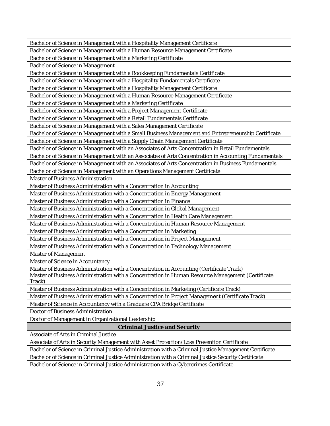Bachelor of Science in Management with a Hospitality Management Certificate

Bachelor of Science in Management with a Human Resource Management Certificate

Bachelor of Science in Management with a Marketing Certificate

Bachelor of Science in Management

Bachelor of Science in Management with a Bookkeeping Fundamentals Certificate

Bachelor of Science in Management with a Hospitality Fundamentals Certificate

Bachelor of Science in Management with a Hospitality Management Certificate

Bachelor of Science in Management with a Human Resource Management Certificate

Bachelor of Science in Management with a Marketing Certificate

Bachelor of Science in Management with a Project Management Certificate

Bachelor of Science in Management with a Retail Fundamentals Certificate

Bachelor of Science in Management with a Sales Management Certificate

Bachelor of Science in Management with a Small Business Management and Entrepreneurship Certificate

Bachelor of Science in Management with a Supply Chain Management Certificate

Bachelor of Science in Management with an Associates of Arts Concentration in Retail Fundamentals

Bachelor of Science in Management with an Associates of Arts Concentration in Accounting Fundamentals

Bachelor of Science in Management with an Associates of Arts Concentration in Business Fundamentals

Bachelor of Science in Management with an Operations Management Certificate

Master of Business Administration

Master of Business Administration with a Concentration in Accounting

Master of Business Administration with a Concentration in Energy Management

Master of Business Administration with a Concentration in Finance

Master of Business Administration with a Concentration in Global Management

Master of Business Administration with a Concentration in Health Care Management

Master of Business Administration with a Concentration in Human Resource Management

Master of Business Administration with a Concentration in Marketing

Master of Business Administration with a Concentration in Project Management

Master of Business Administration with a Concentration in Technology Management

Master of Management

Master of Science in Accountancy

Master of Business Administration with a Concentration in Accounting (Certificate Track)

Master of Business Administration with a Concentration in Human Resource Management (Certificate Track)

Master of Business Administration with a Concentration in Marketing (Certificate Track)

Master of Business Administration with a Concentration in Project Management (Certificate Track)

Master of Science in Accountancy with a Graduate CPA Bridge Certificate

Doctor of Business Administration

Doctor of Management in Organizational Leadership

**Criminal Justice and Security**

Associate of Arts in Criminal Justice

Associate of Arts in Security Management with Asset Protection/Loss Prevention Certificate

Bachelor of Science in Criminal Justice Administration with a Criminal Justice Management Certificate

Bachelor of Science in Criminal Justice Administration with a Criminal Justice Security Certificate

Bachelor of Science in Criminal Justice Administration with a Cybercrimes Certificate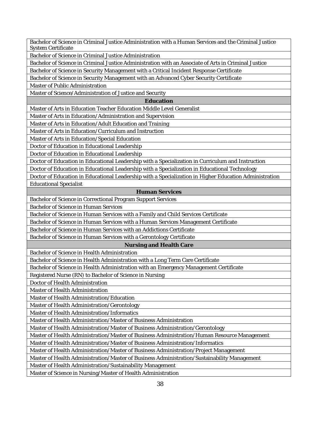Bachelor of Science in Criminal Justice Administration with a Human Services and the Criminal Justice System Certificate

Bachelor of Science in Criminal Justice Administration

Bachelor of Science in Criminal Justice Administration with an Associate of Arts in Criminal Justice

Bachelor of Science in Security Management with a Critical Incident Response Certificate

Bachelor of Science in Security Management with an Advanced Cyber Security Certificate

Master of Public Administration

Master of Science/Administration of Justice and Security

**Education**

Master of Arts in Education Teacher Education Middle Level Generalist

Master of Arts in Education/Administration and Supervision

Master of Arts in Education/Adult Education and Training

Master of Arts in Education/Curriculum and Instruction

Master of Arts in Education/Special Education

Doctor of Education in Educational Leadership

Doctor of Education in Educational Leadership

Doctor of Education in Educational Leadership with a Specialization in Curriculum and Instruction

Doctor of Education in Educational Leadership with a Specialization in Educational Technology

Doctor of Education in Educational Leadership with a Specialization in Higher Education Administration Educational Specialist

#### **Human Services**

Bachelor of Science in Correctional Program Support Services

Bachelor of Science in Human Services

Bachelor of Science in Human Services with a Family and Child Services Certificate

Bachelor of Science in Human Services with a Human Services Management Certificate

Bachelor of Science in Human Services with an Addictions Certificate

Bachelor of Science in Human Services with a Gerontology Certificate

#### **Nursing and Health Care**

Bachelor of Science in Health Administration

Bachelor of Science in Health Administration with a Long Term Care Certificate

Bachelor of Science in Health Administration with an Emergency Management Certificate

Registered Nurse (RN) to Bachelor of Science in Nursing

Doctor of Health Administration

Master of Health Administration

Master of Health Administration/Education

Master of Health Administration/Gerontology

Master of Health Administration/Informatics

Master of Health Administration/Master of Business Administration

Master of Health Administration/Master of Business Administration/Gerontology

Master of Health Administration/Master of Business Administration/Human Resource Management

Master of Health Administration/Master of Business Administration/Informatics

Master of Health Administration/Master of Business Administration/Project Management

Master of Health Administration/Master of Business Administration/Sustainability Management

Master of Health Administration/Sustainability Management

Master of Science in Nursing/Master of Health Administration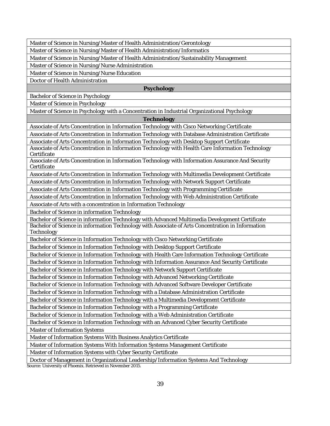Master of Science in Nursing/Master of Health Administration/Gerontology

Master of Science in Nursing/Master of Health Administration/Informatics

Master of Science in Nursing/Master of Health Administration/Sustainability Management

Master of Science in Nursing/Nurse Administration

Master of Science in Nursing/Nurse Education

Doctor of Health Administration

### **Psychology**

Bachelor of Science in Psychology

Master of Science in Psychology

Master of Science in Psychology with a Concentration in Industrial Organizational Psychology

**Technology**

Associate of Arts Concentration in Information Technology with Cisco Networking Certificate

Associate of Arts Concentration in Information Technology with Database Administration Certificate

Associate of Arts Concentration in Information Technology with Desktop Support Certificate

Associate of Arts Concentration in Information Technology with Health Care Information Technology **Certificate** 

Associate of Arts Concentration in Information Technology with Information Assurance And Security **Certificate** 

Associate of Arts Concentration in Information Technology with Multimedia Development Certificate

Associate of Arts Concentration in Information Technology with Network Support Certificate

Associate of Arts Concentration in Information Technology with Programming Certificate

Associate of Arts Concentration in Information Technology with Web Administration Certificate

Associate of Arts with a concentration in Information Technology

Bachelor of Science in information Technology

Bachelor of Science in information Technology with Advanced Multimedia Development Certificate Bachelor of Science in information Technology with Associate of Arts Concentration in Information Technology

Bachelor of Science in Information Technology with Cisco Networking Certificate

Bachelor of Science in Information Technology with Desktop Support Certificate

Bachelor of Science in Information Technology with Health Care Information Technology Certificate

Bachelor of Science in Information Technology with Information Assurance And Security Certificate

Bachelor of Science in Information Technology with Network Support Certificate

Bachelor of Science in Information Technology with Advanced Networking Certificate

Bachelor of Science in Information Technology with Advanced Software Developer Certificate

Bachelor of Science in Information Technology with a Database Administration Certificate

Bachelor of Science in Information Technology with a Multimedia Development Certificate

Bachelor of Science in Information Technology with a Programming Certificate

Bachelor of Science in Information Technology with a Web Administration Certificate

Bachelor of Science in Information Technology with an Advanced Cyber Security Certificate

Master of Information Systems

Master of Information Systems With Business Analytics Certificate

Master of Information Systems With Information Systems Management Certificate

Master of Information Systems with Cyber Security Certificate

Doctor of Management in Organizational Leadership/Information Systems And Technology

Source[: University of Phoenix.](http://www.phoenix.edu/) Retrieved in November 2015.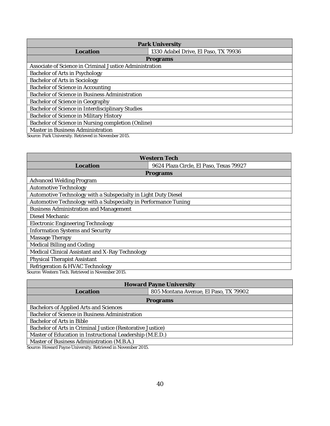|                                                         | Park University                      |  |
|---------------------------------------------------------|--------------------------------------|--|
| Location                                                | 1330 Adabel Drive, El Paso, TX 79936 |  |
|                                                         | Programs                             |  |
| Associate of Science in Criminal Justice Administration |                                      |  |
| Bachelor of Arts in Psychology                          |                                      |  |
| Bachelor of Arts in Sociology                           |                                      |  |
| Bachelor of Science in Accounting                       |                                      |  |
| Bachelor of Science in Business Administration          |                                      |  |
| Bachelor of Science in Geography                        |                                      |  |
| Bachelor of Science in Interdisciplinary Studies        |                                      |  |
| Bachelor of Science in Military History                 |                                      |  |
| Bachelor of Science in Nursing completion (Online)      |                                      |  |
| Master in Business Administration                       |                                      |  |
| Source: Park University. Retrieved in November 2015.    |                                      |  |

| Western Tech                                                    |                                         |  |  |
|-----------------------------------------------------------------|-----------------------------------------|--|--|
| Location                                                        | 9624 Plaza Circle, El Paso, Texas 79927 |  |  |
|                                                                 | Programs                                |  |  |
| Advanced Welding Program                                        |                                         |  |  |
| Automotive Technology                                           |                                         |  |  |
| Automotive Technology with a Subspecialty in Light Duty Diesel  |                                         |  |  |
| Automotive Technology with a Subspecialty in Performance Tuning |                                         |  |  |
| Business Administration and Management                          |                                         |  |  |
| Diesel Mechanic                                                 |                                         |  |  |
| Electronic Engineering Technology                               |                                         |  |  |
| Information Systems and Security                                |                                         |  |  |
| Massage Therapy                                                 |                                         |  |  |
| Medical Billing and Coding                                      |                                         |  |  |
| Medical Clinical Assistant and X-Ray Technology                 |                                         |  |  |
| Physical Therapist Assistant                                    |                                         |  |  |
| Refrigeration & HVAC Technology                                 |                                         |  |  |
| Source: Western Tech. Retrieved in November 2015.               |                                         |  |  |

| <b>Howard Payne University</b>                             |                                       |  |
|------------------------------------------------------------|---------------------------------------|--|
| Location                                                   | 805 Montana Avenue, El Paso, TX 79902 |  |
| Programs                                                   |                                       |  |
| Bachelors of Applied Arts and Sciences                     |                                       |  |
| Bachelor of Science in Business Administration             |                                       |  |
| Bachelor of Arts in Bible                                  |                                       |  |
| Bachelor of Arts in Criminal Justice (Restorative Justice) |                                       |  |
| Master of Education in Instructional Leadership (M.E.D.)   |                                       |  |
| Master of Business Administration (M.B.A.)                 |                                       |  |

Source[: Howard Payne University.](http://www.hputx.edu/) Retrieved in November 2015.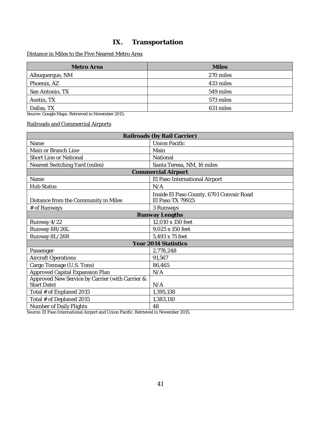## **IX. Transportation**

### <span id="page-42-0"></span>Distance in Miles to the Five Nearest Metro Area

| Metro Area                                       | <b>Miles</b> |  |
|--------------------------------------------------|--------------|--|
| Albuquerque, NM                                  | 270 miles    |  |
| Phoenix, AZ                                      | 433 miles    |  |
| San Antonio, TX                                  | 549 miles    |  |
| Austin, TX                                       | 573 miles    |  |
| Dallas, TX                                       | 631 miles    |  |
| Source: Google Maps. Retrieved in November 2015. |              |  |

Railroads and Commercial Airports

| Railroads (by Rail Carrier)                     |                                                              |  |
|-------------------------------------------------|--------------------------------------------------------------|--|
| Name                                            | Union Pacific                                                |  |
| Main or Branch Line                             | Main                                                         |  |
| Short Line or National                          | National                                                     |  |
| Nearest Switching Yard (miles)                  | Santa Teresa, NM, 16 miles                                   |  |
|                                                 | <b>Commercial Airport</b>                                    |  |
| Name                                            | El Paso International Airport                                |  |
| <b>Hub Status</b>                               | N/A                                                          |  |
| Distance from the Community in Miles            | Inside El Paso County, 6701 Convair Road<br>El Paso TX 79925 |  |
| # of Runways                                    | 3 Runways                                                    |  |
|                                                 | Runway Lengths                                               |  |
| Runway 4/22                                     | 12,010 x 150 feet                                            |  |
| Runway 8R/26L                                   | 9,025 x 150 feet                                             |  |
| Runway 8L/26R                                   | 5,493 x 75 feet                                              |  |
| Year 2014 Statistics                            |                                                              |  |
| Passenger                                       | 2,778,248                                                    |  |
| Aircraft Operations                             | 91,567                                                       |  |
| Cargo Tonnage (U.S. Tons)                       | 86,465                                                       |  |
| Approved Capital Expansion Plan                 | N/A                                                          |  |
| Approved New Service by Carrier (with Carrier & |                                                              |  |
| Start Date)                                     | N/A                                                          |  |
| Total # of Enplaned 2015                        | 1,395,138                                                    |  |
| Total # of Deplaned 2015                        | 1,383,110                                                    |  |
| Number of Daily Flights                         | 48                                                           |  |

Source[: El Paso International Airport](http://www.elpasointernationalairport.com/) and [Union Pacific.](http://www.up.com/index.htm) Retrieved in November 2015.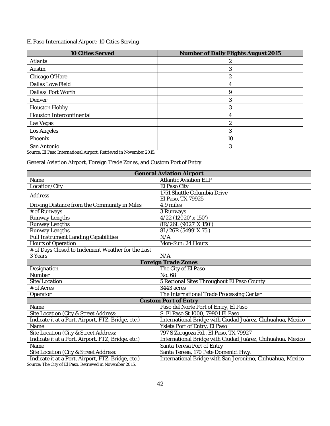### El Paso International Airport: 10 Cities Serving

| 10 Cities Served         | Number of Daily Flights August 2015 |
|--------------------------|-------------------------------------|
| Atlanta                  |                                     |
| Austin                   |                                     |
| Chicago O'Hare           |                                     |
| Dallas Love Field        | 4                                   |
| Dallas/Fort Worth        | Q                                   |
| Denver                   |                                     |
| Houston Hobby            |                                     |
| Houston Intercontinental |                                     |
| Las Vegas                | ↷                                   |
| Los Angeles              | 3                                   |
| Phoenix                  | 10                                  |
| San Antonio              |                                     |

Source[: El Paso International Airport.](http://www.elpasointernationalairport.com/) Retrieved in November 2015.

### General Aviation Airport, Foreign Trade Zones, and Custom Port of Entry

| <b>General Aviation Airport</b>                    |                                                            |  |  |
|----------------------------------------------------|------------------------------------------------------------|--|--|
| Name                                               | <b>Atlantic Aviation ELP</b>                               |  |  |
| Location/City                                      | El Paso City                                               |  |  |
| Address                                            | 1751 Shuttle Columbia Drive                                |  |  |
|                                                    | El Paso, TX 79925                                          |  |  |
| Driving Distance from the Community in Miles       | 4.9 miles                                                  |  |  |
| # of Runways                                       | 3 Runways                                                  |  |  |
| Runway Lengths                                     | 4/22 (12020' x 150')                                       |  |  |
| Runway Lengths                                     | 8R/26L (9027' X 150')                                      |  |  |
| Runway Lengths                                     | 8L/26R (5499' X 75')                                       |  |  |
| <b>Full Instrument Landing Capabilities</b>        | N/A                                                        |  |  |
| Hours of Operation                                 | Mon-Sun: 24 Hours                                          |  |  |
| # of Days Closed to Inclement Weather for the Last |                                                            |  |  |
| 3 Years                                            | N/A                                                        |  |  |
|                                                    | Foreign Trade Zones                                        |  |  |
| Designation                                        | The City of El Paso                                        |  |  |
| Number                                             | No. 68                                                     |  |  |
| Site/Location                                      | 5 Regional Sites Throughout El Paso County                 |  |  |
| # of Acres                                         | 3443 acres                                                 |  |  |
| Operator                                           | The International Trade Processing Center                  |  |  |
|                                                    | Custom Port of Entry                                       |  |  |
| Name                                               | Paso del Norte Port of Entry, El Paso                      |  |  |
| Site Location (City & Street Address:              | S. El Paso St 1000, 79901 El Paso                          |  |  |
| Indicate it at a Port, Airport, FTZ, Bridge, etc.) | International Bridge with Ciudad Juárez, Chihuahua, Mexico |  |  |
| Name                                               | Ysleta Port of Entry, El Paso                              |  |  |
| Site Location (City & Street Address:              | 797 S Zaragoza Rd., El Paso, TX 79927                      |  |  |
| Indicate it at a Port, Airport, FTZ, Bridge, etc.) | International Bridge with Ciudad Juárez, Chihuahua, Mexico |  |  |
| Name                                               | Santa Teresa Port of Entry                                 |  |  |
| Site Location (City & Street Address:              | Santa Teresa, 170 Pete Domenici Hwy.                       |  |  |
| Indicate it at a Port, Airport, FTZ, Bridge, etc.) | International Bridge with San Jeronimo, Chihuahua, Mexico  |  |  |

Source[: The City of El Paso.](https://www.elpasotexas.gov/) Retrieved in November 2015.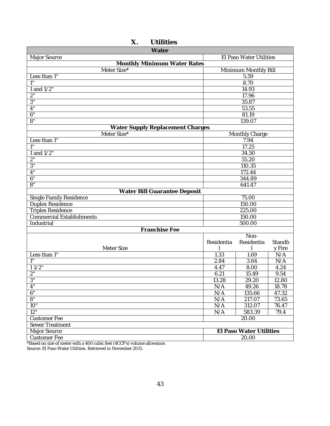<span id="page-44-0"></span>

|                | Water                       |
|----------------|-----------------------------|
| Major Source   | El Paso Water Utilities     |
|                | Monthly Minimum Water Rates |
| Meter Size*    | Minimum Monthly Bill        |
| Less than 1"   | 5.59                        |
| 111            | 8.70                        |
| 1 and $1/2"$   | 14.93                       |
| 2"             | 17.96                       |
| $3^{\circ}$    | 35.87                       |
| 4"             | 53.55                       |
| 6"             | 81.19                       |
| O <sup>H</sup> | 120007                      |

## **X. Utilities**

| Meter Size*                      | Minimum Monthly Bill |                         |        |  |
|----------------------------------|----------------------|-------------------------|--------|--|
| Less than 1"                     |                      | 5.59                    |        |  |
| 1"                               |                      | 8.70                    |        |  |
| 1 and $1/2$ "                    | 14.93                |                         |        |  |
| $2^{\circ}$                      | 17.96                |                         |        |  |
| 3"                               |                      | 35.87                   |        |  |
| 4"                               |                      | 53.55                   |        |  |
| 6"                               |                      | 81.19                   |        |  |
| 8"                               |                      | 139.07                  |        |  |
| Water Supply Replacement Charges |                      |                         |        |  |
| Meter Size*                      |                      | Monthly Charge          |        |  |
| Less than 1"                     |                      | 7.94                    |        |  |
|                                  |                      | 17.25                   |        |  |
| 1 and 1/2"                       |                      | 34.50                   |        |  |
| 2"                               |                      | 55.20                   |        |  |
| 3"                               |                      | 110.35                  |        |  |
| 4"                               |                      | 172.44                  |        |  |
| 6"                               |                      | 344.89                  |        |  |
| 8 <sub>n</sub>                   |                      | 641.47                  |        |  |
| Water Bill Guarantee Deposit     |                      |                         |        |  |
| Single Family Residence          |                      | 75.00                   |        |  |
| Duplex Residence                 |                      | 150.00                  |        |  |
| <b>Triples Residence</b>         |                      | 225.00                  |        |  |
| <b>Commercial Establishments</b> |                      | 150.00                  |        |  |
| Industrial                       |                      | 500.00                  |        |  |
| Franchise Fee                    |                      |                         |        |  |
|                                  |                      | Non-                    |        |  |
|                                  | Residentia           | Residentia              | Standb |  |
| Meter Size                       |                      |                         | y Fire |  |
| Less than 1"                     | 1.33                 | 1.69                    | N/A    |  |
|                                  | 2.84                 | 3.64                    | N/A    |  |
| $11/2$ "                         | 4.47                 | 8.00                    | 4.24   |  |
| 2 <sup>n</sup>                   | 6.21                 | 15.49                   | 9.54   |  |
| 3 <sup>n</sup>                   | 13.28                | 29.20                   | 12.80  |  |
| 4"                               | N/A                  | 49.26                   | 18.78  |  |
| 6"                               | N/A                  | 135.66                  | 47.32  |  |
| 8"                               | N/A                  | 217.07                  | 73.65  |  |
| 10"                              | N/A                  | 312.07<br>76.47         |        |  |
| 12"                              | N/A                  | 583.39<br>79.4          |        |  |
| <b>Customer Fee</b>              | 20.00                |                         |        |  |
| Sewer Treatment                  |                      |                         |        |  |
| Major Source                     |                      | El Paso Water Utilities |        |  |
| <b>Customer Fee</b>              | 20,00                |                         |        |  |

\*Based on size of meter with a 400 cubic feet (4CCF's) volume allowance.

Source: El Paso Water Utilities. Retrieved in November 2015.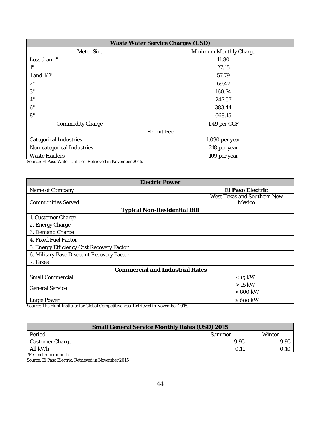| Waste Water Service Charges (USD) |                        |  |
|-----------------------------------|------------------------|--|
| Meter Size                        | Minimum Monthly Charge |  |
| Less than 1"                      | 11.80                  |  |
| 1"                                | 27.15                  |  |
| 1 and 1/2"                        | 57.79                  |  |
| 2"                                | 69.47                  |  |
| 3"                                | 160.74                 |  |
| 4"                                | 247.57                 |  |
| 6"                                | 383.44                 |  |
| 8"                                | 668.15                 |  |
| Commodity Charge                  | 1.49 per CCF           |  |
| Permit Fee                        |                        |  |
| Categorical Industries            | 1,090 per year         |  |
| Non-categorical Industries        | 218 per year           |  |
| Waste Haulers                     | 109 per year           |  |

Source: El Paso Water Utilities. Retrieved in November 2015.

| Electric Power                                                                     |                                       |  |  |
|------------------------------------------------------------------------------------|---------------------------------------|--|--|
| Name of Company                                                                    | El Paso Electric                      |  |  |
| <b>Communities Served</b>                                                          | West Texas and Southern New<br>Mexico |  |  |
| <b>Typical Non-Residential Bill</b>                                                |                                       |  |  |
| 1. Customer Charge                                                                 |                                       |  |  |
| 2. Energy Charge                                                                   |                                       |  |  |
| 3. Demand Charge                                                                   |                                       |  |  |
| 4. Fixed Fuel Factor                                                               |                                       |  |  |
| 5. Energy Efficiency Cost Recovery Factor                                          |                                       |  |  |
| 6. Military Base Discount Recovery Factor                                          |                                       |  |  |
| 7. Taxes                                                                           |                                       |  |  |
| Commercial and Industrial Rates                                                    |                                       |  |  |
| Small Commercial                                                                   | $\leq 15$ kW                          |  |  |
| <b>General Service</b>                                                             | $>15$ kW                              |  |  |
|                                                                                    | $< 600$ kW                            |  |  |
| Large Power                                                                        | $\geq 600$ kW                         |  |  |
| Source: The Hunt Institute for Global Competitiveness. Retrieved in November 2015. |                                       |  |  |

**Small General Service Monthly Rates (USD) 2015** Period Summer Winter Customer Charge 9.95 9.95 All kWh 0.11 0.10

\*Per meter per month.

Source: El Paso Electric. Retrieved in November 2015.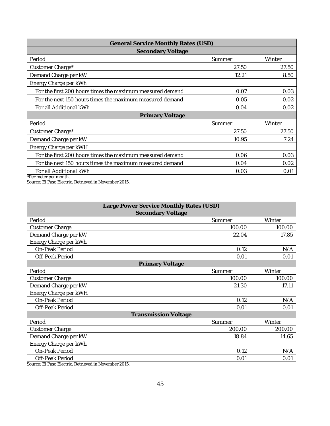| General Service Monthly Rates (USD)                       |        |        |
|-----------------------------------------------------------|--------|--------|
| Secondary Voltage                                         |        |        |
| Period                                                    | Summer | Winter |
| Customer Charge*                                          | 27.50  | 27.50  |
| Demand Charge per kW                                      | 12.21  | 8.50   |
| Energy Charge per kWh                                     |        |        |
| For the first 200 hours times the maximum measured demand | 0.07   | 0.03   |
| For the next 150 hours times the maximum measured demand  | 0.05   | 0.02   |
| For all Additional kWh                                    | 0.04   | 0.02   |
| Primary Voltage                                           |        |        |
| Period                                                    | Summer | Winter |
| Customer Charge*                                          | 27.50  | 27.50  |
| Demand Charge per kW                                      | 10.95  | 7.24   |
| Energy Charge per kWH                                     |        |        |
| For the first 200 hours times the maximum measured demand | 0.06   | 0.03   |
| For the next 150 hours times the maximum measured demand  | 0.04   | 0.02   |
| For all Additional kWh<br>*Der meter ner month            | 0.03   | 0.01   |

\*Per meter per month.

Source: El Paso Electric. Retrieved in November 2015.

| Large Power Service Monthly Rates (USD)                           |        |        |  |
|-------------------------------------------------------------------|--------|--------|--|
| Secondary Voltage                                                 |        |        |  |
| Period                                                            | Summer | Winter |  |
| Customer Charge                                                   | 100.00 | 100.00 |  |
| Demand Charge per kW                                              | 22.04  | 17.85  |  |
| Energy Charge per kWh                                             |        |        |  |
| On-Peak Period                                                    | 0.12   | N/A    |  |
| Off-Peak Period                                                   | 0.01   | 0.01   |  |
| Primary Voltage                                                   |        |        |  |
| Period                                                            | Summer | Winter |  |
| Customer Charge                                                   | 100.00 | 100.00 |  |
| Demand Charge per kW                                              | 21.30  | 17.11  |  |
| Energy Charge per kWH                                             |        |        |  |
| On-Peak Period                                                    | 0.12   | N/A    |  |
| Off-Peak Period                                                   | 0.01   | 0.01   |  |
| <b>Transmission Voltage</b>                                       |        |        |  |
| Period                                                            | Summer | Winter |  |
| Customer Charge                                                   | 200.00 | 200.00 |  |
| Demand Charge per kW                                              | 18.84  | 14.65  |  |
| Energy Charge per kWh                                             |        |        |  |
| On-Peak Period                                                    | 0.12   | N/A    |  |
| Off-Peak Period<br>TI Desert Lessier Details and the Mar<br>0.225 | 0.01   | 0.01   |  |

Source: El Paso Electric. Retrieved in November 2015.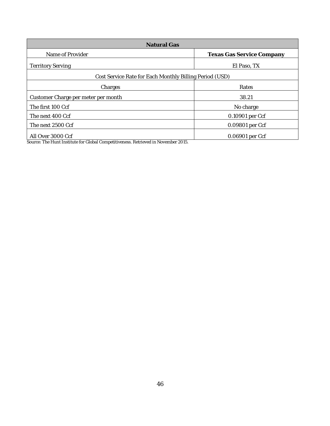| <b>Natural Gas</b>                                      |                                  |  |
|---------------------------------------------------------|----------------------------------|--|
| Name of Provider                                        | <b>Texas Gas Service Company</b> |  |
| <b>Territory Serving</b>                                | El Paso, TX                      |  |
| Cost Service Rate for Each Monthly Billing Period (USD) |                                  |  |
| Charges                                                 | Rates                            |  |
| Customer Charge per meter per month                     | 38.21                            |  |
| The first 100 Ccf                                       | No charge                        |  |
| The next 400 Ccf                                        | 0.10901 per Ccf                  |  |
| The next 2500 Ccf                                       | 0.09801 per Ccf                  |  |
| All Over 3000 Ccf                                       | 0.06901 per Ccf                  |  |

Source: The Hunt Institute for Global Competitiveness. Retrieved in November 2015.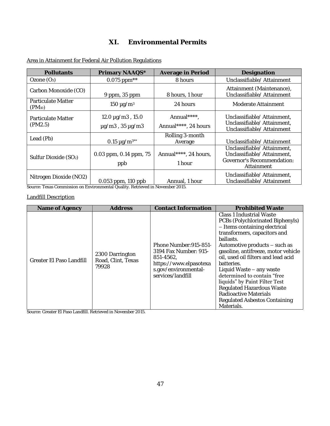## **XI. Environmental Permits**

| Pollutants                        | Primary NAAQS*                                       | Average in Period                   | Designation                                                                                            |
|-----------------------------------|------------------------------------------------------|-------------------------------------|--------------------------------------------------------------------------------------------------------|
| Ozone $(O_3)$                     | $0.075$ ppm <sup>**</sup>                            | 8 hours                             | Unclassifiable/ Attainment                                                                             |
| Carbon Monoxide (CO)              | 9 ppm, 35 ppm                                        | 8 hours, 1 hour                     | Attainment (Maintenance),<br>Unclassifiable/ Attainment                                                |
| Particulate Matter<br>$(PM_{10})$ | $150 \mu g/m^3$                                      | 24 hours                            | Moderate Attainment                                                                                    |
| Particulate Matter<br>(PM2.5)     | 12.0 µg/m3, 15.0<br>$\mu$ g/m $3$ , 35 $\mu$ g/m $3$ | Annual****,<br>Annual****, 24 hours | Unclassifiable/ Attainment,<br>Unclassifiable/ Attainment,<br>Unclassifiable/ Attainment               |
| Lead (Pb)                         | 0.15 $\mu$ g/m <sup>3**</sup>                        | Rolling 3-month<br>Average          | Unclassifiable/ Attainment                                                                             |
| Sulfur Dioxide (SO <sub>2</sub> ) | 0.03 ppm, 0.14 ppm, 75<br>ppb                        | Annual****, 24 hours,<br>1 hour     | Unclassifiable/ Attainment,<br>Unclassifiable/ Attainment,<br>Governor's Recommendation:<br>Attainment |
| Nitrogen Dioxide (NO2)            | 0.053 ppm, 110 ppb                                   | Annual, 1 hour                      | Unclassifiable/ Attainment,<br>Unclassifiable/ Attainment                                              |

<span id="page-48-0"></span>Area in Attainment for Federal Air Pollution Regulations

Source[: Texas Commission on Environmental Quality.](http://www.tceq.state.tx.us/) Retrieved in November 2015.

### Landfill Description

| Name of Agency           | <b>Address</b>                                 | Contact Information                                                                                                                 | <b>Prohibited Waste</b>                                                                                                                                                                                                                                                                                                                                                                                                                                                  |
|--------------------------|------------------------------------------------|-------------------------------------------------------------------------------------------------------------------------------------|--------------------------------------------------------------------------------------------------------------------------------------------------------------------------------------------------------------------------------------------------------------------------------------------------------------------------------------------------------------------------------------------------------------------------------------------------------------------------|
| Greater El Paso Landfill | 2300 Darrington<br>Road, Clint, Texas<br>79928 | Phone Number: 915-851-<br>3194 Fax Number: 915-<br>851-4562.<br>https://www.elpasotexa<br>s.gov/environmental-<br>services/landfill | Class 1 Industrial Waste<br>PCBs (Polychlorinated Biphenyls)<br>- Items containing electrical<br>transformers, capacitors and<br>ballasts.<br>Automotive products - such as<br>gasoline, antifreeze, motor vehicle<br>oil, used oil filters and lead acid<br>batteries.<br>Liquid Waste - any waste<br>determined to contain "free<br>liquids" by Paint Filter Test<br>Regulated Hazardous Waste<br>Radioactive Materials<br>Regulated Asbestos Containing<br>Materials. |

Source[: Greater El Paso Landfill.](https://www.elpasotexas.gov/~/media/files/coep/environmental%20services/greater%20el%20paso%20landfill%20factsheet.ashx?la=en) Retrieved in November 2015.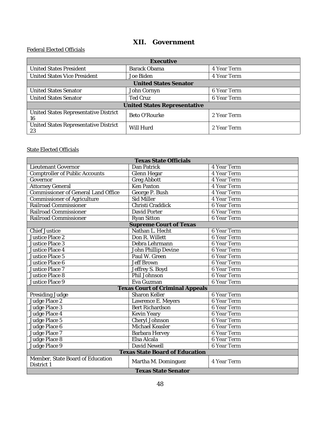## **XII. Government**

#### <span id="page-49-0"></span>Federal Elected Officials

| <b>Executive</b>                            |                 |             |
|---------------------------------------------|-----------------|-------------|
| United States President                     | Barack Obama    | 4 Year Term |
| United States Vice President                | Joe Biden       | 4 Year Term |
| <b>United States Senator</b>                |                 |             |
| United States Senator                       | John Cornyn     | 6 Year Term |
| United States Senator                       | <b>Ted Cruz</b> | 6 Year Term |
| United States Representative                |                 |             |
| United States Representative District<br>16 | Beto O'Rourke   | 2 Year Term |
| United States Representative District<br>23 | Will Hurd       | 2 Year Term |

### State Elected Officials

| <b>Texas State Officials</b>                   |                                 |             |
|------------------------------------------------|---------------------------------|-------------|
| Lieutenant Governor                            | Dan Patrick                     | 4 Year Term |
| Comptroller of Public Accounts                 | Glenn Hegar                     | 4 Year Term |
| Governor                                       | Greg Abbott                     | 4 Year Term |
| <b>Attorney General</b>                        | Ken Paxton                      | 4 Year Term |
| <b>Commissioner of General Land Office</b>     | George P. Bush                  | 4 Year Term |
| Commissioner of Agriculture                    | Sid Miller                      | 4 Year Term |
| Railroad Commissioner                          | Christi Craddick                | 6 Year Term |
| Railroad Commissioner                          | David Porter                    | 6 Year Term |
| Railroad Commissioner                          | Ryan Sitton                     | 6 Year Term |
|                                                | Supreme Court of Texas          |             |
| Chief Justice                                  | Nathan L. Hecht                 | 6 Year Term |
| Justice Place 2                                | Don R. Willett                  | 6 Year Term |
| Justice Place 3                                | Debra Lehrmann                  | 6 Year Term |
| Justice Place 4                                | John Phillip Devine             | 6 Year Term |
| Justice Place 5                                | Paul W. Green                   | 6 Year Term |
| Justice Place 6                                | Jeff Brown                      | 6 Year Term |
| Justice Place 7                                | Jeffrey S. Boyd                 | 6 Year Term |
| Justice Place 8                                | Phil Johnson                    | 6 Year Term |
| Justice Place 9                                | Eva Guzman                      | 6 Year Term |
|                                                | Texas Court of Criminal Appeals |             |
| Presiding Judge                                | Sharon Keller                   | 6 Year Term |
| Judge Place 2                                  | Lawrence E. Meyers              | 6 Year Term |
| Judge Place 3                                  | Bert Richardson                 | 6 Year Term |
| Judge Place 4                                  | Kevin Yeary                     | 6 Year Term |
| Judge Place 5                                  | Cheryl Johnson                  | 6 Year Term |
| Judge Place 6                                  | Michael Keasler                 | 6 Year Term |
| Judge Place 7                                  | Barbara Hervey                  | 6 Year Term |
| Judge Place 8                                  | Elsa Alcala                     | 6 Year Term |
| Judge Place 9                                  | David Newell                    | 6 Year Term |
| <b>Texas State Board of Education</b>          |                                 |             |
| Member, State Board of Education<br>District 1 | Martha M. Dominguez             | 4 Year Term |
| <b>Texas State Senator</b>                     |                                 |             |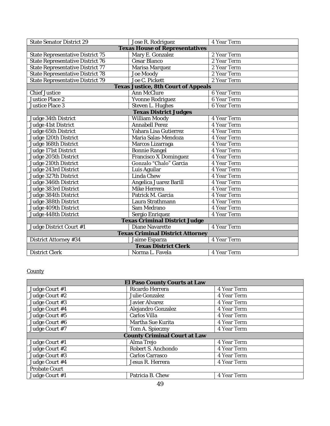| State Senator District 29               | Jose R. Rodriguez                     | 4 Year Term |  |
|-----------------------------------------|---------------------------------------|-------------|--|
|                                         | <b>Texas House of Representatives</b> |             |  |
| State Representative District 75        | Mary E. Gonzalez                      | 2 Year Term |  |
| State Representative District 76        | Cesar Blanco                          | 2 Year Term |  |
| State Representative District 77        | Marisa Marquez                        | 2 Year Term |  |
| State Representative District 78        | Joe Moody                             | 2 Year Term |  |
| State Representative District 79        | Joe C. Pickett                        | 2 Year Term |  |
|                                         | Texas Justice, 8th Court of Appeals   |             |  |
| <b>Chief Justice</b>                    | Ann McClure                           | 6 Year Term |  |
| Justice Place 2                         | Yvonne Rodriguez                      | 6 Year Term |  |
| Justice Place 3                         | Steven L. Hughes                      | 6 Year Term |  |
|                                         | <b>Texas District Judges</b>          |             |  |
| Judge 34th District                     | William Moody                         | 4 Year Term |  |
| Judge 41st District                     | Annabell Perez                        | 4 Year Term |  |
| Judge 65th District                     | Yahara Lisa Gutierrez                 | 4 Year Term |  |
| Judge 120th District                    | Maria Salas-Mendoza                   | 4 Year Term |  |
| Judge 168th District                    | Marcos Lizarraga                      | 4 Year Term |  |
| Judge 171st District                    | Bonnie Rangel                         | 4 Year Term |  |
| Judge 205th District                    | Francisco X Dominguez                 | 4 Year Term |  |
| Judge 210th District                    | Gonzalo "Chalo" Garcia                | 4 Year Term |  |
| Judge 243rd District                    | Luis Aquilar                          | 4 Year Term |  |
| Judge 327th District                    | Linda Chew                            | 4 Year Term |  |
| Judge 346th District                    | Angelica Juarez Barill                | 4 Year Term |  |
| Judge 383rd District                    | Mike Herrera                          | 4 Year Term |  |
| Judge 384th District                    | Patrick M. Garcia                     | 4 Year Term |  |
| Judge 388th District                    | Laura Strathmann                      | 4 Year Term |  |
| Judge 409th District                    | Sam Medrano                           | 4 Year Term |  |
| Judge 448th District                    | Sergio Enriquez                       | 4 Year Term |  |
| Texas Criminal District Judge           |                                       |             |  |
| Judge District Court #1                 | Diane Navarette                       | 4 Year Term |  |
| <b>Texas Criminal District Attorney</b> |                                       |             |  |
| District Attorney #34                   | Jaime Esparza                         | 4 Year Term |  |
| <b>Texas District Clerk</b>             |                                       |             |  |
| <b>District Clerk</b>                   | Norma L. Favela                       | 4 Year Term |  |

### **County**

| El Paso County Courts at Law |                    |             |
|------------------------------|--------------------|-------------|
| Judge Court #1               | Ricardo Herrera    | 4 Year Term |
| Judge Court #2               | Julie Gonzalez     | 4 Year Term |
| Judge Court #3               | Javier Alvarez     | 4 Year Term |
| Judge Court #4               | Alejandro Gonzalez | 4 Year Term |
| Judge Court #5               | Carlos Villa       | 4 Year Term |
| Judge Court #6               | Martha Sue Kurita  | 4 Year Term |
| Judge Court #7               | Tom A. Spieczny    | 4 Year Term |
| County Criminal Court at Law |                    |             |
| Judge Court #1               | Alma Trejo         | 4 Year Term |
| Judge Court #2               | Robert S. Anchondo | 4 Year Term |
| Judge Court #3               | Carlos Carrasco    | 4 Year Term |
| Judge Court #4               | Jesus R. Herrera   | 4 Year Term |
| Probate Court                |                    |             |
| Judge Court #1               | Patricia B. Chew   | 4 Year Term |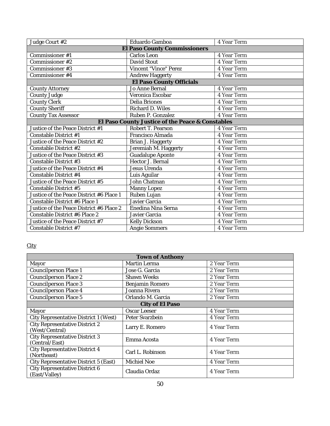| Judge Court #2                                   | Eduardo Gamboa           | 4 Year Term |
|--------------------------------------------------|--------------------------|-------------|
| El Paso County Commissioners                     |                          |             |
| Commissioner #1                                  | Carlos Leon              | 4 Year Term |
| Commissioner #2                                  | David Stout              | 4 Year Term |
| Commissioner #3                                  | Vincent "Vince" Perez    | 4 Year Term |
| Commissioner #4                                  | Andrew Haggerty          | 4 Year Term |
|                                                  | El Paso County Officials |             |
| County Attorney                                  | Jo Anne Bernal           | 4 Year Term |
| County Judge                                     | Veronica Escobar         | 4 Year Term |
| County Clerk                                     | Delia Briones            | 4 Year Term |
| County Sheriff                                   | Richard D. Wiles         | 4 Year Term |
| County Tax Assessor                              | Ruben P. Gonzalez        | 4 Year Term |
| El Paso County Justice of the Peace & Constables |                          |             |
| Justice of the Peace District #1                 | Robert T. Pearson        | 4 Year Term |
| Constable District #1                            | Francisco Almada         | 4 Year Term |
| Justice of the Peace District #2                 | Brian J. Haggerty        | 4 Year Term |
| Constable District #2                            | Jeremiah M. Haggerty     | 4 Year Term |
| Justice of the Peace District #3                 | Guadalupe Aponte         | 4 Year Term |
| Constable District #3                            | Hector J. Bernal         | 4 Year Term |
| Justice of the Peace District #4                 | Jesus Urenda             | 4 Year Term |
| Constable District #4                            | Luis Aguilar             | 4 Year Term |
| Justice of the Peace District #5                 | John Chatman             | 4 Year Term |
| Constable District #5                            | Manny Lopez              | 4 Year Term |
| Justice of the Peace District #6 Place 1         | Ruben Lujan              | 4 Year Term |
| Constable District #6 Place 1                    | Javier Garcia            | 4 Year Term |
| Justice of the Peace District #6 Place 2         | Enedina Nina Serna       | 4 Year Term |
| Constable District #6 Place 2                    | Javier Garcia            | 4 Year Term |
| Justice of the Peace District #7                 | Kelly Dickson            | 4 Year Term |
| Constable District #7                            | Angie Sommers            | 4 Year Term |

# **City**

| Town of Anthony                                  |                   |             |
|--------------------------------------------------|-------------------|-------------|
| Mayor                                            | Martin Lerma      | 2 Year Term |
| Councilperson Place 1                            | Jose G. Garcia    | 2 Year Term |
| Councilperson Place 2                            | Shawn Weeks       | 2 Year Term |
| Councilperson Place 3                            | Benjamin Romero   | 2 Year Term |
| Councilperson Place 4                            | Joanna Rivera     | 2 Year Term |
| Councilperson Place 5                            | Orlando M. Garcia | 2 Year Term |
|                                                  | City of El Paso   |             |
| Mayor                                            | Oscar Leeser      | 4 Year Term |
| City Representative District 1 (West)            | Peter Svarzbein   | 4 Year Term |
| City Representative District 2<br>(West/Central) | Larry E. Romero   | 4 Year Term |
| City Representative District 3<br>(Central/East) | Emma Acosta       | 4 Year Term |
| City Representative District 4<br>(Northeast)    | Carl L. Robinson  | 4 Year Term |
| City Representative District 5 (East)            | Michiel Noe       | 4 Year Term |
| City Representative District 6<br>(East/Valley)  | Claudia Ordaz     | 4 Year Term |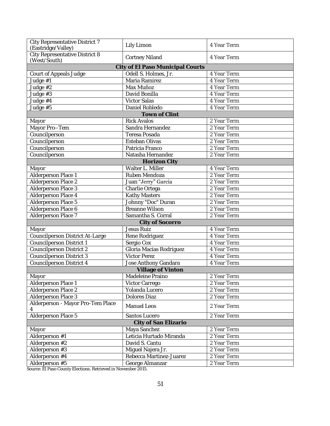| City Representative District 7                 | Lily Limon                       | 4 Year Term |
|------------------------------------------------|----------------------------------|-------------|
| (Eastridge/Valley)                             |                                  |             |
| City Representative District 8<br>(West/South) | Cortney Niland                   | 4 Year Term |
|                                                | City of El Paso Municipal Courts |             |
| Court of Appeals Judge                         | Odell S. Holmes, Jr.             | 4 Year Term |
| Judge #1                                       | Maria Ramirez                    | 4 Year Term |
| Judge #2                                       | Max Muñoz                        | 4 Year Term |
| Judge #3                                       | David Bonilla                    | 4 Year Term |
| Judge #4                                       | <b>Victor Salas</b>              | 4 Year Term |
| Judge #5                                       | Daniel Robledo                   | 4 Year Term |
|                                                | Town of Clint                    |             |
| Mayor                                          | <b>Rick Avalos</b>               | 2 Year Term |
| Mayor Pro-Tem                                  | Sandra Hernandez                 | 2 Year Term |
| Councilperson                                  | Teresa Posada                    | 2 Year Term |
| Councilperson                                  | Esteban Olivas                   | 2 Year Term |
| Councilperson                                  | Patricia Franco                  | 2 Year Term |
| Councilperson                                  | Natasha Hernandez                | 2 Year Term |
|                                                | Horizon City                     |             |
| Mayor                                          | Walter L. Miller                 | 4 Year Term |
| Alderperson Place 1                            | Ruben Mendoza                    | 2 Year Term |
| Alderperson Place 2                            | Juan "Jerry" Garcia              | 2 Year Term |
| Alderperson Place 3                            | Charlie Ortega                   | 2 Year Term |
| Alderperson Place 4                            | Kathy Masters                    | 2 Year Term |
| Alderperson Place 5                            | Johnny "Doc" Duran               | 2 Year Term |
| Alderperson Place 6                            | <b>Breanne Wilson</b>            | 2 Year Term |
| Alderperson Place 7                            | Samantha S. Corral               | 2 Year Term |
|                                                | City of Socorro                  |             |
| Mayor                                          | Jesus Ruiz                       | 4 Year Term |
| Councilperson District At-Large                | Rene Rodriguez                   | 4 Year Term |
| Councilperson District 1                       | Sergio Cox                       | 4 Year Term |
| Councilperson District 2                       | Gloria Macias Rodriguez          | 4 Year Term |
| <b>Councilperson District 3</b>                | Victor Perez                     | 4 Year Term |
| Councilperson District 4                       | Jose Anthony Gandara             | 4 Year Term |
|                                                | Village of Vinton                |             |
| Mayor                                          | Madeleine Praino                 | 2 Year Term |
| Alderperson Place 1                            | Victor Carrego                   | 2 Year Term |
| Alderperson Place 2                            | Yolanda Lucero                   | 2 Year Term |
| Alderperson Place 3                            | Dolores Diaz                     | 2 Year Term |
| Alderperson - Mayor Pro-Tem Place              | Manuel Leos                      | 2 Year Term |
|                                                |                                  |             |
| Alderperson Place 5                            | Santos Lucero                    | 2 Year Term |
|                                                | City of San Elizario             |             |
| Mayor                                          | Maya Sanchez                     | 2 Year Term |
| Alderperson #1                                 | Leticia Hurtado Miranda          | 2 Year Term |
| Alderperson #2                                 | David S. Cantu                   | 2 Year Term |
| Alderperson $#3$                               | Miguel Najera Jr.                | 2 Year Term |
| Alderperson #4                                 | Rebecca Martinez-Juarez          | 2 Year Term |
| Alderperson #5                                 | George Almanzar                  | 2 Year Term |

Source[: El Paso County](https://epcountyvotes.com/) Elections. Retrieved in November 2015.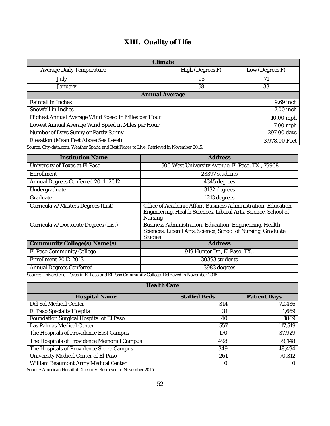# **XIII. Quality of Life**

<span id="page-53-0"></span>

| Climate                                             |                  |                 |
|-----------------------------------------------------|------------------|-----------------|
| Average Daily Temperature                           | High (Degrees F) | Low (Degrees F) |
| July                                                | 95               | 71              |
| January                                             | 58               | 33              |
| Annual Average                                      |                  |                 |
| Rainfall in Inches                                  |                  | 9.69 inch       |
| Snowfall in Inches                                  |                  | 7.00 inch       |
| Highest Annual Average Wind Speed in Miles per Hour |                  | 10.00 mph       |
| Lowest Annual Average Wind Speed in Miles per Hour  |                  | 7.00 mph        |
| Number of Days Sunny or Partly Sunny                |                  | 297.00 days     |
| Elevation (Mean Feet Above Sea Level)               |                  | 3,978.00 Feet   |

Source[: City-data.com,](http://www.city-data.com/) [Weather Spark,](https://weatherspark.com/) an[d Best Places to Live.](http://www.bestplaces.net/) Retrieved in November 2015.

| <b>Institution Name</b>                                                                          | Address                                                                                                                                     |
|--------------------------------------------------------------------------------------------------|---------------------------------------------------------------------------------------------------------------------------------------------|
| University of Texas at El Paso                                                                   | 500 West University Avenue, El Paso, TX., 79968                                                                                             |
| Enrollment                                                                                       | 23397 students                                                                                                                              |
| Annual Degrees Conferred 2011-2012                                                               | 4345 degrees                                                                                                                                |
| Undergraduate                                                                                    | 3132 degrees                                                                                                                                |
| Graduate                                                                                         | 1213 degrees                                                                                                                                |
| Curricula w/Masters Degrees (List)                                                               | Office of Academic Affair, Business Administration, Education,<br>Engineering, Health Sciences, Liberal Arts, Science, School of<br>Nursing |
| Curricula w/Doctorate Degrees (List)                                                             | Business Administration, Education, Engineering, Health<br>Sciences, Liberal Arts, Science, School of Nursing, Graduate<br><b>Studies</b>   |
| Community College(s) Name(s)                                                                     | Address                                                                                                                                     |
| El Paso Community College                                                                        | 919 Hunter Dr., El Paso, TX.,                                                                                                               |
| Enrollment 2012-2013                                                                             | 30393 students                                                                                                                              |
| Annual Degrees Conferred                                                                         | 3983 degrees                                                                                                                                |
| Source: University of Texas in El Daso and El Daso Community College, Petrieved in November 2015 |                                                                                                                                             |

Source[: University of Texas in El Paso](https://www.utep.edu/) an[d El Paso Community College.](http://www.epcc.edu/_layouts/temp/index.html) Retrieved in November 2015.

| <b>Health Care</b>                          |                     |                     |
|---------------------------------------------|---------------------|---------------------|
| <b>Hospital Name</b>                        | <b>Staffed Beds</b> | <b>Patient Days</b> |
| Del Sol Medical Center                      | 314                 | 72,436              |
| El Paso Specialty Hospital                  | 31                  | 1,669               |
| Foundation Surgical Hospital of El Paso     | 40                  | 1869                |
| Las Palmas Medical Center                   | 557                 | 117,519             |
| The Hospitals of Providence East Campus     | 170                 | 37,929              |
| The Hospitals of Providence Memorial Campus | 498                 | 79,148              |
| The Hospitals of Providence Sierra Campus   | 349                 | 48,494              |
| University Medical Center of El Paso        | 261                 | 70,312              |
| William Beaumont Army Medical Center        | O                   |                     |

Source[: American Hospital Directory.](https://www.ahd.com/) Retrieved in November 2015.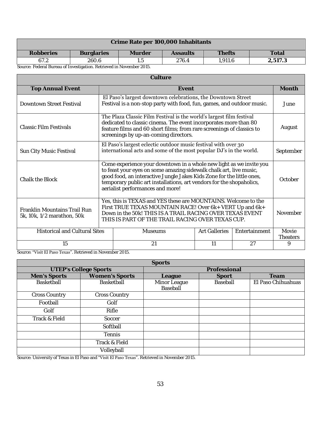| Crime Rate per 100,000 Inhabitants                                   |                   |        |          |               |         |
|----------------------------------------------------------------------|-------------------|--------|----------|---------------|---------|
| Robberies                                                            | <b>Burglaries</b> | Murder | Assaults | <b>Thefts</b> | Total   |
| 67.2                                                                 | 260.6             |        | 276.4    | 1.911.6       | 2.517.3 |
| Source: Federal Bureau of Investigation. Retrieved in November 2015. |                   |        |          |               |         |

| Culture                                                           |                                                                                                                                                                                                                                                                                                                                |                                                                                                                                                                                                                                                            |  |                          |           |
|-------------------------------------------------------------------|--------------------------------------------------------------------------------------------------------------------------------------------------------------------------------------------------------------------------------------------------------------------------------------------------------------------------------|------------------------------------------------------------------------------------------------------------------------------------------------------------------------------------------------------------------------------------------------------------|--|--------------------------|-----------|
| <b>Top Annual Event</b>                                           |                                                                                                                                                                                                                                                                                                                                | Event                                                                                                                                                                                                                                                      |  |                          | Month     |
| Downtown Street Festival                                          |                                                                                                                                                                                                                                                                                                                                | El Paso's largest downtown celebrations, the Downtown Street<br>Festival is a non-stop party with food, fun, games, and outdoor music.                                                                                                                     |  |                          | June      |
| Classic Film Festivals                                            |                                                                                                                                                                                                                                                                                                                                | The Plaza Classic Film Festival is the world's largest film festival<br>dedicated to classic cinema. The event incorporates more than 80<br>feature films and 60 short films; from rare screenings of classics to<br>screenings by up-an-coming directors. |  |                          | August    |
| Sun City Music Festival                                           |                                                                                                                                                                                                                                                                                                                                | El Paso's largest eclectic outdoor music festival with over 30<br>international acts and some of the most popular DJ's in the world.                                                                                                                       |  |                          | September |
| Chalk the Block                                                   | Come experience your downtown in a whole new light as we invite you<br>to feast your eyes on some amazing sidewalk chalk art, live music,<br>good food, an interactive Jungle Jakes Kids Zone for the little ones,<br>temporary public art installations, art vendors for the shopaholics,<br>aerialist performances and more! |                                                                                                                                                                                                                                                            |  | October                  |           |
| <b>Franklin Mountains Trail Run</b><br>5k, 10k, 1/2 marathon, 50k | Yes, this is TEXAS and YES these are MOUNTAINS. Welcome to the<br>First TRUE TEXAS MOUNTAIN RACE! Over 6k+ VERT Up and 6k+<br>Down in the 50k! THIS IS A TRAIL RACING OVER TEXAS EVENT<br>THIS IS PART OF THE TRAIL RACING OVER TEXAS CUP.                                                                                     |                                                                                                                                                                                                                                                            |  | November                 |           |
| <b>Historical and Cultural Sites</b>                              | <b>Art Galleries</b><br><b>Museums</b><br>Entertainment                                                                                                                                                                                                                                                                        |                                                                                                                                                                                                                                                            |  | Movie<br><b>Theaters</b> |           |
| 15                                                                | 21<br>11<br>27<br>9                                                                                                                                                                                                                                                                                                            |                                                                                                                                                                                                                                                            |  |                          |           |

Source: ["Visit El Paso Texas"](http://visitelpaso.com/). Retrieved in November 2015.

|                              |                      | Sports                   |              |                    |
|------------------------------|----------------------|--------------------------|--------------|--------------------|
| <b>UTEP's College Sports</b> |                      |                          | Professional |                    |
| Men's Sports                 | Women's Sports       | League                   | Sport        | Team               |
| Basketball                   | Basketball           | Minor League<br>Baseball | Baseball     | El Paso Chihuahuas |
| <b>Cross Country</b>         | <b>Cross Country</b> |                          |              |                    |
| Football                     | Golf                 |                          |              |                    |
| Golf                         | Rifle                |                          |              |                    |
| Track & Field                | Soccer               |                          |              |                    |
|                              | Softball             |                          |              |                    |
|                              | Tennis               |                          |              |                    |
|                              | Track & Field        |                          |              |                    |
|                              | Volleyball           |                          |              |                    |

Source[: University of Texas in El Paso](http://www.utep.edu/) and ["Visit El Paso Texas"](http://visitelpaso.com/). Retrieved in November 2015.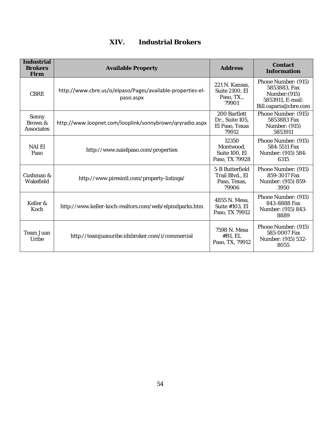# **XIV. Industrial Brokers**

<span id="page-55-0"></span>

| Industrial<br><b>Brokers</b><br>Firm | <b>Available Property</b>                                               | Address                                                     | Contact<br>Information                                                                            |
|--------------------------------------|-------------------------------------------------------------------------|-------------------------------------------------------------|---------------------------------------------------------------------------------------------------|
| <b>CBRE</b>                          | http://www.cbre.us/o/elpaso/Pages/available-properties-el-<br>paso.aspx | 221 N. Kansas,<br>Suite 2100, EI<br>Paso, TX.,<br>79901     | Phone Number: (915)<br>5853883, Fax<br>Number: (915)<br>5853911, E-mail:<br>Bill.caparis@cbre.com |
| Sonny<br>Brown &<br>Associates       | http://www.loopnet.com/looplink/sonnybrown/qryradio.aspx                | 200 Bartlett<br>Dr., Suite 105,<br>El Paso, Texas<br>79912  | Phone Number: (915)<br>5853883 Fax<br>Number: (915)<br>5853911                                    |
| NAI FI<br>Paso                       | http://www.naielpaso.com/properties                                     | 12350<br>Montwood,<br>Suite 100, El<br>Paso, TX 79928       | Phone Number: (915)<br>584-5511 Fax<br>Number: (915) 584-<br>6315                                 |
| Cushman &<br>Wakefield               | http://www.piresintl.com/property-listings/                             | 5-B Butterfield<br>Trail Blvd., El<br>Paso, Texas,<br>79906 | Phone Number: (915)<br>859-3017 Fax<br>Number: (915) 859-<br>3950                                 |
| Keller &<br>Koch                     | http://www.keller-koch-realtors.com/web/elpindparks.htm                 | 4855 N. Mesa,<br>Suite #103, El<br>Paso, TX 79912           | Phone Number: (915)<br>843-8888 Fax<br>Number: (915) 843-<br>8889                                 |
| Team Juan<br>Uribe                   | http://teamjuanuribe.idxbroker.com/i/commercial                         | 7598 N. Mesa<br>#B1, EL<br>Paso, TX, 79912                  | Phone Number: (915)<br>585-0007 Fax<br>Number: (915) 532-<br>8055                                 |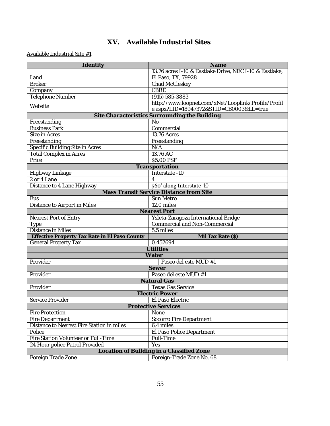## **XV. Available Industrial Sites**

<span id="page-56-0"></span>

| Identity                                                                           | Name                                                    |  |
|------------------------------------------------------------------------------------|---------------------------------------------------------|--|
|                                                                                    | 13.76 acres I-10 & Eastlake Drive, NEC I-10 & Eastlake, |  |
| Land                                                                               | El Paso, TX, 79928                                      |  |
| <b>Broker</b>                                                                      | Chad McCleskey                                          |  |
| Company                                                                            | <b>CBRE</b>                                             |  |
| Telephone Number                                                                   | $(915) 585 - 3883$                                      |  |
| Website                                                                            | http://www.loopnet.com/xNet/Looplink/Profile/Profil     |  |
|                                                                                    | e.aspx?LID=18947372&STID=CB0003&LL=true                 |  |
|                                                                                    | Site Characteristics Surrounding the Building           |  |
| Freestanding                                                                       | <b>No</b>                                               |  |
| <b>Business Park</b>                                                               | Commercial                                              |  |
| Size in Acres                                                                      | 13.76 Acres                                             |  |
| Freestanding                                                                       | Freestanding                                            |  |
| Specific Building Site in Acres                                                    | N/A                                                     |  |
| <b>Total Complex in Acres</b>                                                      | 13.76 AC                                                |  |
| Price                                                                              | \$5.00 PSF                                              |  |
|                                                                                    | Transportation                                          |  |
| Highway Linkage                                                                    | Interstate -10                                          |  |
| 2 or 4 Lane                                                                        | 4                                                       |  |
| Distance to 4 Lane Highway                                                         | 560' along Interstate-10                                |  |
|                                                                                    | Mass Transit Service Distance from Site                 |  |
| <b>Bus</b>                                                                         | Sun Metro                                               |  |
| Distance to Airport in Miles                                                       | 12.0 miles                                              |  |
|                                                                                    | Nearest Port                                            |  |
| Nearest Port of Entry                                                              | Ysleta-Zaragoza International Bridge                    |  |
| Type                                                                               | Commercial and Non-Commercial                           |  |
| Distance in Miles                                                                  | 5.5 miles                                               |  |
| Effective Property Tax Rate in El Paso County                                      | Mil Tax Rate (\$)                                       |  |
| General Property Tax                                                               | 0.452694                                                |  |
| <b>Utilities</b>                                                                   |                                                         |  |
|                                                                                    | Water                                                   |  |
| Provider                                                                           | Paseo del este MUD #1                                   |  |
|                                                                                    | Sewer                                                   |  |
| Provider                                                                           | Paseo del este MUD #1                                   |  |
|                                                                                    | <b>Natural Gas</b>                                      |  |
| Provider                                                                           | <b>Texas Gas Service</b>                                |  |
|                                                                                    | <b>Electric Power</b>                                   |  |
| Service Provider                                                                   | El Paso Electric                                        |  |
|                                                                                    | <b>Protective Services</b>                              |  |
| Fire Protection                                                                    | None                                                    |  |
| Fire Department                                                                    | Socorro Fire Department                                 |  |
| Distance to Nearest Fire Station in miles                                          | 6.4 miles                                               |  |
| Police                                                                             | El Paso Police Department                               |  |
| Fire Station Volunteer or Full-Time                                                | Full-Time                                               |  |
| 24 Hour police Patrol Provided<br>Yes<br>Location of Building in a Classified Zone |                                                         |  |
|                                                                                    |                                                         |  |
| Foreign Trade Zone                                                                 | Foreign-Trade Zone No. 68                               |  |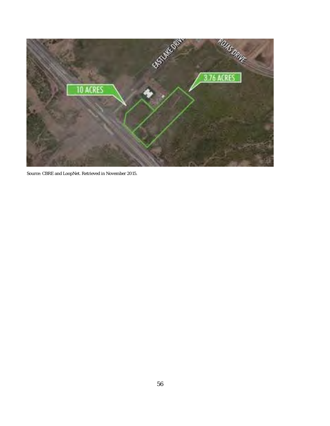

Source[: CBRE](http://www.cbre.com/) an[d LoopNet.](http://www.loopnet.com/) Retrieved in November 2015.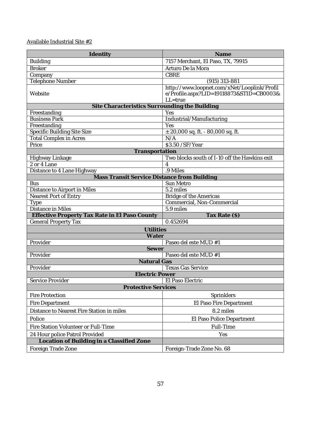| Identity                                                  | Name                                                                                               |  |
|-----------------------------------------------------------|----------------------------------------------------------------------------------------------------|--|
| <b>Building</b>                                           | 7157 Merchant, El Paso, TX, 79915                                                                  |  |
| <b>Broker</b>                                             | Arturo De la Mora                                                                                  |  |
| Company                                                   | CBRE                                                                                               |  |
| Telephone Number                                          | $(915)$ 313-881                                                                                    |  |
| Website                                                   | http://www.loopnet.com/xNet/Looplink/Profil<br>e/Profile.aspx?LID=19118873&STID=CB0003&<br>LL=true |  |
| Site Characteristics Surrounding the Building             |                                                                                                    |  |
| Freestanding                                              | Yes                                                                                                |  |
| <b>Business Park</b>                                      | Industrial/Manufacturing                                                                           |  |
| Freestanding                                              | Yes                                                                                                |  |
| Specific Building Site Size                               | $\pm$ 20,000 sq. ft. - 80,000 sq. ft.                                                              |  |
| <b>Total Complex in Acres</b>                             | N/A                                                                                                |  |
| Price                                                     | \$3.50/SF/Year                                                                                     |  |
| Transportation                                            |                                                                                                    |  |
| Highway Linkage                                           | Two blocks south of 1-10 off the Hawkins exit                                                      |  |
| 2 or 4 Lane                                               | $\overline{4}$<br>.9 Miles                                                                         |  |
| Distance to 4 Lane Highway                                |                                                                                                    |  |
| Mass Transit Service Distance from Building<br><b>Bus</b> | Sun Metro                                                                                          |  |
| Distance to Airport in Miles                              | 5.2 miles                                                                                          |  |
| Nearest Port of Entry                                     | Bridge of the Americas                                                                             |  |
| Type                                                      | Commercial, Non-Commercial                                                                         |  |
| Distance in Miles                                         | 5.9 miles                                                                                          |  |
| Effective Property Tax Rate in El Paso County             | Tax Rate (\$)                                                                                      |  |
| <b>General Property Tax</b>                               | 0.452694                                                                                           |  |
| <b>Utilities</b>                                          |                                                                                                    |  |
| Water                                                     |                                                                                                    |  |
| Provider                                                  | Paseo del este MUD #1                                                                              |  |
| Sewer                                                     |                                                                                                    |  |
| Provider                                                  | Paseo del este MUD #1                                                                              |  |
| Natural Gas                                               |                                                                                                    |  |
| Provider                                                  | <b>Texas Gas Service</b>                                                                           |  |
| <b>Electric Power</b>                                     |                                                                                                    |  |
| Service Provider                                          | El Paso Electric                                                                                   |  |
| <b>Protective Services</b>                                |                                                                                                    |  |
| Fire Protection                                           | Sprinklers                                                                                         |  |
| Fire Department                                           | El Paso Fire Department                                                                            |  |
| Distance to Nearest Fire Station in miles                 | 8.2 miles                                                                                          |  |
| Police                                                    | El Paso Police Department                                                                          |  |
| Fire Station Volunteer or Full-Time                       | Full-Time                                                                                          |  |
| 24 Hour police Patrol Provided                            | Yes                                                                                                |  |
| Location of Building in a Classified Zone                 |                                                                                                    |  |
| Foreign Trade Zone                                        | Foreign-Trade Zone No. 68                                                                          |  |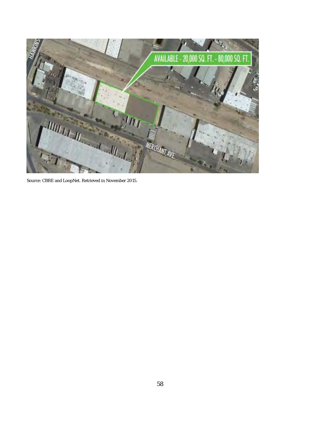

Source[: CBRE](http://www.cbre.com/) an[d LoopNet.](http://www.loopnet.com/) Retrieved in November 2015.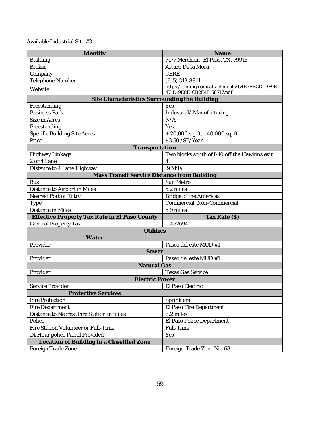| Identity                                      | Name                                                                        |  |  |
|-----------------------------------------------|-----------------------------------------------------------------------------|--|--|
| <b>Building</b>                               | 7177 Merchant, El Paso, TX, 79915                                           |  |  |
| <b>Broker</b>                                 | Arturo De la Mora                                                           |  |  |
| Company                                       | CBRE                                                                        |  |  |
| Telephone Number                              | (915) 313-8811                                                              |  |  |
| Website                                       | http://x.lnimg.com/attachments/64E3EBCD-DF9E-<br>471D-9E8E-CB2E45158717.pdf |  |  |
| Site Characteristics Surrounding the Building |                                                                             |  |  |
| Freestanding                                  | Yes                                                                         |  |  |
| <b>Business Park</b>                          | Industrial/Manufacturing                                                    |  |  |
| Size in Acres                                 | N/A                                                                         |  |  |
| Freestanding                                  | Yes                                                                         |  |  |
| Specific Building Site Acres                  | $\pm$ 20,000 sq. ft. - 40,000 sq. ft.                                       |  |  |
| Price                                         | \$3.50 / SF/ Year                                                           |  |  |
| Transportation                                |                                                                             |  |  |
| Highway Linkage                               | Two blocks south of 1-10 off the Hawkins exit                               |  |  |
| 2 or 4 Lane                                   | $\Delta$                                                                    |  |  |
| Distance to 4 Lane Highway                    | .9 Mile                                                                     |  |  |
| Mass Transit Service Distance from Building   |                                                                             |  |  |
| <b>Bus</b>                                    | Sun Metro                                                                   |  |  |
| Distance to Airport in Miles                  | 5.2 miles                                                                   |  |  |
| Nearest Port of Entry                         | Bridge of the Americas                                                      |  |  |
| <b>Type</b>                                   | Commercial, Non-Commercial                                                  |  |  |
| Distance in Miles                             | 5.9 miles                                                                   |  |  |
| Effective Property Tax Rate in El Paso County | Tax Rate $(\$)$                                                             |  |  |
| General Property Tax                          | 0.452694                                                                    |  |  |
| Utilities                                     |                                                                             |  |  |
| Water                                         |                                                                             |  |  |
| Provider                                      | Paseo del este MUD #1                                                       |  |  |
| Sewer                                         |                                                                             |  |  |
| Provider                                      | Paseo del este MUD #1                                                       |  |  |
| Natural Gas                                   |                                                                             |  |  |
| Provider                                      | <b>Texas Gas Service</b>                                                    |  |  |
| <b>Electric Power</b>                         |                                                                             |  |  |
| Service Provider                              | El Paso Electric                                                            |  |  |
| <b>Protective Services</b>                    |                                                                             |  |  |
| Fire Protection                               | Sprinklers                                                                  |  |  |
| Fire Department                               | El Paso Fire Department                                                     |  |  |
| Distance to Nearest Fire Station in miles     | 8.2 miles                                                                   |  |  |
| Police                                        | El Paso Police Department                                                   |  |  |
| Fire Station Volunteer or Full-Time           | Full-Time                                                                   |  |  |
| 24 Hour police Patrol Provided                | Yes                                                                         |  |  |
| Location of Building in a Classified Zone     |                                                                             |  |  |
| Foreign Trade Zone                            | Foreign-Trade Zone No. 68                                                   |  |  |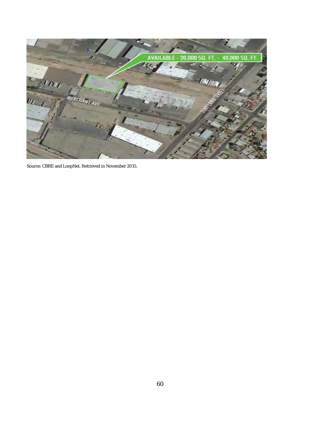

Source[: CBRE](http://www.cbre.com/) an[d LoopNet.](http://www.loopnet.com/) Retrieved in November 2015.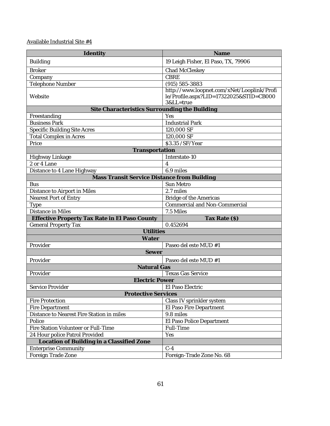| Identity                                      | Name                                                                                               |  |
|-----------------------------------------------|----------------------------------------------------------------------------------------------------|--|
| <b>Building</b>                               | 19 Leigh Fisher, El Paso, TX, 79906                                                                |  |
| <b>Broker</b>                                 | Chad McCleskey                                                                                     |  |
| Company                                       | CBRE                                                                                               |  |
| Telephone Number                              | (915) 585-3883                                                                                     |  |
| Website                                       | http://www.loopnet.com/xNet/Looplink/Profi<br>le/Profile.aspx?LID=17322025&STID=CB000<br>3&LL=true |  |
| Site Characteristics Surrounding the Building |                                                                                                    |  |
| Freestanding                                  | Yes                                                                                                |  |
| <b>Business Park</b>                          | <b>Industrial Park</b>                                                                             |  |
| Specific Building Site Acres                  | 120,000 SF                                                                                         |  |
| <b>Total Complex in Acres</b>                 | 120,000 SF                                                                                         |  |
| Price                                         | \$3.35 / SF/ Year                                                                                  |  |
| Transportation                                |                                                                                                    |  |
| Highway Linkage                               | Interstate-10                                                                                      |  |
| 2 or 4 Lane                                   | 4                                                                                                  |  |
| Distance to 4 Lane Highway                    | $6.9$ miles                                                                                        |  |
| Mass Transit Service Distance from Building   |                                                                                                    |  |
| <b>Bus</b>                                    | Sun Metro                                                                                          |  |
| Distance to Airport in Miles                  | 2.7 miles                                                                                          |  |
| Nearest Port of Entry                         | Bridge of the Americas                                                                             |  |
| Type                                          | Commercial and Non-Commercial                                                                      |  |
| Distance in Miles                             | 7.5 Miles                                                                                          |  |
| Effective Property Tax Rate in El Paso County | Tax Rate (\$)                                                                                      |  |
| <b>General Property Tax</b>                   | 0.452694                                                                                           |  |
| <b>Utilities</b>                              |                                                                                                    |  |
| Water                                         |                                                                                                    |  |
| Provider                                      | Paseo del este MUD #1                                                                              |  |
| Sewer                                         |                                                                                                    |  |
| Provider                                      | Paseo del este MUD #1                                                                              |  |
| Natural Gas                                   |                                                                                                    |  |
| Provider                                      | Texas Gas Service                                                                                  |  |
| <b>Electric Power</b>                         |                                                                                                    |  |
| Service Provider                              | El Paso Electric                                                                                   |  |
| <b>Protective Services</b>                    |                                                                                                    |  |
| Fire Protection                               | Class IV sprinkler system                                                                          |  |
| Fire Department                               | El Paso Fire Department                                                                            |  |
| Distance to Nearest Fire Station in miles     | 9.8 miles                                                                                          |  |
| Police                                        | El Paso Police Department                                                                          |  |
| Fire Station Volunteer or Full-Time           | Full-Time                                                                                          |  |
| 24 Hour police Patrol Provided                | Yes                                                                                                |  |
| Location of Building in a Classified Zone     |                                                                                                    |  |
| <b>Enterprise Community</b>                   | $C-4$                                                                                              |  |
| Foreign Trade Zone                            | Foreign-Trade Zone No. 68                                                                          |  |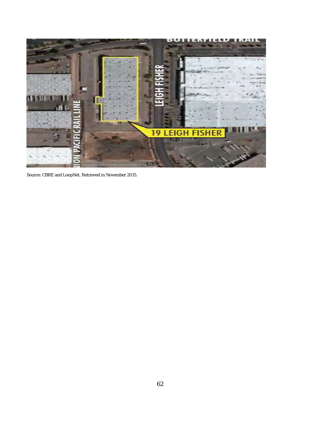

Source[: CBRE](http://www.cbre.com/) an[d LoopNet.](http://www.loopnet.com/) Retrieved in November 2015.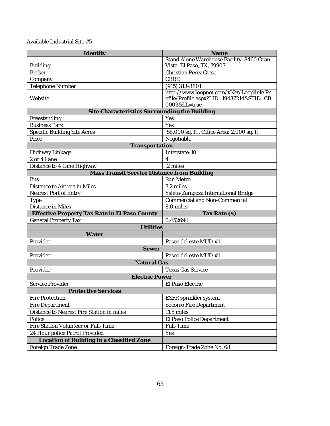| Identity                                                      | Name                                                    |
|---------------------------------------------------------------|---------------------------------------------------------|
|                                                               | Stand Alone Warehouse Facility, 8460 Gran               |
| <b>Building</b>                                               | Vista, El Paso, TX, 79907                               |
| <b>Broker</b>                                                 | Christian Perez Giese                                   |
| Company                                                       | CBRE                                                    |
| Telephone Number                                              | (915) 313-8801                                          |
|                                                               | http://www.loopnet.com/xNet/Looplink/Pr                 |
| Website                                                       | ofile/Profile.aspx?LID=19437214&STID=CB<br>0003&LL=true |
|                                                               |                                                         |
| Site Characteristics Surrounding the Building<br>Freestanding | Yes                                                     |
| <b>Business Park</b>                                          | Yes                                                     |
| <b>Specific Building Site Acres</b>                           | 58,000 sq. ft., Office Area; 2,000 sq. ft.              |
| Price                                                         | Negotiable                                              |
| Transportation                                                |                                                         |
| Highway Linkage                                               | Interstate-10                                           |
| 2 or 4 Lane                                                   | 4                                                       |
| Distance to 4 Lane Highway                                    | $\overline{.2}$ miles                                   |
| Mass Transit Service Distance from Building                   |                                                         |
| <b>Bus</b>                                                    | Sun Metro                                               |
| Distance to Airport in Miles                                  | 7.2 miles                                               |
| Nearest Port of Entry                                         | Ysleta-Zaragoza International Bridge                    |
| Type                                                          | Commercial and Non-Commercial                           |
| Distance in Miles                                             | 8.0 miles                                               |
| Effective Property Tax Rate in El Paso County                 | Tax Rate (\$)                                           |
| <b>General Property Tax</b>                                   | 0.452694                                                |
| <b>Utilities</b>                                              |                                                         |
| Water                                                         |                                                         |
| Provider                                                      | Paseo del este MUD #1                                   |
| Sewer                                                         |                                                         |
| Provider                                                      | Paseo del este MUD #1                                   |
| Natural Gas                                                   |                                                         |
| Provider                                                      | Texas Gas Service                                       |
| <b>Electric Power</b>                                         |                                                         |
| Service Provider                                              | El Paso Electric                                        |
| <b>Protective Services</b>                                    |                                                         |
| <b>Fire Protection</b>                                        | ESFR sprinkler system                                   |
| Fire Department                                               | Socorro Fire Department                                 |
| Distance to Nearest Fire Station in miles                     | 11.5 miles                                              |
| Police                                                        | El Paso Police Department                               |
| Fire Station Volunteer or Full-Time                           | Full-Time                                               |
|                                                               |                                                         |
| 24 Hour police Patrol Provided                                | Yes                                                     |
| Location of Building in a Classified Zone                     |                                                         |
| Foreign Trade Zone                                            | Foreign-Trade Zone No. 68                               |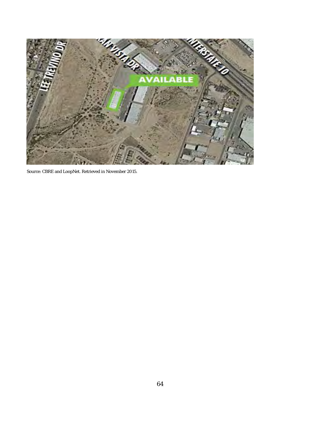

Source[: CBRE](http://www.cbre.com/) an[d LoopNet.](http://www.loopnet.com/) Retrieved in November 2015.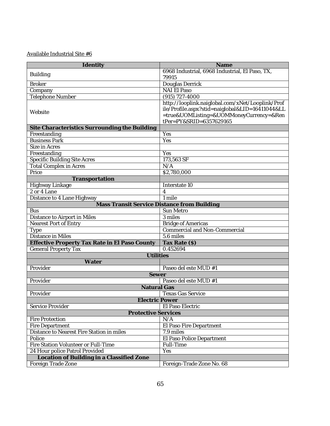| Identity                                      | Name                                                                                                                                                                      |
|-----------------------------------------------|---------------------------------------------------------------------------------------------------------------------------------------------------------------------------|
| <b>Building</b>                               | 6968 Industrial, 6968 Industrial, El Paso, TX,                                                                                                                            |
|                                               | 79915                                                                                                                                                                     |
| <b>Broker</b>                                 | Douglas Derrick                                                                                                                                                           |
| Company                                       | <b>NAI El Paso</b>                                                                                                                                                        |
| Telephone Number                              | $(915) 727 - 4000$                                                                                                                                                        |
| Website                                       | http://looplink.naiglobal.com/xNet/Looplink/Prof<br>ile/Profile.aspx?stid=naiglobal&LID=16411044&LL<br>=true&UOMListing=&UOMMoneyCurrency=&Ren<br>tPer=PY&SRID=6357629165 |
| Site Characteristics Surrounding the Building |                                                                                                                                                                           |
| Freestanding                                  | Yes                                                                                                                                                                       |
| <b>Business Park</b>                          | Yes                                                                                                                                                                       |
| Size in Acres                                 |                                                                                                                                                                           |
| Freestanding                                  | Yes                                                                                                                                                                       |
| <b>Specific Building Site Acres</b>           | 173,563 SF                                                                                                                                                                |
| <b>Total Complex in Acres</b>                 | N/A                                                                                                                                                                       |
| Price                                         | \$2,780,000                                                                                                                                                               |
| Transportation                                |                                                                                                                                                                           |
| Highway Linkage                               | Interstate 10                                                                                                                                                             |
| 2 or 4 Lane                                   | $\overline{A}$                                                                                                                                                            |
| Distance to 4 Lane Highway                    | 1 mile                                                                                                                                                                    |
| Mass Transit Service Distance from Building   |                                                                                                                                                                           |
| <b>Bus</b>                                    | Sun Metro                                                                                                                                                                 |
| Distance to Airport in Miles                  | $\overline{3}$ miles                                                                                                                                                      |
| Nearest Port of Entry                         | <b>Bridge of Americas</b>                                                                                                                                                 |
| Type                                          | Commercial and Non-Commercial                                                                                                                                             |
| Distance in Miles                             | 5.6 miles                                                                                                                                                                 |
| Effective Property Tax Rate in El Paso County | Tax Rate (\$)                                                                                                                                                             |
| General Property Tax                          | 0.452694                                                                                                                                                                  |
| <b>Utilities</b>                              |                                                                                                                                                                           |
| Water                                         |                                                                                                                                                                           |
| Provider                                      | Paseo del este MUD #1                                                                                                                                                     |
| Sewer                                         |                                                                                                                                                                           |
| Provider                                      | Paseo del este MUD #1                                                                                                                                                     |
| Natural Gas                                   |                                                                                                                                                                           |
| Provider                                      | <b>Texas Gas Service</b>                                                                                                                                                  |
| Electric Power                                |                                                                                                                                                                           |
| Service Provider                              | El Paso Electric                                                                                                                                                          |
| <b>Protective Services</b>                    |                                                                                                                                                                           |
| Fire Protection                               | N/A                                                                                                                                                                       |
| Fire Department                               | El Paso Fire Department                                                                                                                                                   |
| Distance to Nearest Fire Station in miles     | 7.9 miles                                                                                                                                                                 |
| Police                                        | El Paso Police Department                                                                                                                                                 |
| Fire Station Volunteer or Full-Time           | Full-Time                                                                                                                                                                 |
| 24 Hour police Patrol Provided                | Yes                                                                                                                                                                       |
| Location of Building in a Classified Zone     |                                                                                                                                                                           |
| Foreign Trade Zone                            | Foreign-Trade Zone No. 68                                                                                                                                                 |